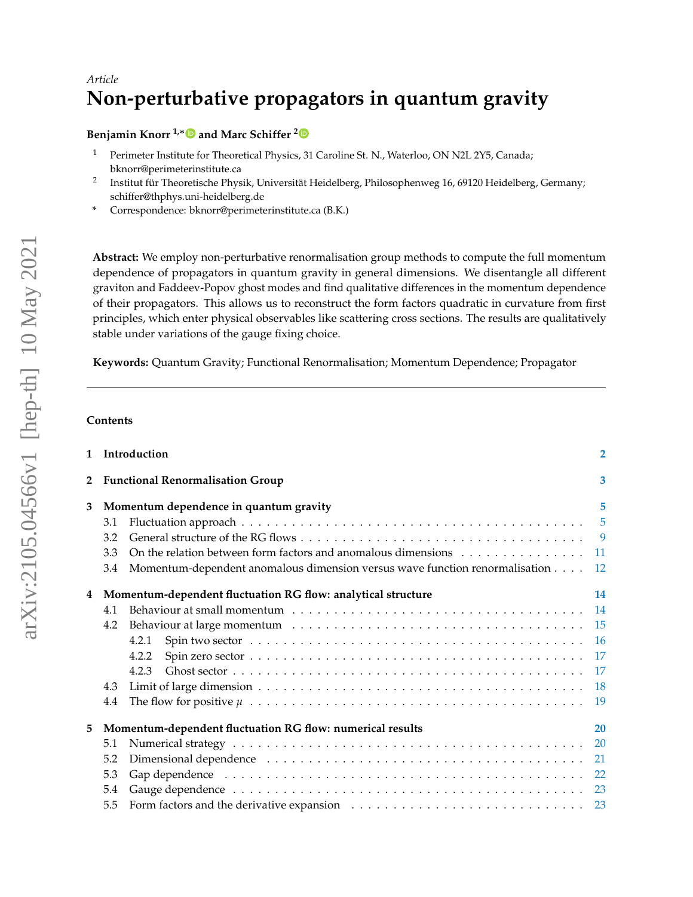# *Article* **Non-perturbative propagators in quantum gravity**

**Benjamin Knorr**  $1,*$  **■** and Marc Schiffer <sup>[2](https://orcid.org/0000-0002-0778-4800)</sup><sup>■</sup>

- <sup>1</sup> Perimeter Institute for Theoretical Physics, 31 Caroline St. N., Waterloo, ON N2L 2Y5, Canada; bknorr@perimeterinstitute.ca
- 2 Institut für Theoretische Physik, Universität Heidelberg, Philosophenweg 16, 69120 Heidelberg, Germany; schiffer@thphys.uni-heidelberg.de
- **\*** Correspondence: bknorr@perimeterinstitute.ca (B.K.)

**Abstract:** We employ non-perturbative renormalisation group methods to compute the full momentum dependence of propagators in quantum gravity in general dimensions. We disentangle all different graviton and Faddeev-Popov ghost modes and find qualitative differences in the momentum dependence of their propagators. This allows us to reconstruct the form factors quadratic in curvature from first principles, which enter physical observables like scattering cross sections. The results are qualitatively stable under variations of the gauge fixing choice.

**Keywords:** Quantum Gravity; Functional Renormalisation; Momentum Dependence; Propagator

# **Contents**

| $\mathbf{1}$   |                                                           | Introduction                                                                                                                                                                                                                   | $\overline{2}$  |
|----------------|-----------------------------------------------------------|--------------------------------------------------------------------------------------------------------------------------------------------------------------------------------------------------------------------------------|-----------------|
| $\overline{2}$ |                                                           | <b>Functional Renormalisation Group</b>                                                                                                                                                                                        | 3               |
| 3              | Momentum dependence in quantum gravity                    |                                                                                                                                                                                                                                | 5               |
|                | 3.1                                                       |                                                                                                                                                                                                                                | $5\overline{5}$ |
|                | 3.2                                                       |                                                                                                                                                                                                                                | -9              |
|                | 3.3                                                       | On the relation between form factors and anomalous dimensions                                                                                                                                                                  | <b>11</b>       |
|                | 3.4                                                       | Momentum-dependent anomalous dimension versus wave function renormalisation                                                                                                                                                    | <b>12</b>       |
| 4              |                                                           | Momentum-dependent fluctuation RG flow: analytical structure                                                                                                                                                                   | 14              |
|                | 4.1                                                       |                                                                                                                                                                                                                                | 14              |
|                | 4.2                                                       |                                                                                                                                                                                                                                |                 |
|                |                                                           | 4.2.1                                                                                                                                                                                                                          |                 |
|                |                                                           | 4.2.2                                                                                                                                                                                                                          |                 |
|                |                                                           | 4.2.3                                                                                                                                                                                                                          | 17              |
|                | 4.3                                                       |                                                                                                                                                                                                                                | <b>18</b>       |
|                | 4.4                                                       |                                                                                                                                                                                                                                | 19              |
| 5              | Momentum-dependent fluctuation RG flow: numerical results |                                                                                                                                                                                                                                |                 |
|                | 5.1                                                       |                                                                                                                                                                                                                                | 20              |
|                | 5.2                                                       | Dimensional dependence (a) and a subset of the set of the set of the set of the set of the set of the set of the set of the set of the set of the set of the set of the set of the set of the set of the set of the set of the |                 |
|                | 5.3                                                       | Gap dependence (and all and all and all and all and all and all and all and all and all and all and all and all and $22$                                                                                                       |                 |
|                | 5.4                                                       |                                                                                                                                                                                                                                |                 |
|                | 5.5                                                       |                                                                                                                                                                                                                                |                 |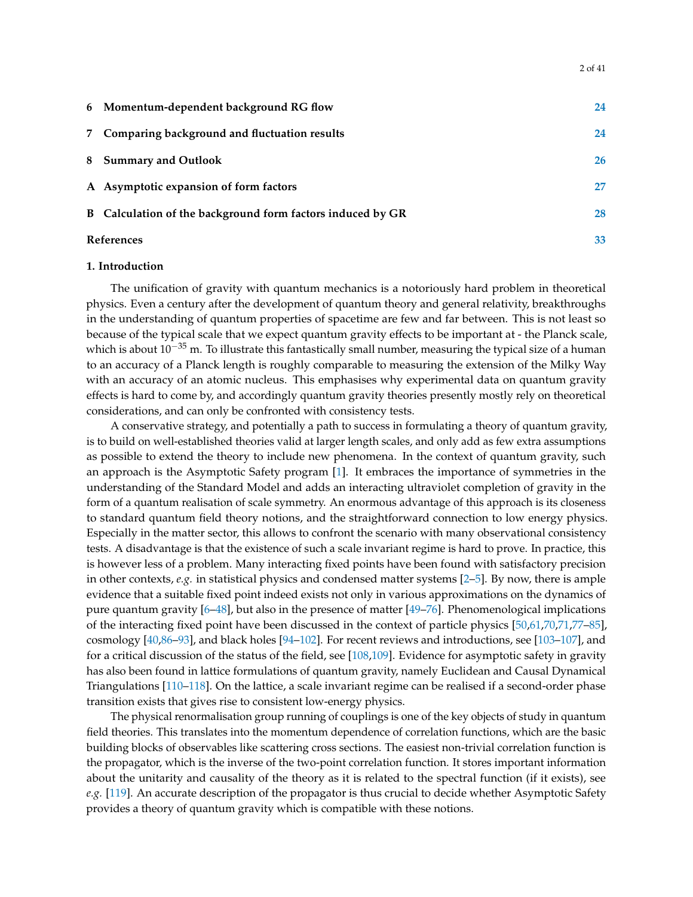| 6 Momentum-dependent background RG flow                    | 24 |
|------------------------------------------------------------|----|
| 7 Comparing background and fluctuation results             | 24 |
| 8 Summary and Outlook                                      | 26 |
| A Asymptotic expansion of form factors                     | 27 |
| B Calculation of the background form factors induced by GR | 28 |
| <b>References</b>                                          |    |

#### <span id="page-1-0"></span>**1. Introduction**

The unification of gravity with quantum mechanics is a notoriously hard problem in theoretical physics. Even a century after the development of quantum theory and general relativity, breakthroughs in the understanding of quantum properties of spacetime are few and far between. This is not least so because of the typical scale that we expect quantum gravity effects to be important at - the Planck scale, which is about  $10^{-35}$  m. To illustrate this fantastically small number, measuring the typical size of a human to an accuracy of a Planck length is roughly comparable to measuring the extension of the Milky Way with an accuracy of an atomic nucleus. This emphasises why experimental data on quantum gravity effects is hard to come by, and accordingly quantum gravity theories presently mostly rely on theoretical considerations, and can only be confronted with consistency tests.

A conservative strategy, and potentially a path to success in formulating a theory of quantum gravity, is to build on well-established theories valid at larger length scales, and only add as few extra assumptions as possible to extend the theory to include new phenomena. In the context of quantum gravity, such an approach is the Asymptotic Safety program [\[1\]](#page-32-1). It embraces the importance of symmetries in the understanding of the Standard Model and adds an interacting ultraviolet completion of gravity in the form of a quantum realisation of scale symmetry. An enormous advantage of this approach is its closeness to standard quantum field theory notions, and the straightforward connection to low energy physics. Especially in the matter sector, this allows to confront the scenario with many observational consistency tests. A disadvantage is that the existence of such a scale invariant regime is hard to prove. In practice, this is however less of a problem. Many interacting fixed points have been found with satisfactory precision in other contexts, *e.g.* in statistical physics and condensed matter systems [\[2–](#page-32-2)[5\]](#page-32-3). By now, there is ample evidence that a suitable fixed point indeed exists not only in various approximations on the dynamics of pure quantum gravity [\[6](#page-32-4)[–48\]](#page-34-0), but also in the presence of matter [\[49–](#page-34-1)[76\]](#page-35-0). Phenomenological implications of the interacting fixed point have been discussed in the context of particle physics [\[50](#page-34-2)[,61](#page-34-3)[,70](#page-35-1)[,71](#page-35-2)[,77–](#page-35-3)[85\]](#page-35-4), cosmology [\[40,](#page-34-4)[86–](#page-36-0)[93\]](#page-36-1), and black holes [\[94–](#page-36-2)[102\]](#page-36-3). For recent reviews and introductions, see [\[103](#page-36-4)[–107\]](#page-36-5), and for a critical discussion of the status of the field, see [\[108](#page-36-6)[,109\]](#page-37-0). Evidence for asymptotic safety in gravity has also been found in lattice formulations of quantum gravity, namely Euclidean and Causal Dynamical Triangulations [\[110–](#page-37-1)[118\]](#page-37-2). On the lattice, a scale invariant regime can be realised if a second-order phase transition exists that gives rise to consistent low-energy physics.

The physical renormalisation group running of couplings is one of the key objects of study in quantum field theories. This translates into the momentum dependence of correlation functions, which are the basic building blocks of observables like scattering cross sections. The easiest non-trivial correlation function is the propagator, which is the inverse of the two-point correlation function. It stores important information about the unitarity and causality of the theory as it is related to the spectral function (if it exists), see *e.g.* [\[119\]](#page-37-3). An accurate description of the propagator is thus crucial to decide whether Asymptotic Safety provides a theory of quantum gravity which is compatible with these notions.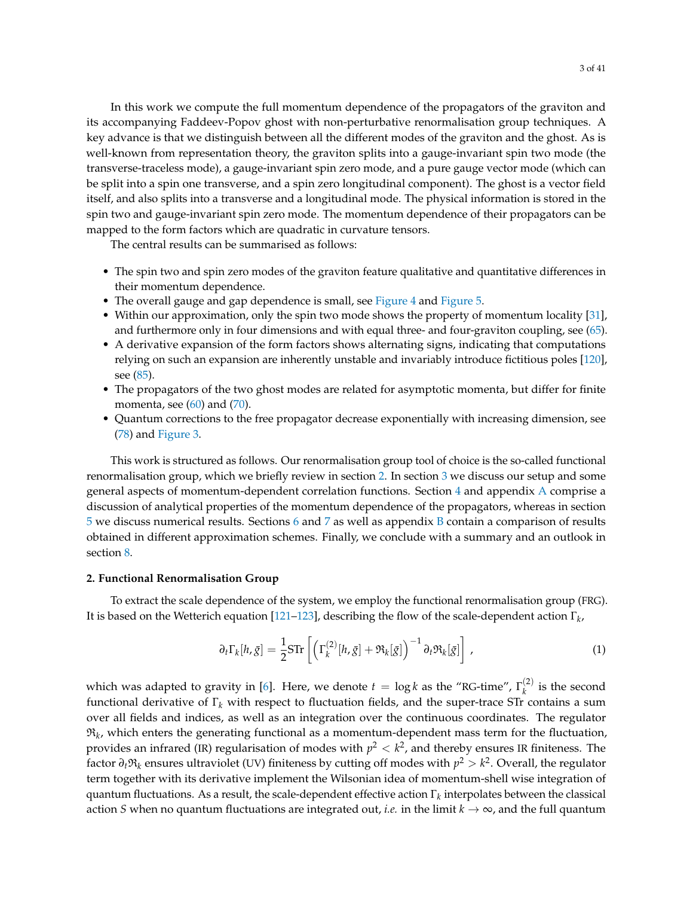In this work we compute the full momentum dependence of the propagators of the graviton and its accompanying Faddeev-Popov ghost with non-perturbative renormalisation group techniques. A key advance is that we distinguish between all the different modes of the graviton and the ghost. As is well-known from representation theory, the graviton splits into a gauge-invariant spin two mode (the transverse-traceless mode), a gauge-invariant spin zero mode, and a pure gauge vector mode (which can be split into a spin one transverse, and a spin zero longitudinal component). The ghost is a vector field itself, and also splits into a transverse and a longitudinal mode. The physical information is stored in the spin two and gauge-invariant spin zero mode. The momentum dependence of their propagators can be mapped to the form factors which are quadratic in curvature tensors.

The central results can be summarised as follows:

- The spin two and spin zero modes of the graviton feature qualitative and quantitative differences in their momentum dependence.
- The overall gauge and gap dependence is small, see [Figure 4](#page-20-1) and [Figure 5.](#page-21-1)
- Within our approximation, only the spin two mode shows the property of momentum locality [\[31\]](#page-33-0), and furthermore only in four dimensions and with equal three- and four-graviton coupling, see [\(65\)](#page-15-1).
- A derivative expansion of the form factors shows alternating signs, indicating that computations relying on such an expansion are inherently unstable and invariably introduce fictitious poles [\[120\]](#page-37-4), see [\(85\)](#page-22-2).
- The propagators of the two ghost modes are related for asymptotic momenta, but differ for finite momenta, see  $(60)$  and  $(70)$ .
- Quantum corrections to the free propagator decrease exponentially with increasing dimension, see [\(78\)](#page-18-1) and [Figure 3.](#page-19-2)

This work is structured as follows. Our renormalisation group tool of choice is the so-called functional renormalisation group, which we briefly review in section [2.](#page-2-0) In section [3](#page-4-0) we discuss our setup and some general aspects of momentum-dependent correlation functions. Section [4](#page-13-0) and appendix [A](#page-26-0) comprise a discussion of analytical properties of the momentum dependence of the propagators, whereas in section [5](#page-19-0) we discuss numerical results. Sections [6](#page-23-0) and [7](#page-23-1) as well as appendix [B](#page-27-0) contain a comparison of results obtained in different approximation schemes. Finally, we conclude with a summary and an outlook in section [8.](#page-25-0)

#### <span id="page-2-0"></span>**2. Functional Renormalisation Group**

To extract the scale dependence of the system, we employ the functional renormalisation group (FRG). It is based on the Wetterich equation [\[121](#page-37-5)[–123\]](#page-37-6), describing the flow of the scale-dependent action Γ*<sup>k</sup>* ,

<span id="page-2-1"></span>
$$
\partial_t \Gamma_k[h, \bar{g}] = \frac{1}{2} \text{STr} \left[ \left( \Gamma_k^{(2)}[h, \bar{g}] + \mathfrak{R}_k[\bar{g}] \right)^{-1} \partial_t \mathfrak{R}_k[\bar{g}] \right], \tag{1}
$$

which was adapted to gravity in [\[6\]](#page-32-4). Here, we denote  $t = \log k$  as the "RG-time",  $\Gamma_k^{(2)}$  $\binom{1}{k}$  is the second functional derivative of Γ*<sup>k</sup>* with respect to fluctuation fields, and the super-trace STr contains a sum over all fields and indices, as well as an integration over the continuous coordinates. The regulator  $\mathfrak{R}_k$ , which enters the generating functional as a momentum-dependent mass term for the fluctuation, provides an infrared (IR) regularisation of modes with  $p^2 < k^2$ , and thereby ensures IR finiteness. The factor *∂t*R*<sup>k</sup>* ensures ultraviolet (UV) finiteness by cutting off modes with *p* <sup>2</sup> > *k* 2 . Overall, the regulator term together with its derivative implement the Wilsonian idea of momentum-shell wise integration of  $q$ uantum fluctuations. As a result, the scale-dependent effective action  $\Gamma_k$  interpolates between the classical action *S* when no quantum fluctuations are integrated out, *i.e.* in the limit  $k \to \infty$ , and the full quantum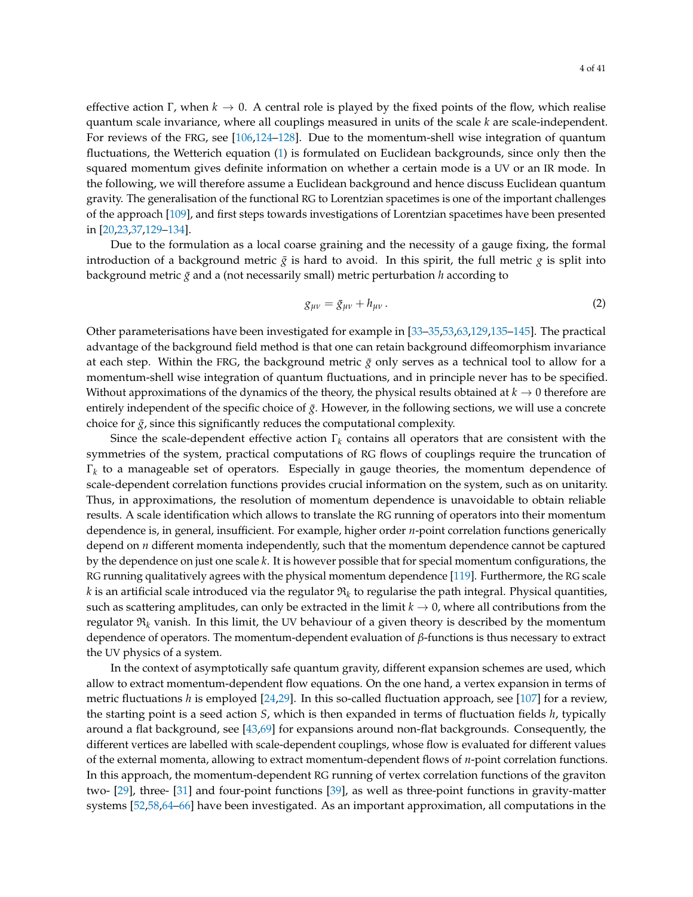effective action Γ, when  $k \to 0$ . A central role is played by the fixed points of the flow, which realise quantum scale invariance, where all couplings measured in units of the scale *k* are scale-independent. For reviews of the FRG, see [\[106](#page-36-7)[,124–](#page-37-7)[128\]](#page-37-8). Due to the momentum-shell wise integration of quantum fluctuations, the Wetterich equation [\(1\)](#page-2-1) is formulated on Euclidean backgrounds, since only then the squared momentum gives definite information on whether a certain mode is a UV or an IR mode. In the following, we will therefore assume a Euclidean background and hence discuss Euclidean quantum gravity. The generalisation of the functional RG to Lorentzian spacetimes is one of the important challenges of the approach [\[109\]](#page-37-0), and first steps towards investigations of Lorentzian spacetimes have been presented in [\[20](#page-33-1)[,23](#page-33-2)[,37](#page-33-3)[,129](#page-37-9)[–134\]](#page-38-0).

Due to the formulation as a local coarse graining and the necessity of a gauge fixing, the formal introduction of a background metric  $\bar{g}$  is hard to avoid. In this spirit, the full metric  $g$  is split into background metric *g*¯ and a (not necessarily small) metric perturbation *h* according to

<span id="page-3-0"></span>
$$
g_{\mu\nu} = \bar{g}_{\mu\nu} + h_{\mu\nu} \,. \tag{2}
$$

Other parameterisations have been investigated for example in [\[33–](#page-33-4)[35,](#page-33-5)[53,](#page-34-5)[63,](#page-35-5)[129,](#page-37-9)[135–](#page-38-1)[145\]](#page-38-2). The practical advantage of the background field method is that one can retain background diffeomorphism invariance at each step. Within the FRG, the background metric  $\bar{g}$  only serves as a technical tool to allow for a momentum-shell wise integration of quantum fluctuations, and in principle never has to be specified. Without approximations of the dynamics of the theory, the physical results obtained at  $k \to 0$  therefore are entirely independent of the specific choice of  $\bar{g}$ . However, in the following sections, we will use a concrete choice for  $\bar{g}$ , since this significantly reduces the computational complexity.

Since the scale-dependent effective action Γ*<sup>k</sup>* contains all operators that are consistent with the symmetries of the system, practical computations of RG flows of couplings require the truncation of Γ*k* to a manageable set of operators. Especially in gauge theories, the momentum dependence of scale-dependent correlation functions provides crucial information on the system, such as on unitarity. Thus, in approximations, the resolution of momentum dependence is unavoidable to obtain reliable results. A scale identification which allows to translate the RG running of operators into their momentum dependence is, in general, insufficient. For example, higher order *n*-point correlation functions generically depend on *n* different momenta independently, such that the momentum dependence cannot be captured by the dependence on just one scale *k*. It is however possible that for special momentum configurations, the RG running qualitatively agrees with the physical momentum dependence [\[119\]](#page-37-3). Furthermore, the RG scale  $k$  is an artificial scale introduced via the regulator  $\mathfrak{R}_k$  to regularise the path integral. Physical quantities, such as scattering amplitudes, can only be extracted in the limit  $k \to 0$ , where all contributions from the regulator  $\Re_k$  vanish. In this limit, the UV behaviour of a given theory is described by the momentum dependence of operators. The momentum-dependent evaluation of *β*-functions is thus necessary to extract the UV physics of a system.

In the context of asymptotically safe quantum gravity, different expansion schemes are used, which allow to extract momentum-dependent flow equations. On the one hand, a vertex expansion in terms of metric fluctuations *h* is employed [\[24,](#page-33-6)[29\]](#page-33-7). In this so-called fluctuation approach, see [\[107\]](#page-36-5) for a review, the starting point is a seed action *S*, which is then expanded in terms of fluctuation fields *h*, typically around a flat background, see [\[43,](#page-34-6)[69\]](#page-35-6) for expansions around non-flat backgrounds. Consequently, the different vertices are labelled with scale-dependent couplings, whose flow is evaluated for different values of the external momenta, allowing to extract momentum-dependent flows of *n*-point correlation functions. In this approach, the momentum-dependent RG running of vertex correlation functions of the graviton two- [\[29\]](#page-33-7), three- [\[31\]](#page-33-0) and four-point functions [\[39\]](#page-33-8), as well as three-point functions in gravity-matter systems [\[52](#page-34-7)[,58](#page-34-8)[,64](#page-35-7)[–66\]](#page-35-8) have been investigated. As an important approximation, all computations in the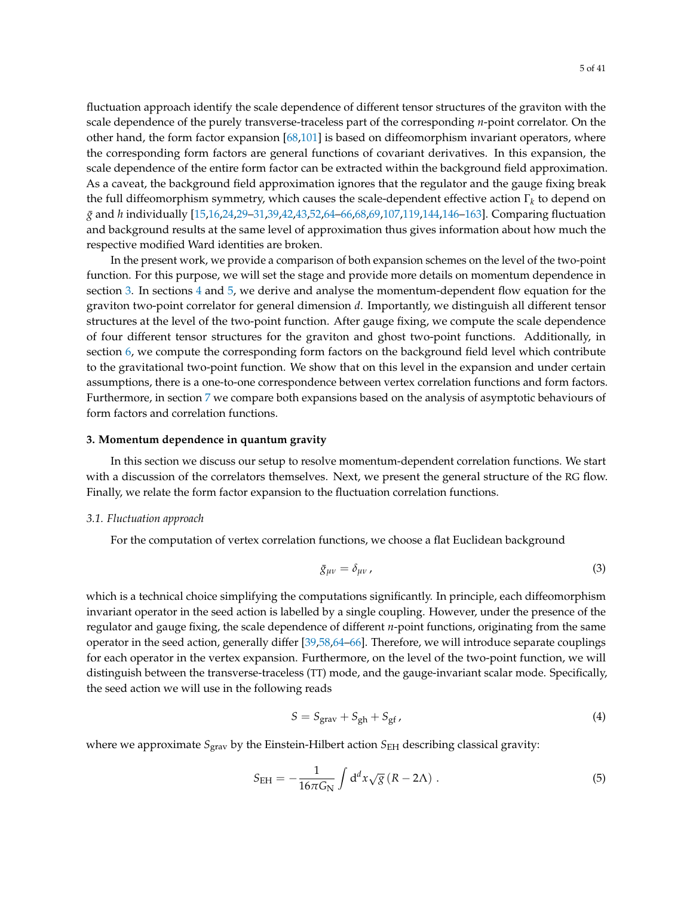fluctuation approach identify the scale dependence of different tensor structures of the graviton with the scale dependence of the purely transverse-traceless part of the corresponding *n*-point correlator. On the other hand, the form factor expansion [\[68](#page-35-9)[,101\]](#page-36-8) is based on diffeomorphism invariant operators, where the corresponding form factors are general functions of covariant derivatives. In this expansion, the scale dependence of the entire form factor can be extracted within the background field approximation. As a caveat, the background field approximation ignores that the regulator and the gauge fixing break the full diffeomorphism symmetry, which causes the scale-dependent effective action Γ*<sup>k</sup>* to depend on *g*¯ and *h* individually [\[15](#page-32-5)[,16,](#page-32-6)[24,](#page-33-6)[29](#page-33-7)[–31,](#page-33-0)[39,](#page-33-8)[42](#page-34-9)[,43](#page-34-6)[,52](#page-34-7)[,64](#page-35-7)[–66,](#page-35-8)[68,](#page-35-9)[69,](#page-35-6)[107,](#page-36-5)[119](#page-37-3)[,144](#page-38-3)[,146–](#page-38-4)[163\]](#page-39-0). Comparing fluctuation and background results at the same level of approximation thus gives information about how much the respective modified Ward identities are broken.

In the present work, we provide a comparison of both expansion schemes on the level of the two-point function. For this purpose, we will set the stage and provide more details on momentum dependence in section [3.](#page-4-0) In sections [4](#page-13-0) and [5,](#page-19-0) we derive and analyse the momentum-dependent flow equation for the graviton two-point correlator for general dimension *d*. Importantly, we distinguish all different tensor structures at the level of the two-point function. After gauge fixing, we compute the scale dependence of four different tensor structures for the graviton and ghost two-point functions. Additionally, in section [6,](#page-23-0) we compute the corresponding form factors on the background field level which contribute to the gravitational two-point function. We show that on this level in the expansion and under certain assumptions, there is a one-to-one correspondence between vertex correlation functions and form factors. Furthermore, in section [7](#page-23-1) we compare both expansions based on the analysis of asymptotic behaviours of form factors and correlation functions.

#### <span id="page-4-0"></span>**3. Momentum dependence in quantum gravity**

In this section we discuss our setup to resolve momentum-dependent correlation functions. We start with a discussion of the correlators themselves. Next, we present the general structure of the RG flow. Finally, we relate the form factor expansion to the fluctuation correlation functions.

#### <span id="page-4-1"></span>*3.1. Fluctuation approach*

For the computation of vertex correlation functions, we choose a flat Euclidean background

$$
\bar{g}_{\mu\nu} = \delta_{\mu\nu} \,, \tag{3}
$$

which is a technical choice simplifying the computations significantly. In principle, each diffeomorphism invariant operator in the seed action is labelled by a single coupling. However, under the presence of the regulator and gauge fixing, the scale dependence of different *n*-point functions, originating from the same operator in the seed action, generally differ [\[39,](#page-33-8)[58](#page-34-8)[,64](#page-35-7)[–66\]](#page-35-8). Therefore, we will introduce separate couplings for each operator in the vertex expansion. Furthermore, on the level of the two-point function, we will distinguish between the transverse-traceless (TT) mode, and the gauge-invariant scalar mode. Specifically, the seed action we will use in the following reads

$$
S = S_{\text{grav}} + S_{\text{gh}} + S_{\text{gf}} \,, \tag{4}
$$

where we approximate  $S_{grav}$  by the Einstein-Hilbert action  $S_{EH}$  describing classical gravity:

$$
S_{\rm EH} = -\frac{1}{16\pi G_{\rm N}} \int d^d x \sqrt{g} (R - 2\Lambda) . \tag{5}
$$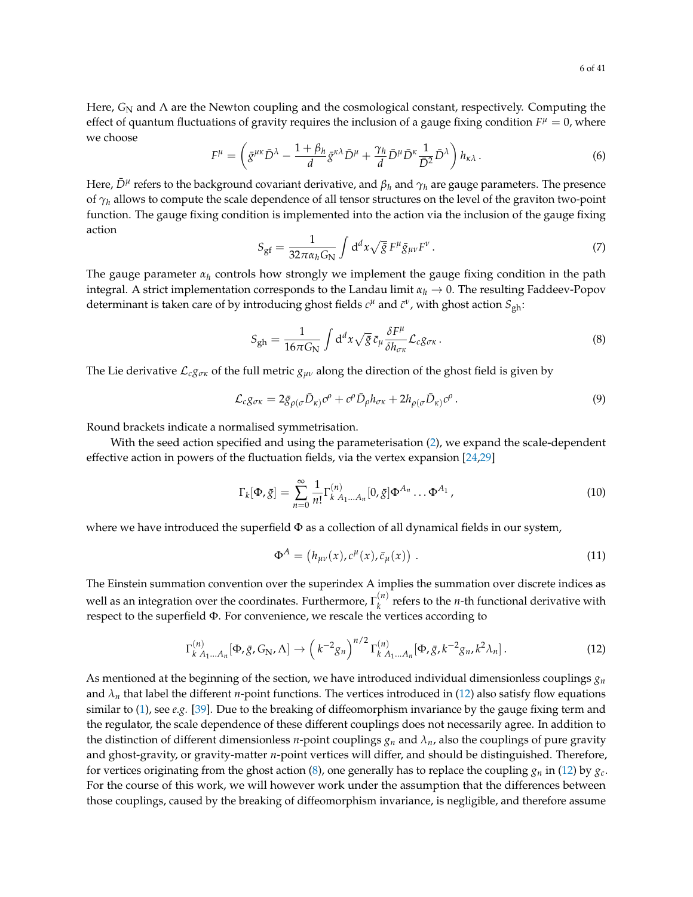Here, *G*<sub>N</sub> and Λ are the Newton coupling and the cosmological constant, respectively. Computing the effect of quantum fluctuations of gravity requires the inclusion of a gauge fixing condition  $F^{\mu} = 0$ , where we choose

<span id="page-5-2"></span>
$$
F^{\mu} = \left( \bar{g}^{\mu\kappa} \bar{D}^{\lambda} - \frac{1 + \beta_h}{d} \bar{g}^{\kappa\lambda} \bar{D}^{\mu} + \frac{\gamma_h}{d} \bar{D}^{\mu} \bar{D}^{\kappa} \frac{1}{\bar{D}^2} \bar{D}^{\lambda} \right) h_{\kappa\lambda} \,. \tag{6}
$$

Here,  $\bar{D}^{\mu}$  refers to the background covariant derivative, and  $\beta_h$  and  $\gamma_h$  are gauge parameters. The presence of *γ<sup>h</sup>* allows to compute the scale dependence of all tensor structures on the level of the graviton two-point function. The gauge fixing condition is implemented into the action via the inclusion of the gauge fixing action

$$
S_{\rm gf} = \frac{1}{32\pi\alpha_h G_N} \int d^d x \sqrt{\bar{g}} F^\mu \bar{g}_{\mu\nu} F^\nu \,. \tag{7}
$$

The gauge parameter *α<sup>h</sup>* controls how strongly we implement the gauge fixing condition in the path integral. A strict implementation corresponds to the Landau limit  $\alpha_h \to 0$ . The resulting Faddeev-Popov determinant is taken care of by introducing ghost fields  $c^{\mu}$  and  $\bar{c}^{\nu}$ , with ghost action  $S_{\text{gh}}$ :

<span id="page-5-1"></span>
$$
S_{gh} = \frac{1}{16\pi G_N} \int d^d x \sqrt{\bar{g}} \,\bar{c}_{\mu} \frac{\delta F^{\mu}}{\delta h_{\sigma\kappa}} \mathcal{L}_c g_{\sigma\kappa} \,. \tag{8}
$$

The Lie derivative  $\mathcal{L}_{cg\sigma\kappa}$  of the full metric  $g_{\mu\nu}$  along the direction of the ghost field is given by

$$
\mathcal{L}_c g_{\sigma\kappa} = 2\bar{g}_{\rho(\sigma}\bar{D}_{\kappa)}c^{\rho} + c^{\rho}\bar{D}_{\rho}h_{\sigma\kappa} + 2h_{\rho(\sigma}\bar{D}_{\kappa)}c^{\rho}.
$$
\n(9)

Round brackets indicate a normalised symmetrisation.

With the seed action specified and using the parameterisation [\(2\)](#page-3-0), we expand the scale-dependent effective action in powers of the fluctuation fields, via the vertex expansion [\[24](#page-33-6)[,29\]](#page-33-7)

<span id="page-5-3"></span>
$$
\Gamma_k[\Phi, \bar{g}] = \sum_{n=0}^{\infty} \frac{1}{n!} \Gamma_{k \, A_1 \dots A_n}^{(n)}[0, \bar{g}] \Phi^{A_n} \dots \Phi^{A_1}, \qquad (10)
$$

where we have introduced the superfield  $\Phi$  as a collection of all dynamical fields in our system,

$$
\Phi^A = (h_{\mu\nu}(x), c^{\mu}(x), \bar{c}_{\mu}(x)) \tag{11}
$$

The Einstein summation convention over the superindex A implies the summation over discrete indices as well as an integration over the coordinates. Furthermore,  $\Gamma_k^{(n)}$  $\binom{n}{k}$  refers to the *n*-th functional derivative with respect to the superfield Φ. For convenience, we rescale the vertices according to

<span id="page-5-0"></span>
$$
\Gamma_{k\ A_{1}...A_{n}}^{(n)}[\Phi,\bar{g},G_{N},\Lambda] \to \left(k^{-2}g_{n}\right)^{n/2}\Gamma_{k\ A_{1}...A_{n}}^{(n)}[\Phi,\bar{g},k^{-2}g_{n},k^{2}\lambda_{n}].
$$
\n(12)

As mentioned at the beginning of the section, we have introduced individual dimensionless couplings  $g_n$ and  $\lambda_n$  that label the different *n*-point functions. The vertices introduced in [\(12\)](#page-5-0) also satisfy flow equations similar to [\(1\)](#page-2-1), see *e.g.* [\[39\]](#page-33-8). Due to the breaking of diffeomorphism invariance by the gauge fixing term and the regulator, the scale dependence of these different couplings does not necessarily agree. In addition to the distinction of different dimensionless *n*-point couplings  $g_n$  and  $\lambda_n$ , also the couplings of pure gravity and ghost-gravity, or gravity-matter *n*-point vertices will differ, and should be distinguished. Therefore, for vertices originating from the ghost action [\(8\)](#page-5-1), one generally has to replace the coupling  $g_n$  in [\(12\)](#page-5-0) by  $g_c$ . For the course of this work, we will however work under the assumption that the differences between those couplings, caused by the breaking of diffeomorphism invariance, is negligible, and therefore assume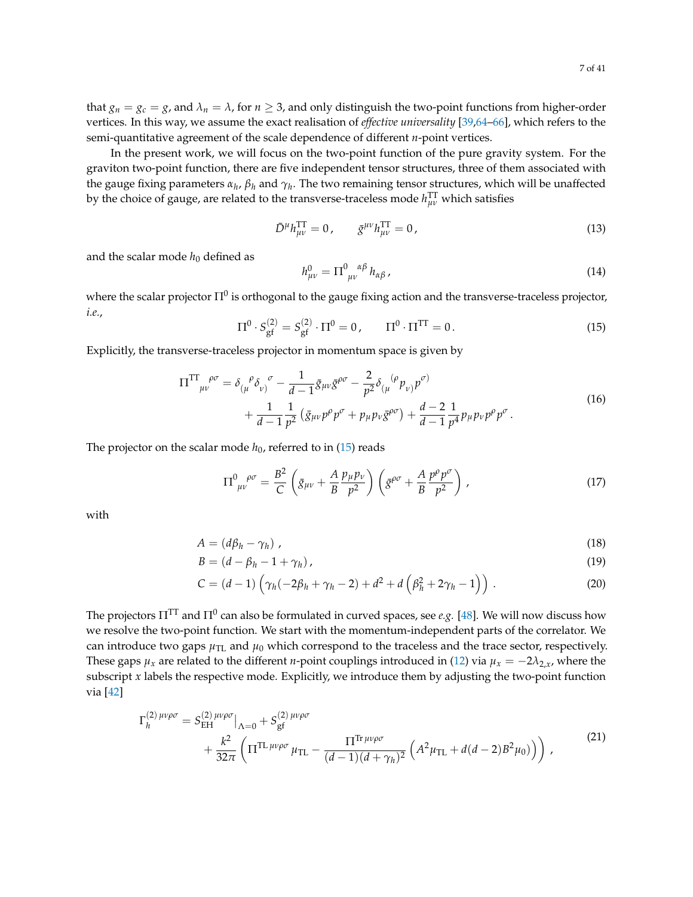that  $g_n = g_c = g$ , and  $\lambda_n = \lambda$ , for  $n \geq 3$ , and only distinguish the two-point functions from higher-order vertices. In this way, we assume the exact realisation of *effective universality* [\[39](#page-33-8)[,64–](#page-35-7)[66\]](#page-35-8), which refers to the semi-quantitative agreement of the scale dependence of different *n*-point vertices.

In the present work, we will focus on the two-point function of the pure gravity system. For the graviton two-point function, there are five independent tensor structures, three of them associated with the gauge fixing parameters *α<sup>h</sup>* , *β<sup>h</sup>* and *γ<sup>h</sup>* . The two remaining tensor structures, which will be unaffected by the choice of gauge, are related to the transverse-traceless mode *h* TT *µν* which satisfies

$$
\bar{D}^{\mu}h_{\mu\nu}^{\text{TT}} = 0, \qquad \bar{g}^{\mu\nu}h_{\mu\nu}^{\text{TT}} = 0, \tag{13}
$$

and the scalar mode  $h_0$  defined as

$$
h_{\mu\nu}^{0} = \Pi_{\mu\nu}^{0}{}^{\alpha\beta} h_{\alpha\beta} \,, \tag{14}
$$

where the scalar projector  $\Pi^0$  is orthogonal to the gauge fixing action and the transverse-traceless projector, *i.e.*,

<span id="page-6-0"></span>
$$
\Pi^0 \cdot S_{\text{gf}}^{(2)} = S_{\text{gf}}^{(2)} \cdot \Pi^0 = 0, \qquad \Pi^0 \cdot \Pi^{\text{TT}} = 0. \tag{15}
$$

Explicitly, the transverse-traceless projector in momentum space is given by

<span id="page-6-5"></span>
$$
\Pi^{\text{TT}}{}_{\mu\nu}^{\rho\sigma} = \delta_{(\mu}^{\ \rho}\delta_{\nu)}^{\ \sigma} - \frac{1}{d-1}\bar{g}_{\mu\nu}\bar{g}^{\rho\sigma} - \frac{2}{p^2}\delta_{(\mu}^{\ \ (\rho}p_{\nu)}^{\ \ \rho\sigma)} + \frac{1}{d-1}\frac{1}{p^2}\left(\bar{g}_{\mu\nu}p^{\rho}p^{\sigma} + p_{\mu}p_{\nu}\bar{g}^{\rho\sigma}\right) + \frac{d-2}{d-1}\frac{1}{p^4}p_{\mu}p_{\nu}p^{\rho}p^{\sigma}.
$$
\n(16)

The projector on the scalar mode  $h_0$ , referred to in  $(15)$  reads

<span id="page-6-4"></span><span id="page-6-3"></span><span id="page-6-2"></span>
$$
\Pi^{0 \ \rho\sigma}_{\ \mu\nu} = \frac{B^2}{C} \left( \bar{g}_{\mu\nu} + \frac{A}{B} \frac{p_{\mu}p_{\nu}}{p^2} \right) \left( \bar{g}^{\rho\sigma} + \frac{A}{B} \frac{p^{\rho}p^{\sigma}}{p^2} \right) , \tag{17}
$$

with

$$
A = (d\beta_h - \gamma_h) \tag{18}
$$

$$
B = (d - \beta_h - 1 + \gamma_h), \tag{19}
$$

$$
C = (d-1)\left(\gamma_h(-2\beta_h + \gamma_h - 2) + d^2 + d\left(\beta_h^2 + 2\gamma_h - 1\right)\right). \tag{20}
$$

The projectors  $\Pi^{\text{TT}}$  and  $\Pi^0$  can also be formulated in curved spaces, see  $e.g.$  [\[48\]](#page-34-0). We will now discuss how we resolve the two-point function. We start with the momentum-independent parts of the correlator. We can introduce two gaps  $\mu_{\text{TL}}$  and  $\mu_0$  which correspond to the traceless and the trace sector, respectively. These gaps  $\mu_x$  are related to the different *n*-point couplings introduced in [\(12\)](#page-5-0) via  $\mu_x = -2\lambda_{2x}$ , where the subscript *x* labels the respective mode. Explicitly, we introduce them by adjusting the two-point function via [\[42\]](#page-34-9)

<span id="page-6-1"></span>
$$
\Gamma_h^{(2)\,\mu\nu\rho\sigma} = S_{\text{EH}}^{(2)\,\mu\nu\rho\sigma} \Big|_{\Lambda=0} + S_{\text{gf}}^{(2)\,\mu\nu\rho\sigma} + \frac{k^2}{32\pi} \left( \Pi^{\text{TL}\,\mu\nu\rho\sigma} \mu_{\text{TL}} - \frac{\Pi^{\text{Tr}\,\mu\nu\rho\sigma}}{(d-1)(d+\gamma_h)^2} \left( A^2 \mu_{\text{TL}} + d(d-2)B^2 \mu_0) \right) \right) , \tag{21}
$$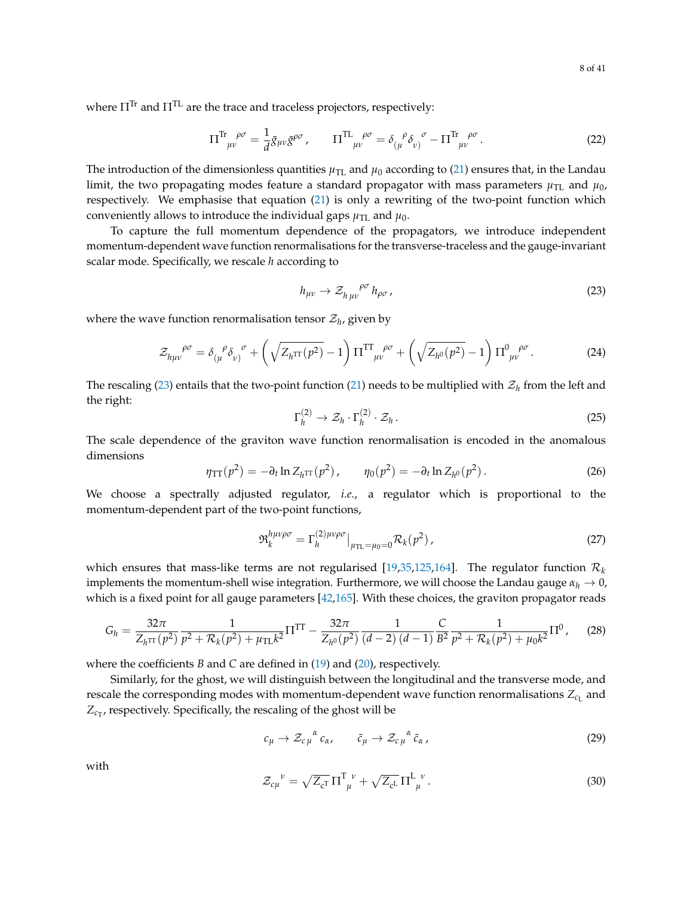where  $\Pi^{\text{Tr}}$  and  $\Pi^{\text{TL}}$  are the trace and traceless projectors, respectively:

$$
\Pi^{\text{Tr}}{}_{\mu\nu}^{\rho\sigma} = \frac{1}{d}\bar{g}_{\mu\nu}\bar{g}^{\rho\sigma}, \qquad \Pi^{\text{TL}}{}_{\mu\nu}^{\rho\sigma} = \delta_{(\mu}^{\ \ \rho}\delta_{\nu)}^{\ \ \sigma} - \Pi^{\text{Tr}}{}_{\mu\nu}^{\ \rho\sigma}.
$$

The introduction of the dimensionless quantities  $\mu_{\text{TL}}$  and  $\mu_0$  according to [\(21\)](#page-6-1) ensures that, in the Landau limit, the two propagating modes feature a standard propagator with mass parameters  $\mu_{\text{TL}}$  and  $\mu_0$ , respectively. We emphasise that equation [\(21\)](#page-6-1) is only a rewriting of the two-point function which conveniently allows to introduce the individual gaps  $\mu_{\text{TL}}$  and  $\mu_{0}$ .

To capture the full momentum dependence of the propagators, we introduce independent momentum-dependent wave function renormalisations for the transverse-traceless and the gauge-invariant scalar mode. Specifically, we rescale *h* according to

<span id="page-7-0"></span>
$$
h_{\mu\nu} \to \mathcal{Z}_{h\,\mu\nu}^{\quad \rho\sigma} h_{\rho\sigma} \,, \tag{23}
$$

where the wave function renormalisation tensor  $\mathcal{Z}_h$ , given by

$$
\mathcal{Z}_{h\mu\nu}^{\quad \rho\sigma} = \delta_{(\mu}^{\quad \rho}\delta_{\nu)}^{\quad \sigma} + \left(\sqrt{Z_{h^{\text{TT}}}^{\quad (\rho^2)}} - 1\right)\Pi^{\text{TT}}_{\mu\nu}^{\quad \rho\sigma} + \left(\sqrt{Z_{h^0}^{\quad (\rho^2)}} - 1\right)\Pi^0_{\mu\nu}^{\quad \rho\sigma}.
$$
\n(24)

The rescaling [\(23\)](#page-7-0) entails that the two-point function [\(21\)](#page-6-1) needs to be multiplied with  $\mathcal{Z}_h$  from the left and the right:

$$
\Gamma_h^{(2)} \to \mathcal{Z}_h \cdot \Gamma_h^{(2)} \cdot \mathcal{Z}_h \,. \tag{25}
$$

The scale dependence of the graviton wave function renormalisation is encoded in the anomalous dimensions

<span id="page-7-3"></span>
$$
\eta_{TT}(p^2) = -\partial_t \ln Z_{h^{TT}}(p^2), \qquad \eta_0(p^2) = -\partial_t \ln Z_{h^0}(p^2).
$$
 (26)

We choose a spectrally adjusted regulator, *i.e.*, a regulator which is proportional to the momentum-dependent part of the two-point functions,

<span id="page-7-2"></span>
$$
\mathfrak{R}_k^{h\mu\nu\rho\sigma} = \Gamma_h^{(2)\mu\nu\rho\sigma} \big|_{\mu_{\text{TL}} = \mu_0 = 0} \mathcal{R}_k(p^2) \,, \tag{27}
$$

which ensures that mass-like terms are not regularised  $[19,35,125,164]$  $[19,35,125,164]$  $[19,35,125,164]$  $[19,35,125,164]$ . The regulator function  $\mathcal{R}_k$ implements the momentum-shell wise integration. Furthermore, we will choose the Landau gauge  $\alpha_h \to 0$ , which is a fixed point for all gauge parameters [\[42](#page-34-9)[,165\]](#page-39-2). With these choices, the graviton propagator reads

<span id="page-7-1"></span>
$$
G_h = \frac{32\pi}{Z_{h^{\rm TT}}(p^2)} \frac{1}{p^2 + \mathcal{R}_k(p^2) + \mu_{\rm TL} k^2} \Pi^{\rm TT} - \frac{32\pi}{Z_{h^0}(p^2)} \frac{1}{(d-2)(d-1)} \frac{C}{B^2} \frac{1}{p^2 + \mathcal{R}_k(p^2) + \mu_0 k^2} \Pi^0,
$$
 (28)

where the coefficients *B* and *C* are defined in [\(19\)](#page-6-2) and [\(20\)](#page-6-3), respectively.

Similarly, for the ghost, we will distinguish between the longitudinal and the transverse mode, and rescale the corresponding modes with momentum-dependent wave function renormalisations  $Z_{c_\mathrm{L}}$  and  $Z_{c_T}$ , respectively. Specifically, the rescaling of the ghost will be

$$
c_{\mu} \to \mathcal{Z}_{c\mu}^{\ \alpha} c_{\alpha}, \qquad \bar{c}_{\mu} \to \mathcal{Z}_{c\mu}^{\ \alpha} \bar{c}_{\alpha}, \qquad (29)
$$

with

$$
\mathcal{Z}_{c\mu}^{\ \ \nu} = \sqrt{Z_{c}T} \Pi_{\ \mu}^{T\ \nu} + \sqrt{Z_{c}L} \Pi_{\ \mu}^{L\ \nu} \,. \tag{30}
$$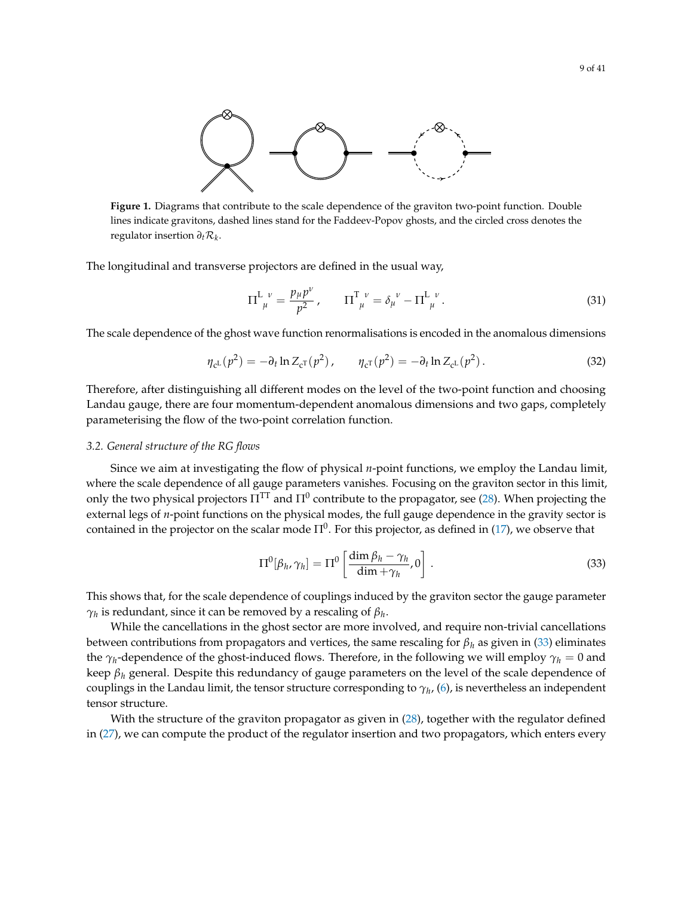<span id="page-8-2"></span>

**Figure 1.** Diagrams that contribute to the scale dependence of the graviton two-point function. Double lines indicate gravitons, dashed lines stand for the Faddeev-Popov ghosts, and the circled cross denotes the regulator insertion *∂t*R*<sup>k</sup>* .

The longitudinal and transverse projectors are defined in the usual way,

<span id="page-8-3"></span>
$$
\Pi_{\ \mu}^{L\ \nu} = \frac{p_{\mu}p^{\nu}}{p^2}, \qquad \Pi_{\ \mu}^{T\ \nu} = \delta_{\mu}^{\ \nu} - \Pi_{\ \mu}^{L\ \nu}.
$$
 (31)

The scale dependence of the ghost wave function renormalisations is encoded in the anomalous dimensions

<span id="page-8-4"></span>
$$
\eta_{c^{L}}(p^{2}) = -\partial_{t} \ln Z_{c^{T}}(p^{2}), \qquad \eta_{c^{T}}(p^{2}) = -\partial_{t} \ln Z_{c^{L}}(p^{2}). \qquad (32)
$$

Therefore, after distinguishing all different modes on the level of the two-point function and choosing Landau gauge, there are four momentum-dependent anomalous dimensions and two gaps, completely parameterising the flow of the two-point correlation function.

#### <span id="page-8-0"></span>*3.2. General structure of the RG flows*

Since we aim at investigating the flow of physical *n*-point functions, we employ the Landau limit, where the scale dependence of all gauge parameters vanishes. Focusing on the graviton sector in this limit, only the two physical projectors  $\Pi^{\rm TT}$  and  $\Pi^0$  contribute to the propagator, see [\(28\)](#page-7-1). When projecting the external legs of *n*-point functions on the physical modes, the full gauge dependence in the gravity sector is contained in the projector on the scalar mode  $\Pi^0.$  For this projector, as defined in [\(17\)](#page-6-4), we observe that

<span id="page-8-1"></span>
$$
\Pi^0[\beta_h, \gamma_h] = \Pi^0 \left[ \frac{\dim \beta_h - \gamma_h}{\dim + \gamma_h}, 0 \right]. \tag{33}
$$

This shows that, for the scale dependence of couplings induced by the graviton sector the gauge parameter *γh* is redundant, since it can be removed by a rescaling of *β<sup>h</sup>* .

While the cancellations in the ghost sector are more involved, and require non-trivial cancellations between contributions from propagators and vertices, the same rescaling for *β<sup>h</sup>* as given in [\(33\)](#page-8-1) eliminates the  $\gamma_h$ -dependence of the ghost-induced flows. Therefore, in the following we will employ  $\gamma_h=0$  and keep *β<sup>h</sup>* general. Despite this redundancy of gauge parameters on the level of the scale dependence of couplings in the Landau limit, the tensor structure corresponding to  $\gamma_h$ , [\(6\)](#page-5-2), is nevertheless an independent tensor structure.

With the structure of the graviton propagator as given in [\(28\)](#page-7-1), together with the regulator defined in [\(27\)](#page-7-2), we can compute the product of the regulator insertion and two propagators, which enters every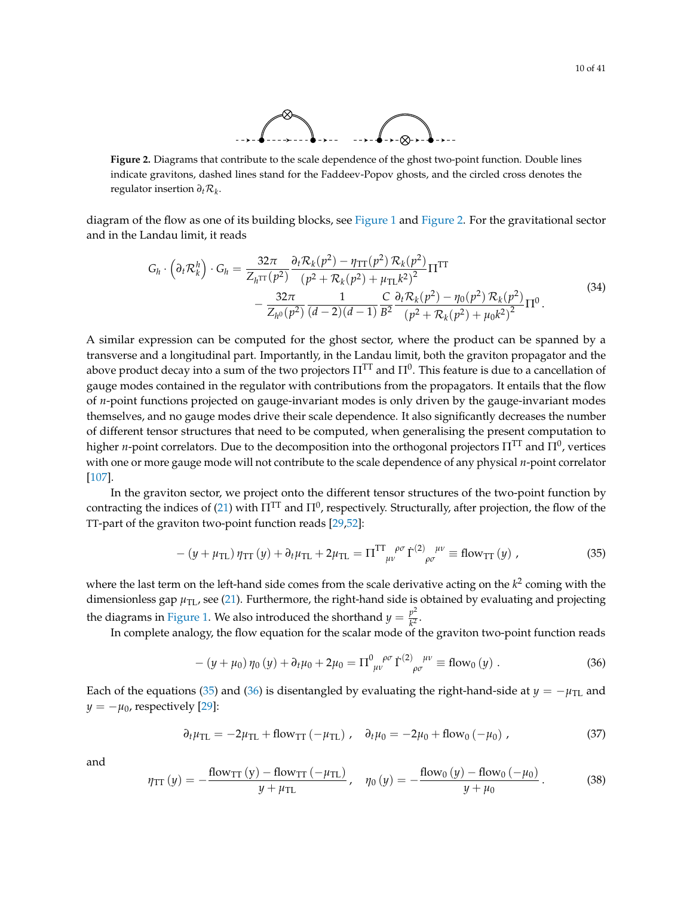

<span id="page-9-0"></span>**Figure 2.** Diagrams that contribute to the scale dependence of the ghost two-point function. Double lines indicate gravitons, dashed lines stand for the Faddeev-Popov ghosts, and the circled cross denotes the regulator insertion *∂t*R*<sup>k</sup>* .

diagram of the flow as one of its building blocks, see [Figure 1](#page-8-2) and [Figure 2.](#page-9-0) For the gravitational sector and in the Landau limit, it reads

$$
G_h \cdot \left(\partial_t \mathcal{R}_k^h\right) \cdot G_h = \frac{32\pi}{Z_h \pi (p^2)} \frac{\partial_t \mathcal{R}_k(p^2) - \eta_{TT}(p^2) \mathcal{R}_k(p^2)}{(p^2 + \mathcal{R}_k(p^2) + \mu_{TL}k^2)^2} \Pi^{TT}
$$
  
- 
$$
\frac{32\pi}{Z_{h^0}(p^2)} \frac{1}{(d-2)(d-1)} \frac{C}{B^2} \frac{\partial_t \mathcal{R}_k(p^2) - \eta_0(p^2) \mathcal{R}_k(p^2)}{(p^2 + \mathcal{R}_k(p^2) + \mu_0k^2)^2} \Pi^0.
$$
 (34)

A similar expression can be computed for the ghost sector, where the product can be spanned by a transverse and a longitudinal part. Importantly, in the Landau limit, both the graviton propagator and the above product decay into a sum of the two projectors  $\Pi^{\rm TT}$  and  $\Pi^0.$  This feature is due to a cancellation of gauge modes contained in the regulator with contributions from the propagators. It entails that the flow of *n*-point functions projected on gauge-invariant modes is only driven by the gauge-invariant modes themselves, and no gauge modes drive their scale dependence. It also significantly decreases the number of different tensor structures that need to be computed, when generalising the present computation to higher *n*-point correlators. Due to the decomposition into the orthogonal projectors  $\Pi^{\text{IT}}$  and  $\Pi^0$ , vertices with one or more gauge mode will not contribute to the scale dependence of any physical *n*-point correlator [\[107\]](#page-36-5).

In the graviton sector, we project onto the different tensor structures of the two-point function by contracting the indices of [\(21\)](#page-6-1) with  $\Pi^{\rm TT}$  and  $\Pi^0$ , respectively. Structurally, after projection, the flow of the TT-part of the graviton two-point function reads [\[29](#page-33-7)[,52\]](#page-34-7):

<span id="page-9-1"></span>
$$
-(y+\mu_{\text{TL}})\,\eta_{\text{TT}}\,(y)+\partial_t\mu_{\text{TL}}+2\mu_{\text{TL}}=\Pi^{\text{TT}}_{\mu\nu}^{\rho\sigma}\,\dot{\Gamma}^{(2)}_{\rho\sigma}^{\mu\nu}\equiv\text{flow}_{\text{TT}}\,(y)\,,\tag{35}
$$

where the last term on the left-hand side comes from the scale derivative acting on the *k* 2 coming with the dimensionless gap  $\mu_{\text{TL}}$ , see [\(21\)](#page-6-1). Furthermore, the right-hand side is obtained by evaluating and projecting the diagrams in [Figure 1.](#page-8-2) We also introduced the shorthand  $y = \frac{p^2}{k^2}$  $\frac{p}{k^2}$ .

In complete analogy, the flow equation for the scalar mode of the graviton two-point function reads

<span id="page-9-2"></span>
$$
-(y + \mu_0)\,\eta_0\,(y) + \partial_t\mu_0 + 2\mu_0 = \Pi^0_{\mu\nu}^{\rho\sigma}\,\dot{\Gamma}^{(2)}_{\rho\sigma}^{\mu\nu} \equiv \text{flow}_0\,(y) \ . \tag{36}
$$

Each of the equations [\(35\)](#page-9-1) and [\(36\)](#page-9-2) is disentangled by evaluating the right-hand-side at  $y = -\mu_{\text{TL}}$  and  $y = -\mu_0$ , respectively [\[29\]](#page-33-7):

$$
\partial_t \mu_{\rm TL} = -2\mu_{\rm TL} + \text{flow}_{\rm TT} \left( -\mu_{\rm TL} \right), \quad \partial_t \mu_0 = -2\mu_0 + \text{flow}_0 \left( -\mu_0 \right), \tag{37}
$$

and

$$
\eta_{TT}(y) = -\frac{\text{flow}_{TT}(y) - \text{flow}_{TT}(-\mu_{TL})}{y + \mu_{TL}}, \quad \eta_0(y) = -\frac{\text{flow}_0(y) - \text{flow}_0(-\mu_0)}{y + \mu_0}.
$$
 (38)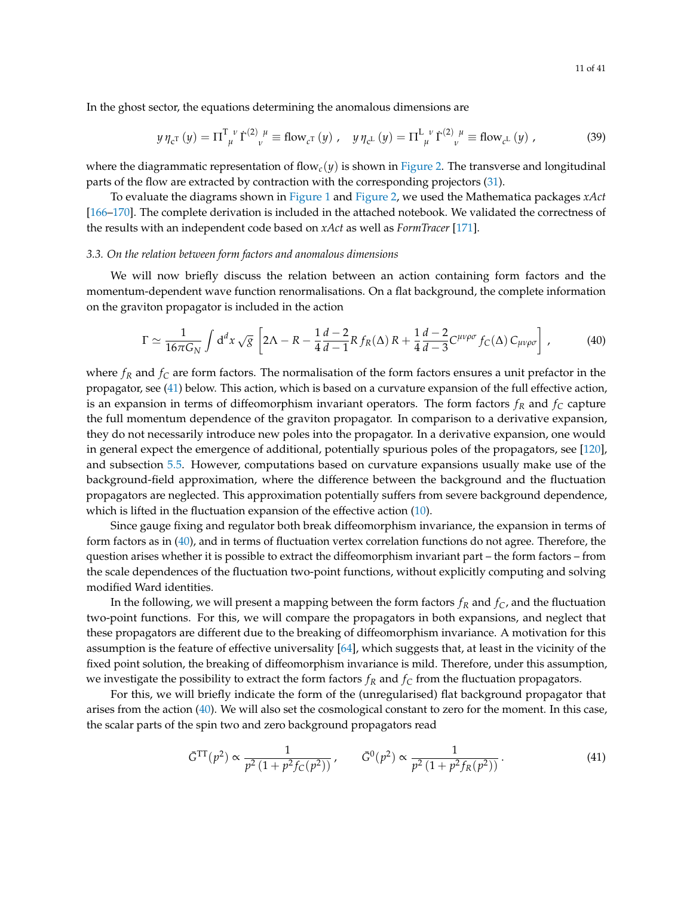In the ghost sector, the equations determining the anomalous dimensions are

$$
y \eta_{c^{T}}(y) = \Pi_{\mu}^{T}{}^{\nu} \dot{\Gamma}^{(2)}{}_{\nu}{}^{\mu} \equiv \text{flow}_{c^{T}}(y) , \quad y \eta_{c^{L}}(y) = \Pi_{\mu}^{L}{}^{\nu} \dot{\Gamma}^{(2)}{}_{\nu}{}^{\mu} \equiv \text{flow}_{c^{L}}(y) , \tag{39}
$$

where the diagrammatic representation of flow<sub>c</sub>( $y$ ) is shown in [Figure 2.](#page-9-0) The transverse and longitudinal parts of the flow are extracted by contraction with the corresponding projectors [\(31\)](#page-8-3).

To evaluate the diagrams shown in [Figure 1](#page-8-2) and [Figure 2,](#page-9-0) we used the Mathematica packages *xAct* [\[166–](#page-39-3)[170\]](#page-39-4). The complete derivation is included in the attached notebook. We validated the correctness of the results with an independent code based on *xAct* as well as *FormTracer* [\[171\]](#page-39-5).

#### <span id="page-10-0"></span>*3.3. On the relation between form factors and anomalous dimensions*

We will now briefly discuss the relation between an action containing form factors and the momentum-dependent wave function renormalisations. On a flat background, the complete information on the graviton propagator is included in the action

<span id="page-10-2"></span>
$$
\Gamma \simeq \frac{1}{16\pi G_N} \int d^d x \sqrt{g} \left[ 2\Lambda - R - \frac{1}{4} \frac{d-2}{d-1} R f_R(\Delta) R + \frac{1}{4} \frac{d-2}{d-3} C^{\mu\nu\rho\sigma} f_C(\Delta) C_{\mu\nu\rho\sigma} \right],
$$
(40)

where *f<sup>R</sup>* and *f<sup>C</sup>* are form factors. The normalisation of the form factors ensures a unit prefactor in the propagator, see [\(41\)](#page-10-1) below. This action, which is based on a curvature expansion of the full effective action, is an expansion in terms of diffeomorphism invariant operators. The form factors  $f_R$  and  $f_C$  capture the full momentum dependence of the graviton propagator. In comparison to a derivative expansion, they do not necessarily introduce new poles into the propagator. In a derivative expansion, one would in general expect the emergence of additional, potentially spurious poles of the propagators, see [\[120\]](#page-37-4), and subsection [5.5.](#page-22-1) However, computations based on curvature expansions usually make use of the background-field approximation, where the difference between the background and the fluctuation propagators are neglected. This approximation potentially suffers from severe background dependence, which is lifted in the fluctuation expansion of the effective action [\(10\)](#page-5-3).

Since gauge fixing and regulator both break diffeomorphism invariance, the expansion in terms of form factors as in [\(40\)](#page-10-2), and in terms of fluctuation vertex correlation functions do not agree. Therefore, the question arises whether it is possible to extract the diffeomorphism invariant part – the form factors – from the scale dependences of the fluctuation two-point functions, without explicitly computing and solving modified Ward identities.

In the following, we will present a mapping between the form factors  $f_R$  and  $f_C$ , and the fluctuation two-point functions. For this, we will compare the propagators in both expansions, and neglect that these propagators are different due to the breaking of diffeomorphism invariance. A motivation for this assumption is the feature of effective universality [\[64\]](#page-35-7), which suggests that, at least in the vicinity of the fixed point solution, the breaking of diffeomorphism invariance is mild. Therefore, under this assumption, we investigate the possibility to extract the form factors *f<sup>R</sup>* and *f<sup>C</sup>* from the fluctuation propagators.

For this, we will briefly indicate the form of the (unregularised) flat background propagator that arises from the action [\(40\)](#page-10-2). We will also set the cosmological constant to zero for the moment. In this case, the scalar parts of the spin two and zero background propagators read

<span id="page-10-1"></span>
$$
\bar{G}^{\rm TT}(p^2) \propto \frac{1}{p^2 \left(1 + p^2 f_C(p^2)\right)}, \qquad \bar{G}^0(p^2) \propto \frac{1}{p^2 \left(1 + p^2 f_R(p^2)\right)}.
$$
\n(41)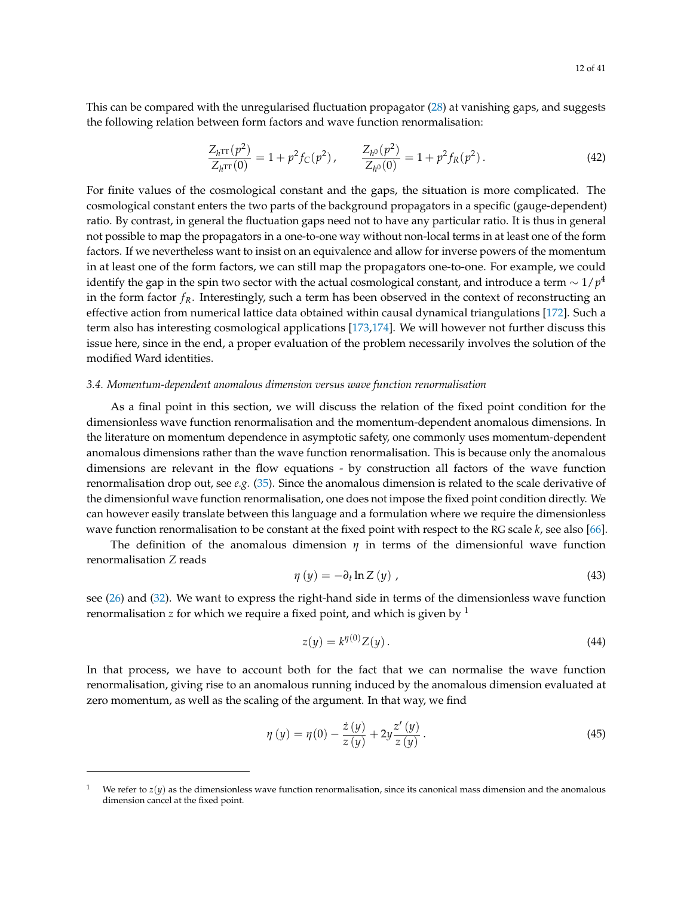This can be compared with the unregularised fluctuation propagator [\(28\)](#page-7-1) at vanishing gaps, and suggests the following relation between form factors and wave function renormalisation:

<span id="page-11-1"></span>
$$
\frac{Z_{h^{TT}}(p^2)}{Z_{h^{TT}}(0)} = 1 + p^2 f_C(p^2), \qquad \frac{Z_{h^0}(p^2)}{Z_{h^0}(0)} = 1 + p^2 f_R(p^2).
$$
 (42)

For finite values of the cosmological constant and the gaps, the situation is more complicated. The cosmological constant enters the two parts of the background propagators in a specific (gauge-dependent) ratio. By contrast, in general the fluctuation gaps need not to have any particular ratio. It is thus in general not possible to map the propagators in a one-to-one way without non-local terms in at least one of the form factors. If we nevertheless want to insist on an equivalence and allow for inverse powers of the momentum in at least one of the form factors, we can still map the propagators one-to-one. For example, we could identify the gap in the spin two sector with the actual cosmological constant, and introduce a term  $\sim$  1/ $p^4$ in the form factor  $f_R$ . Interestingly, such a term has been observed in the context of reconstructing an effective action from numerical lattice data obtained within causal dynamical triangulations [\[172\]](#page-39-6). Such a term also has interesting cosmological applications [\[173](#page-39-7)[,174\]](#page-39-8). We will however not further discuss this issue here, since in the end, a proper evaluation of the problem necessarily involves the solution of the modified Ward identities.

#### <span id="page-11-0"></span>*3.4. Momentum-dependent anomalous dimension versus wave function renormalisation*

As a final point in this section, we will discuss the relation of the fixed point condition for the dimensionless wave function renormalisation and the momentum-dependent anomalous dimensions. In the literature on momentum dependence in asymptotic safety, one commonly uses momentum-dependent anomalous dimensions rather than the wave function renormalisation. This is because only the anomalous dimensions are relevant in the flow equations - by construction all factors of the wave function renormalisation drop out, see *e.g.* [\(35\)](#page-9-1). Since the anomalous dimension is related to the scale derivative of the dimensionful wave function renormalisation, one does not impose the fixed point condition directly. We can however easily translate between this language and a formulation where we require the dimensionless wave function renormalisation to be constant at the fixed point with respect to the RG scale *k*, see also [\[66\]](#page-35-8).

The definition of the anomalous dimension *η* in terms of the dimensionful wave function renormalisation *Z* reads

$$
\eta\left(y\right) = -\partial_t \ln Z\left(y\right) \,,\tag{43}
$$

see [\(26\)](#page-7-3) and [\(32\)](#page-8-4). We want to express the right-hand side in terms of the dimensionless wave function renormalisation *z* for which we require a fixed point, and which is given by  $<sup>1</sup>$ </sup>

$$
z(y) = k^{\eta(0)} Z(y). \tag{44}
$$

In that process, we have to account both for the fact that we can normalise the wave function renormalisation, giving rise to an anomalous running induced by the anomalous dimension evaluated at zero momentum, as well as the scaling of the argument. In that way, we find

$$
\eta(y) = \eta(0) - \frac{\dot{z}(y)}{z(y)} + 2y \frac{z'(y)}{z(y)}.
$$
\n(45)

We refer to  $z(y)$  as the dimensionless wave function renormalisation, since its canonical mass dimension and the anomalous dimension cancel at the fixed point.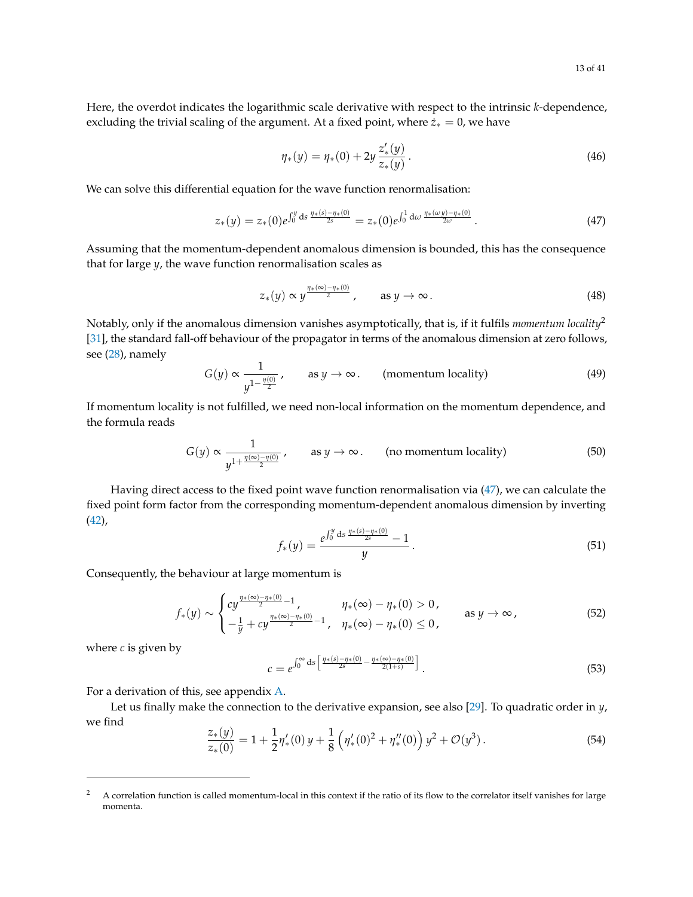Here, the overdot indicates the logarithmic scale derivative with respect to the intrinsic *k*-dependence, excluding the trivial scaling of the argument. At a fixed point, where  $\dot{z}_* = 0$ , we have

$$
\eta_*(y) = \eta_*(0) + 2y \frac{z'_*(y)}{z_*(y)}.
$$
\n(46)

We can solve this differential equation for the wave function renormalisation:

<span id="page-12-0"></span>
$$
z_*(y) = z_*(0)e^{\int_0^y ds \frac{\eta_*(s) - \eta_*(0)}{2s}} = z_*(0)e^{\int_0^1 d\omega \frac{\eta_*(\omega y) - \eta_*(0)}{2\omega}}.
$$
\n(47)

Assuming that the momentum-dependent anomalous dimension is bounded, this has the consequence that for large *y*, the wave function renormalisation scales as

$$
z_*(y) \propto y^{\frac{\eta * (\infty) - \eta * (0)}{2}}, \quad \text{as } y \to \infty.
$$
 (48)

Notably, only if the anomalous dimension vanishes asymptotically, that is, if it fulfils *momentum locality*<sup>2</sup> [\[31\]](#page-33-0), the standard fall-off behaviour of the propagator in terms of the anomalous dimension at zero follows, see [\(28\)](#page-7-1), namely

$$
G(y) \propto \frac{1}{y^{1-\frac{\eta(0)}{2}}}, \quad \text{as } y \to \infty. \quad \text{(momentum locality)} \tag{49}
$$

If momentum locality is not fulfilled, we need non-local information on the momentum dependence, and the formula reads

$$
G(y) \propto \frac{1}{y^{1 + \frac{\eta(\infty) - \eta(0)}{2}}}, \quad \text{as } y \to \infty. \quad \text{(no momentum locality)} \tag{50}
$$

Having direct access to the fixed point wave function renormalisation via [\(47\)](#page-12-0), we can calculate the fixed point form factor from the corresponding momentum-dependent anomalous dimension by inverting [\(42\)](#page-11-1),

<span id="page-12-1"></span>
$$
f_*(y) = \frac{e^{\int_0^y \text{ds} \, \frac{\eta * (s) - \eta * (0)}{2s}} - 1}{y} \, . \tag{51}
$$

Consequently, the behaviour at large momentum is

<span id="page-12-2"></span>
$$
f_*(y) \sim \begin{cases} cy^{\frac{\eta_*(\infty)-\eta_*(0)}{2}-1}, & \eta_*(\infty)-\eta_*(0) > 0, \\ -\frac{1}{y} + cy^{\frac{\eta_*(\infty)-\eta_*(0)}{2}-1}, & \eta_*(\infty)-\eta_*(0) \le 0, \end{cases} \qquad \text{as } y \to \infty,
$$
 (52)

where  $c$  is given by

$$
c = e^{\int_0^\infty ds \left[ \frac{\eta * (s) - \eta * (0)}{2s} - \frac{\eta * (\infty) - \eta * (0)}{2(1+s)} \right]}.
$$
\n(53)

For a derivation of this, see appendix [A.](#page-26-0)

Let us finally make the connection to the derivative expansion, see also [\[29\]](#page-33-7). To quadratic order in *y*, we find

$$
\frac{z_*(y)}{z_*(0)} = 1 + \frac{1}{2}\eta'_*(0)y + \frac{1}{8}\left(\eta'_*(0)^2 + \eta''_*(0)\right)y^2 + \mathcal{O}(y^3).
$$
\n(54)

<sup>&</sup>lt;sup>2</sup> A correlation function is called momentum-local in this context if the ratio of its flow to the correlator itself vanishes for large momenta.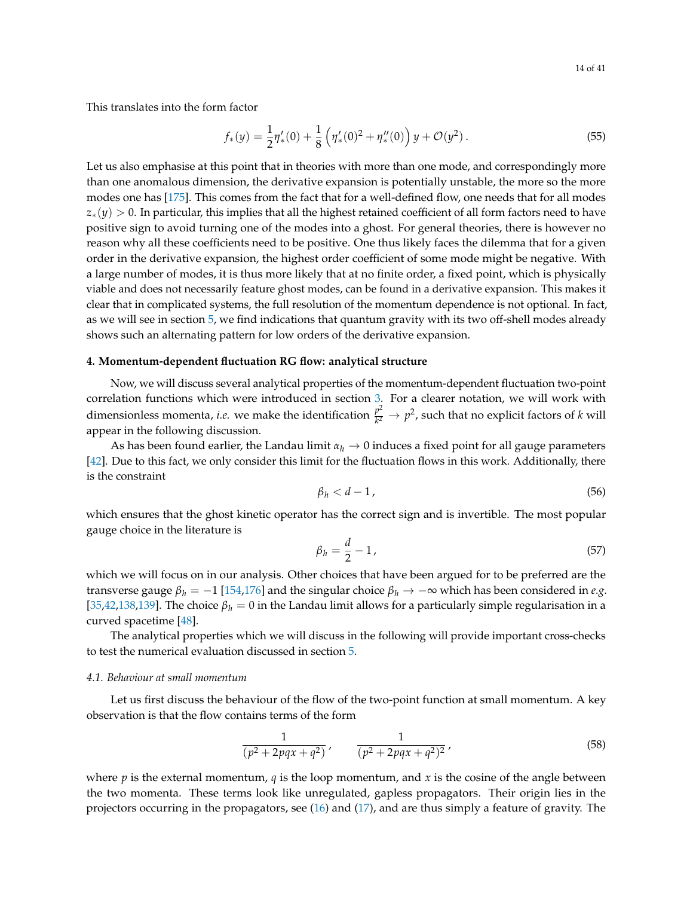This translates into the form factor

$$
f_*(y) = \frac{1}{2}\eta'_*(0) + \frac{1}{8}\left(\eta'_*(0)^2 + \eta''_*(0)\right)y + \mathcal{O}(y^2).
$$
 (55)

Let us also emphasise at this point that in theories with more than one mode, and correspondingly more than one anomalous dimension, the derivative expansion is potentially unstable, the more so the more modes one has [\[175\]](#page-39-9). This comes from the fact that for a well-defined flow, one needs that for all modes *z*<sub>∗</sub>(*y*) > 0. In particular, this implies that all the highest retained coefficient of all form factors need to have positive sign to avoid turning one of the modes into a ghost. For general theories, there is however no reason why all these coefficients need to be positive. One thus likely faces the dilemma that for a given order in the derivative expansion, the highest order coefficient of some mode might be negative. With a large number of modes, it is thus more likely that at no finite order, a fixed point, which is physically viable and does not necessarily feature ghost modes, can be found in a derivative expansion. This makes it clear that in complicated systems, the full resolution of the momentum dependence is not optional. In fact, as we will see in section [5,](#page-19-0) we find indications that quantum gravity with its two off-shell modes already shows such an alternating pattern for low orders of the derivative expansion.

## <span id="page-13-0"></span>**4. Momentum-dependent fluctuation RG flow: analytical structure**

Now, we will discuss several analytical properties of the momentum-dependent fluctuation two-point correlation functions which were introduced in section [3.](#page-4-0) For a clearer notation, we will work with dimensionless momenta, *i.e.* we make the identification  $\frac{p^2}{k^2}$  $\frac{p^2}{k^2} \to p^2$ , such that no explicit factors of *k* will appear in the following discussion.

As has been found earlier, the Landau limit  $\alpha_h \to 0$  induces a fixed point for all gauge parameters [\[42\]](#page-34-9). Due to this fact, we only consider this limit for the fluctuation flows in this work. Additionally, there is the constraint

<span id="page-13-2"></span>
$$
\beta_h < d - 1 \tag{56}
$$

which ensures that the ghost kinetic operator has the correct sign and is invertible. The most popular gauge choice in the literature is

$$
\beta_h = \frac{d}{2} - 1,\tag{57}
$$

which we will focus on in our analysis. Other choices that have been argued for to be preferred are the transverse gauge  $\beta_h = -1$  [\[154](#page-38-5)[,176\]](#page-39-10) and the singular choice  $\beta_h \to -\infty$  which has been considered in *e.g.* [\[35](#page-33-5)[,42](#page-34-9)[,138,](#page-38-6)[139\]](#page-38-7). The choice  $\beta_h = 0$  in the Landau limit allows for a particularly simple regularisation in a curved spacetime [\[48\]](#page-34-0).

The analytical properties which we will discuss in the following will provide important cross-checks to test the numerical evaluation discussed in section [5.](#page-19-0)

#### <span id="page-13-1"></span>*4.1. Behaviour at small momentum*

Let us first discuss the behaviour of the flow of the two-point function at small momentum. A key observation is that the flow contains terms of the form

<span id="page-13-3"></span>
$$
\frac{1}{(p^2+2pqx+q^2)}, \qquad \frac{1}{(p^2+2pqx+q^2)^2}, \tag{58}
$$

where  $p$  is the external momentum,  $q$  is the loop momentum, and  $x$  is the cosine of the angle between the two momenta. These terms look like unregulated, gapless propagators. Their origin lies in the projectors occurring in the propagators, see [\(16\)](#page-6-5) and [\(17\)](#page-6-4), and are thus simply a feature of gravity. The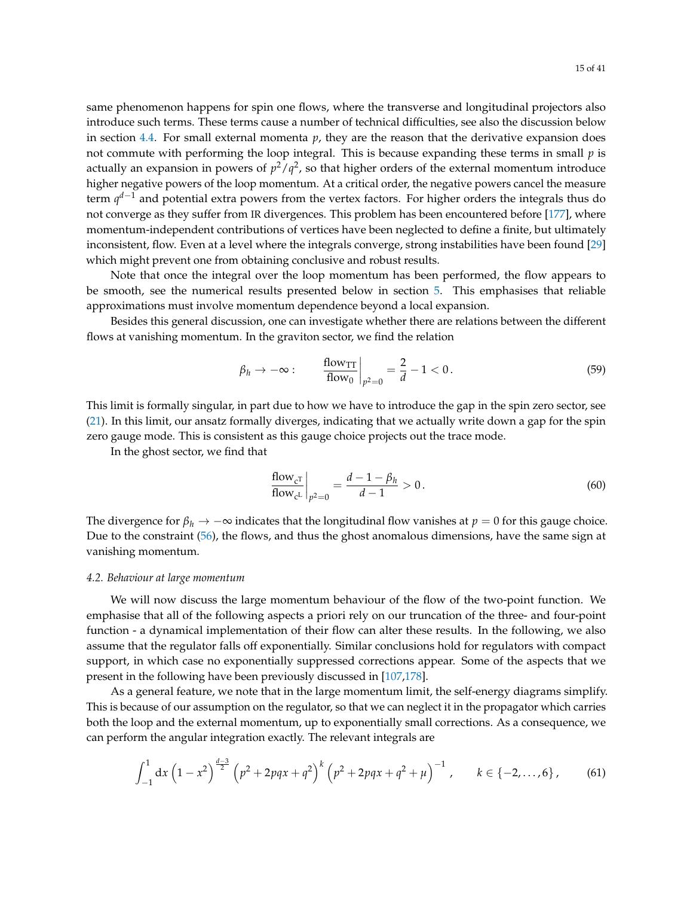same phenomenon happens for spin one flows, where the transverse and longitudinal projectors also introduce such terms. These terms cause a number of technical difficulties, see also the discussion below in section [4.4.](#page-18-0) For small external momenta *p*, they are the reason that the derivative expansion does not commute with performing the loop integral. This is because expanding these terms in small *p* is actually an expansion in powers of  $p^2/q^2$ , so that higher orders of the external momentum introduce higher negative powers of the loop momentum. At a critical order, the negative powers cancel the measure term *q <sup>d</sup>*−<sup>1</sup> and potential extra powers from the vertex factors. For higher orders the integrals thus do not converge as they suffer from IR divergences. This problem has been encountered before [\[177\]](#page-39-11), where momentum-independent contributions of vertices have been neglected to define a finite, but ultimately inconsistent, flow. Even at a level where the integrals converge, strong instabilities have been found [\[29\]](#page-33-7) which might prevent one from obtaining conclusive and robust results.

Note that once the integral over the loop momentum has been performed, the flow appears to be smooth, see the numerical results presented below in section [5.](#page-19-0) This emphasises that reliable approximations must involve momentum dependence beyond a local expansion.

Besides this general discussion, one can investigate whether there are relations between the different flows at vanishing momentum. In the graviton sector, we find the relation

$$
\beta_h \to -\infty: \qquad \frac{\text{flow}_{\text{TT}}}{\text{flow}_0}\bigg|_{p^2=0} = \frac{2}{d} - 1 < 0. \tag{59}
$$

This limit is formally singular, in part due to how we have to introduce the gap in the spin zero sector, see [\(21\)](#page-6-1). In this limit, our ansatz formally diverges, indicating that we actually write down a gap for the spin zero gauge mode. This is consistent as this gauge choice projects out the trace mode.

In the ghost sector, we find that

<span id="page-14-1"></span>
$$
\frac{\text{flow}_{c}^{T}}{\text{flow}_{c}^{L}}\bigg|_{p^{2}=0} = \frac{d-1-\beta_{h}}{d-1} > 0.
$$
\n(60)

The divergence for  $\beta_h \to -\infty$  indicates that the longitudinal flow vanishes at  $p = 0$  for this gauge choice. Due to the constraint [\(56\)](#page-13-2), the flows, and thus the ghost anomalous dimensions, have the same sign at vanishing momentum.

#### <span id="page-14-0"></span>*4.2. Behaviour at large momentum*

We will now discuss the large momentum behaviour of the flow of the two-point function. We emphasise that all of the following aspects a priori rely on our truncation of the three- and four-point function - a dynamical implementation of their flow can alter these results. In the following, we also assume that the regulator falls off exponentially. Similar conclusions hold for regulators with compact support, in which case no exponentially suppressed corrections appear. Some of the aspects that we present in the following have been previously discussed in [\[107](#page-36-5)[,178\]](#page-39-12).

As a general feature, we note that in the large momentum limit, the self-energy diagrams simplify. This is because of our assumption on the regulator, so that we can neglect it in the propagator which carries both the loop and the external momentum, up to exponentially small corrections. As a consequence, we can perform the angular integration exactly. The relevant integrals are

$$
\int_{-1}^{1} dx \left(1 - x^2\right)^{\frac{d-3}{2}} \left(p^2 + 2pqx + q^2\right)^k \left(p^2 + 2pqx + q^2 + \mu\right)^{-1}, \qquad k \in \{-2, \dots, 6\} \, , \tag{61}
$$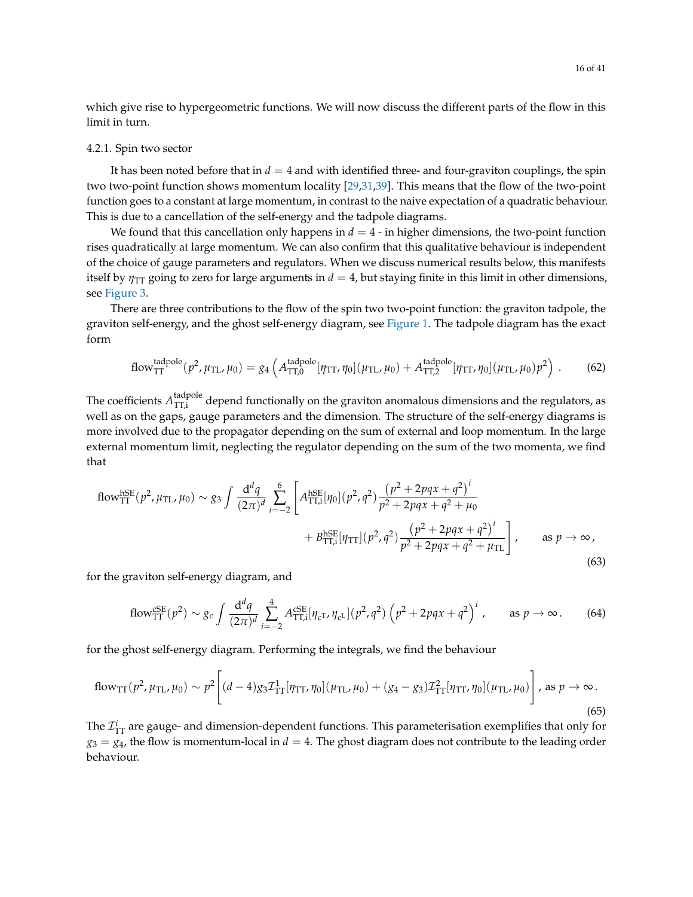which give rise to hypergeometric functions. We will now discuss the different parts of the flow in this limit in turn.

#### <span id="page-15-0"></span>4.2.1. Spin two sector

It has been noted before that in  $d = 4$  and with identified three- and four-graviton couplings, the spin two two-point function shows momentum locality [\[29,](#page-33-7)[31,](#page-33-0)[39\]](#page-33-8). This means that the flow of the two-point function goes to a constant at large momentum, in contrast to the naive expectation of a quadratic behaviour. This is due to a cancellation of the self-energy and the tadpole diagrams.

We found that this cancellation only happens in  $d = 4$  - in higher dimensions, the two-point function rises quadratically at large momentum. We can also confirm that this qualitative behaviour is independent of the choice of gauge parameters and regulators. When we discuss numerical results below, this manifests itself by  $\eta_{TT}$  going to zero for large arguments in  $d = 4$ , but staying finite in this limit in other dimensions, see [Figure 3.](#page-19-2)

There are three contributions to the flow of the spin two two-point function: the graviton tadpole, the graviton self-energy, and the ghost self-energy diagram, see [Figure 1.](#page-8-2) The tadpole diagram has the exact form

<span id="page-15-2"></span>flow<sup>tadpole</sup><sub>TT</sub>
$$
(p^2, \mu_{\text{TL}}, \mu_0) = g_4 \left(A_{\text{TT,0}}^{\text{tadpole}}[\eta_{\text{TT}}, \eta_0](\mu_{\text{TL}}, \mu_0) + A_{\text{TT,2}}^{\text{tadpole}}[\eta_{\text{TT}}, \eta_0](\mu_{\text{TL}}, \mu_0)p^2\right).
$$
 (62)

The coefficients  $A_{TT,i}^{tadpole}$  depend functionally on the graviton anomalous dimensions and the regulators, as well as on the gaps, gauge parameters and the dimension. The structure of the self-energy diagrams is more involved due to the propagator depending on the sum of external and loop momentum. In the large external momentum limit, neglecting the regulator depending on the sum of the two momenta, we find that

<span id="page-15-3"></span>flow<sup>hSE</sup><sub>TT</sub>(
$$
p^2
$$
,  $\mu_{TL}$ ,  $\mu_0$ ) ~  $g_3 \int \frac{d^d q}{(2\pi)^d} \sum_{i=-2}^6 \left[ A_{TT,i}^{hSE} [\eta_0] (p^2, q^2) \frac{(p^2 + 2pqx + q^2)^i}{p^2 + 2pqx + q^2 + \mu_0} + B_{TT,i}^{hSE} [\eta_{TT}] (p^2, q^2) \frac{(p^2 + 2pqx + q^2)^i}{p^2 + 2pqx + q^2 + \mu_{TL}} \right],$  as  $p \to \infty$ , (63)

for the graviton self-energy diagram, and

<span id="page-15-4"></span>
$$
\text{flow}_{\text{TT}}^{\text{CSE}}(p^2) \sim g_c \int \frac{\text{d}^d q}{(2\pi)^d} \sum_{i=-2}^4 A_{\text{TT},i}^{\text{CSE}} [\eta_{\text{cT}}, \eta_{\text{cL}}] (p^2, q^2) \left( p^2 + 2pqx + q^2 \right)^i, \qquad \text{as } p \to \infty. \tag{64}
$$

for the ghost self-energy diagram. Performing the integrals, we find the behaviour

<span id="page-15-1"></span>
$$
\text{flow}_{\text{TT}}(p^2, \mu_{\text{TL}}, \mu_0) \sim p^2 \left[ (d-4) g_3 \mathcal{I}_{\text{TT}}^1[\eta_{\text{TT}}, \eta_0] (\mu_{\text{TL}}, \mu_0) + (g_4 - g_3) \mathcal{I}_{\text{TT}}^2[\eta_{\text{TT}}, \eta_0] (\mu_{\text{TL}}, \mu_0) \right], \text{ as } p \to \infty.
$$
\n
$$
(65)
$$

The  $\mathcal{I}_{\text{TT}}^i$  are gauge- and dimension-dependent functions. This parameterisation exemplifies that only for  $g_3 = g_4$ , the flow is momentum-local in  $d = 4$ . The ghost diagram does not contribute to the leading order behaviour.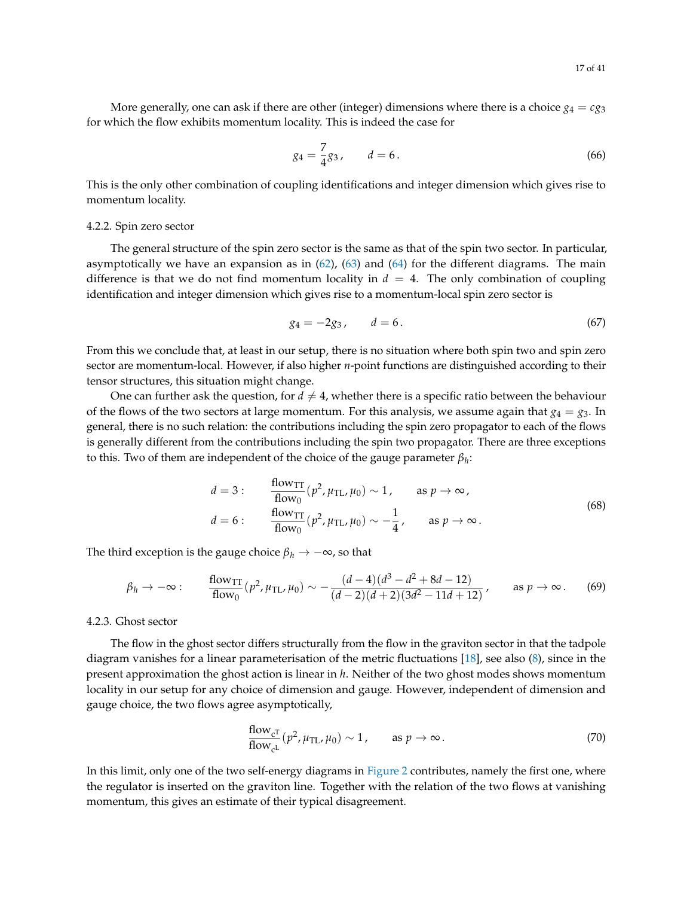More generally, one can ask if there are other (integer) dimensions where there is a choice  $g_4 = cg_3$ for which the flow exhibits momentum locality. This is indeed the case for

$$
g_4 = \frac{7}{4}g_3, \qquad d = 6. \tag{66}
$$

This is the only other combination of coupling identifications and integer dimension which gives rise to momentum locality.

#### <span id="page-16-0"></span>4.2.2. Spin zero sector

The general structure of the spin zero sector is the same as that of the spin two sector. In particular, asymptotically we have an expansion as in  $(62)$ ,  $(63)$  and  $(64)$  for the different diagrams. The main difference is that we do not find momentum locality in  $d = 4$ . The only combination of coupling identification and integer dimension which gives rise to a momentum-local spin zero sector is

$$
g_4 = -2g_3, \t d = 6. \t (67)
$$

From this we conclude that, at least in our setup, there is no situation where both spin two and spin zero sector are momentum-local. However, if also higher *n*-point functions are distinguished according to their tensor structures, this situation might change.

One can further ask the question, for  $d \neq 4$ , whether there is a specific ratio between the behaviour of the flows of the two sectors at large momentum. For this analysis, we assume again that  $g_4 = g_3$ . In general, there is no such relation: the contributions including the spin zero propagator to each of the flows is generally different from the contributions including the spin two propagator. There are three exceptions to this. Two of them are independent of the choice of the gauge parameter *β<sup>h</sup>* :

$$
d = 3: \qquad \frac{\text{flow}_{\text{TT}}}{\text{flow}_0} (p^2, \mu_{\text{TL}}, \mu_0) \sim 1, \qquad \text{as } p \to \infty,
$$
  

$$
d = 6: \qquad \frac{\text{flow}_{\text{TT}}}{\text{flow}_0} (p^2, \mu_{\text{TL}}, \mu_0) \sim -\frac{1}{4}, \qquad \text{as } p \to \infty.
$$
 (68)

The third exception is the gauge choice  $\beta_h \to -\infty$ , so that

$$
\beta_h \to -\infty: \qquad \frac{\text{flow}_{\text{TT}}}{\text{flow}_0} (p^2, \mu_{\text{TL}}, \mu_0) \sim -\frac{(d-4)(d^3 - d^2 + 8d - 12)}{(d-2)(d+2)(3d^2 - 11d + 12)}, \qquad \text{as } p \to \infty. \tag{69}
$$

#### <span id="page-16-1"></span>4.2.3. Ghost sector

The flow in the ghost sector differs structurally from the flow in the graviton sector in that the tadpole diagram vanishes for a linear parameterisation of the metric fluctuations [\[18\]](#page-33-10), see also  $(8)$ , since in the present approximation the ghost action is linear in *h*. Neither of the two ghost modes shows momentum locality in our setup for any choice of dimension and gauge. However, independent of dimension and gauge choice, the two flows agree asymptotically,

<span id="page-16-2"></span>
$$
\frac{\text{flow}_{c^T}}{\text{flow}_{c^L}}(p^2, \mu_{TL}, \mu_0) \sim 1, \qquad \text{as } p \to \infty.
$$
 (70)

In this limit, only one of the two self-energy diagrams in [Figure 2](#page-9-0) contributes, namely the first one, where the regulator is inserted on the graviton line. Together with the relation of the two flows at vanishing momentum, this gives an estimate of their typical disagreement.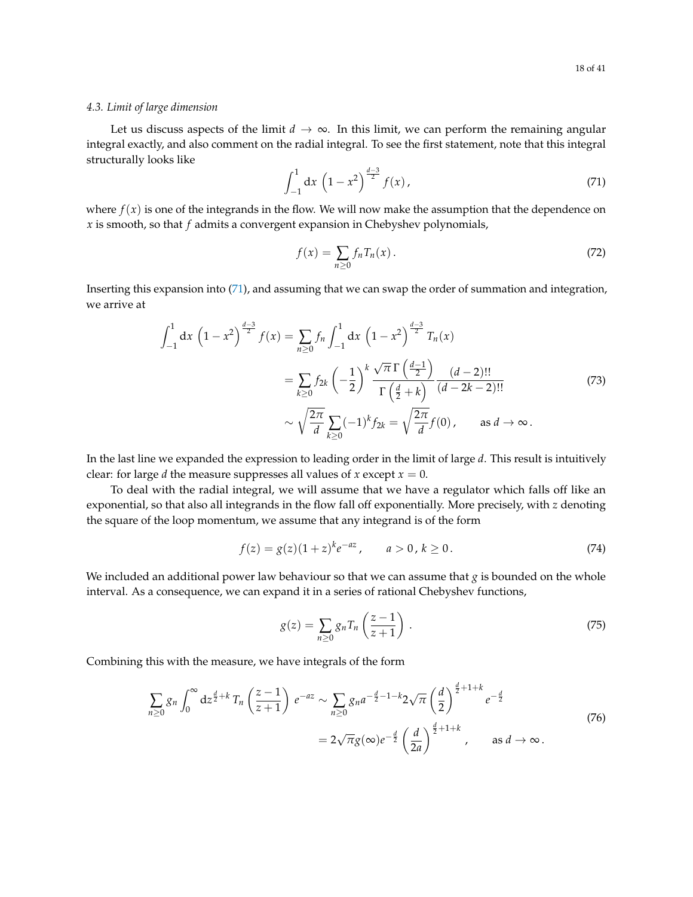#### <span id="page-17-0"></span>*4.3. Limit of large dimension*

Let us discuss aspects of the limit  $d \to \infty$ . In this limit, we can perform the remaining angular integral exactly, and also comment on the radial integral. To see the first statement, note that this integral structurally looks like

<span id="page-17-1"></span>
$$
\int_{-1}^{1} dx \left(1 - x^2\right)^{\frac{d-3}{2}} f(x) ,\tag{71}
$$

where  $f(x)$  is one of the integrands in the flow. We will now make the assumption that the dependence on *x* is smooth, so that *f* admits a convergent expansion in Chebyshev polynomials,

$$
f(x) = \sum_{n \ge 0} f_n T_n(x). \tag{72}
$$

Inserting this expansion into [\(71\)](#page-17-1), and assuming that we can swap the order of summation and integration, we arrive at

$$
\int_{-1}^{1} dx \left(1 - x^{2}\right)^{\frac{d-3}{2}} f(x) = \sum_{n \geq 0} f_{n} \int_{-1}^{1} dx \left(1 - x^{2}\right)^{\frac{d-3}{2}} T_{n}(x)
$$

$$
= \sum_{k \geq 0} f_{2k} \left(-\frac{1}{2}\right)^{k} \frac{\sqrt{\pi} \Gamma\left(\frac{d-1}{2}\right)}{\Gamma\left(\frac{d}{2} + k\right)} \frac{(d-2)!!}{(d-2k-2)!!}
$$
(73)
$$
\sim \sqrt{\frac{2\pi}{d}} \sum_{k \geq 0} (-1)^{k} f_{2k} = \sqrt{\frac{2\pi}{d}} f(0), \quad \text{as } d \to \infty.
$$

In the last line we expanded the expression to leading order in the limit of large *d*. This result is intuitively clear: for large *d* the measure suppresses all values of *x* except  $x = 0$ .

To deal with the radial integral, we will assume that we have a regulator which falls off like an exponential, so that also all integrands in the flow fall off exponentially. More precisely, with *z* denoting the square of the loop momentum, we assume that any integrand is of the form

$$
f(z) = g(z)(1+z)^{k}e^{-az}, \qquad a > 0, k \ge 0.
$$
 (74)

We included an additional power law behaviour so that we can assume that *g* is bounded on the whole interval. As a consequence, we can expand it in a series of rational Chebyshev functions,

$$
g(z) = \sum_{n\geq 0} g_n T_n \left(\frac{z-1}{z+1}\right). \tag{75}
$$

Combining this with the measure, we have integrals of the form

$$
\sum_{n\geq 0} g_n \int_0^{\infty} dz^{\frac{d}{2}+k} T_n \left(\frac{z-1}{z+1}\right) e^{-az} \sim \sum_{n\geq 0} g_n a^{-\frac{d}{2}-1-k} 2\sqrt{\pi} \left(\frac{d}{2}\right)^{\frac{d}{2}+1+k} e^{-\frac{d}{2}}
$$
\n
$$
= 2\sqrt{\pi} g(\infty) e^{-\frac{d}{2}} \left(\frac{d}{2a}\right)^{\frac{d}{2}+1+k}, \quad \text{as } d \to \infty.
$$
\n(76)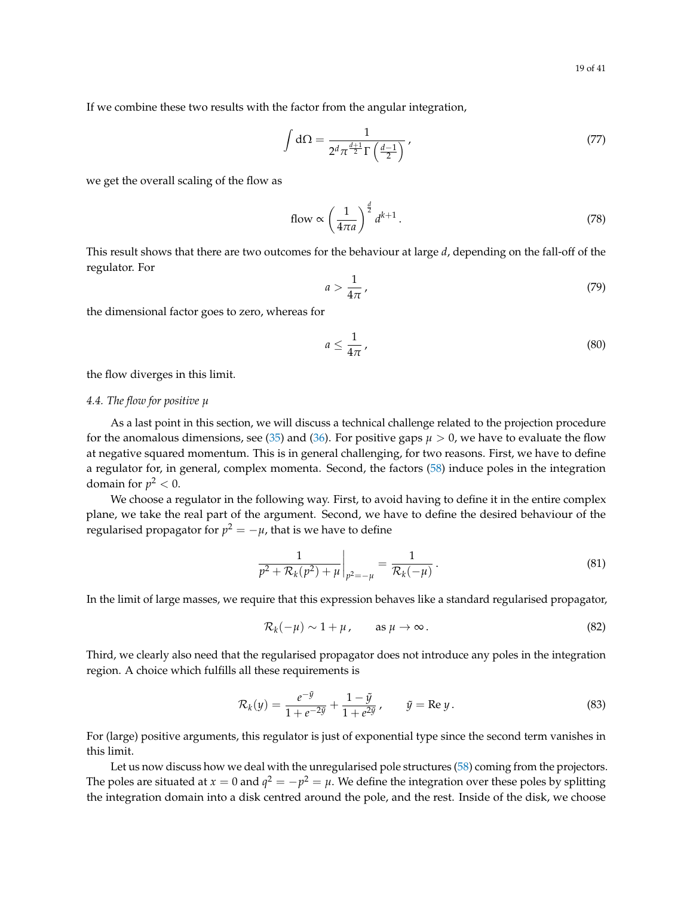If we combine these two results with the factor from the angular integration,

$$
\int d\Omega = \frac{1}{2^d \pi^{\frac{d+1}{2}} \Gamma\left(\frac{d-1}{2}\right)},\tag{77}
$$

we get the overall scaling of the flow as

<span id="page-18-1"></span>flow 
$$
\propto \left(\frac{1}{4\pi a}\right)^{\frac{d}{2}} d^{k+1}
$$
. (78)

This result shows that there are two outcomes for the behaviour at large *d*, depending on the fall-off of the regulator. For

$$
a > \frac{1}{4\pi} \,,\tag{79}
$$

the dimensional factor goes to zero, whereas for

$$
a \le \frac{1}{4\pi} \,,\tag{80}
$$

the flow diverges in this limit.

#### <span id="page-18-0"></span>*4.4. The flow for positive µ*

As a last point in this section, we will discuss a technical challenge related to the projection procedure for the anomalous dimensions, see [\(35\)](#page-9-1) and [\(36\)](#page-9-2). For positive gaps  $\mu > 0$ , we have to evaluate the flow at negative squared momentum. This is in general challenging, for two reasons. First, we have to define a regulator for, in general, complex momenta. Second, the factors [\(58\)](#page-13-3) induce poles in the integration domain for  $p^2 < 0$ .

We choose a regulator in the following way. First, to avoid having to define it in the entire complex plane, we take the real part of the argument. Second, we have to define the desired behaviour of the regularised propagator for  $p^2=-\mu$ , that is we have to define

$$
\frac{1}{p^2 + \mathcal{R}_k(p^2) + \mu} \bigg|_{p^2 = -\mu} = \frac{1}{\mathcal{R}_k(-\mu)}.
$$
\n(81)

In the limit of large masses, we require that this expression behaves like a standard regularised propagator,

$$
\mathcal{R}_k(-\mu) \sim 1 + \mu, \qquad \text{as } \mu \to \infty. \tag{82}
$$

Third, we clearly also need that the regularised propagator does not introduce any poles in the integration region. A choice which fulfills all these requirements is

<span id="page-18-2"></span>
$$
\mathcal{R}_k(y) = \frac{e^{-\tilde{y}}}{1 + e^{-2\tilde{y}}} + \frac{1 - \tilde{y}}{1 + e^{2\tilde{y}}}, \qquad \tilde{y} = \text{Re } y. \tag{83}
$$

For (large) positive arguments, this regulator is just of exponential type since the second term vanishes in this limit.

Let us now discuss how we deal with the unregularised pole structures [\(58\)](#page-13-3) coming from the projectors. The poles are situated at  $x = 0$  and  $q^2 = -p^2 = \mu$ . We define the integration over these poles by splitting the integration domain into a disk centred around the pole, and the rest. Inside of the disk, we choose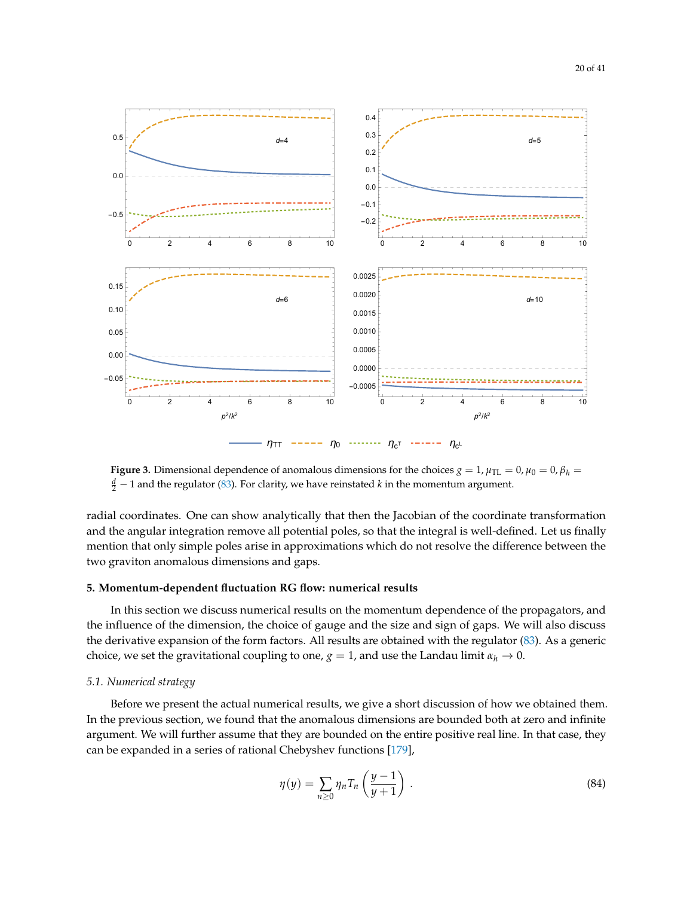<span id="page-19-2"></span>

 $\eta_{TT}$  -----  $\eta_0$  -------  $\eta_{c^T}$  ------  $\eta_{c^L}$ 

**Figure 3.** Dimensional dependence of anomalous dimensions for the choices  $g = 1$ ,  $\mu_{TL} = 0$ ,  $\mu_0 = 0$ ,  $\beta_h = 0$ *d* − 1 and the regulator [\(83\)](#page-18-2). For clarity, we have reinstated *k* in the momentum argument.

radial coordinates. One can show analytically that then the Jacobian of the coordinate transformation and the angular integration remove all potential poles, so that the integral is well-defined. Let us finally mention that only simple poles arise in approximations which do not resolve the difference between the two graviton anomalous dimensions and gaps.

## <span id="page-19-0"></span>**5. Momentum-dependent fluctuation RG flow: numerical results**

In this section we discuss numerical results on the momentum dependence of the propagators, and the influence of the dimension, the choice of gauge and the size and sign of gaps. We will also discuss the derivative expansion of the form factors. All results are obtained with the regulator [\(83\)](#page-18-2). As a generic choice, we set the gravitational coupling to one,  $g = 1$ , and use the Landau limit  $\alpha_h \to 0$ .

#### <span id="page-19-1"></span>*5.1. Numerical strategy*

Before we present the actual numerical results, we give a short discussion of how we obtained them. In the previous section, we found that the anomalous dimensions are bounded both at zero and infinite argument. We will further assume that they are bounded on the entire positive real line. In that case, they can be expanded in a series of rational Chebyshev functions [\[179\]](#page-39-13),

<span id="page-19-3"></span>
$$
\eta(y) = \sum_{n \ge 0} \eta_n T_n \left( \frac{y-1}{y+1} \right) \,. \tag{84}
$$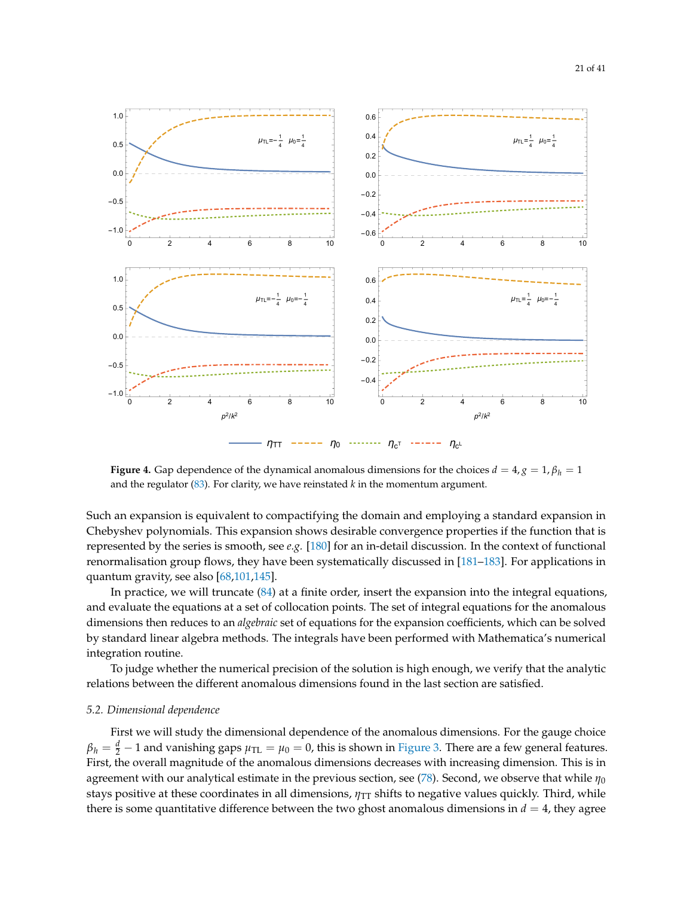

<span id="page-20-1"></span>

**Figure 4.** Gap dependence of the dynamical anomalous dimensions for the choices  $d = 4$ ,  $g = 1$ ,  $\beta_h = 1$ and the regulator [\(83\)](#page-18-2). For clarity, we have reinstated *k* in the momentum argument.

Such an expansion is equivalent to compactifying the domain and employing a standard expansion in Chebyshev polynomials. This expansion shows desirable convergence properties if the function that is represented by the series is smooth, see *e.g.* [\[180\]](#page-39-14) for an in-detail discussion. In the context of functional renormalisation group flows, they have been systematically discussed in [\[181](#page-40-0)[–183\]](#page-40-1). For applications in quantum gravity, see also [\[68](#page-35-9)[,101](#page-36-8)[,145\]](#page-38-2).

In practice, we will truncate [\(84\)](#page-19-3) at a finite order, insert the expansion into the integral equations, and evaluate the equations at a set of collocation points. The set of integral equations for the anomalous dimensions then reduces to an *algebraic* set of equations for the expansion coefficients, which can be solved by standard linear algebra methods. The integrals have been performed with Mathematica's numerical integration routine.

To judge whether the numerical precision of the solution is high enough, we verify that the analytic relations between the different anomalous dimensions found in the last section are satisfied.

#### <span id="page-20-0"></span>*5.2. Dimensional dependence*

First we will study the dimensional dependence of the anomalous dimensions. For the gauge choice  $\beta_h=\frac{d}{2}-1$  and vanishing gaps  $\mu_{\rm TL}=\mu_0=0$ , this is shown in [Figure 3.](#page-19-2) There are a few general features. First, the overall magnitude of the anomalous dimensions decreases with increasing dimension. This is in agreement with our analytical estimate in the previous section, see [\(78\)](#page-18-1). Second, we observe that while  $\eta_0$ stays positive at these coordinates in all dimensions,  $η<sub>TT</sub>$  shifts to negative values quickly. Third, while there is some quantitative difference between the two ghost anomalous dimensions in  $d = 4$ , they agree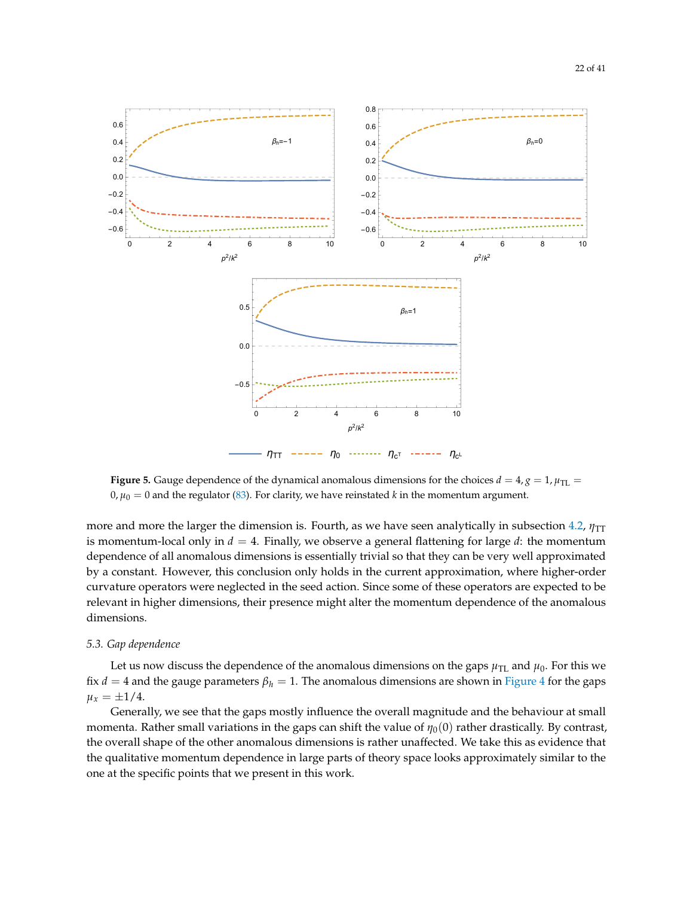<span id="page-21-1"></span>

**Figure 5.** Gauge dependence of the dynamical anomalous dimensions for the choices  $d = 4$ ,  $g = 1$ ,  $\mu_{TL} =$  $0, \mu_0 = 0$  and the regulator [\(83\)](#page-18-2). For clarity, we have reinstated *k* in the momentum argument.

more and more the larger the dimension is. Fourth, as we have seen analytically in subsection [4.2,](#page-14-0) *η*<sub>TT</sub> is momentum-local only in  $d = 4$ . Finally, we observe a general flattening for large  $d$ : the momentum dependence of all anomalous dimensions is essentially trivial so that they can be very well approximated by a constant. However, this conclusion only holds in the current approximation, where higher-order curvature operators were neglected in the seed action. Since some of these operators are expected to be relevant in higher dimensions, their presence might alter the momentum dependence of the anomalous dimensions.

#### <span id="page-21-0"></span>*5.3. Gap dependence*

Let us now discuss the dependence of the anomalous dimensions on the gaps  $\mu_{\text{TL}}$  and  $\mu_0$ . For this we fix *d* = 4 and the gauge parameters  $\beta_h = 1$ . The anomalous dimensions are shown in [Figure 4](#page-20-1) for the gaps  $\mu_x = \pm 1/4.$ 

Generally, we see that the gaps mostly influence the overall magnitude and the behaviour at small momenta. Rather small variations in the gaps can shift the value of *η*<sub>0</sub>(0) rather drastically. By contrast, the overall shape of the other anomalous dimensions is rather unaffected. We take this as evidence that the qualitative momentum dependence in large parts of theory space looks approximately similar to the one at the specific points that we present in this work.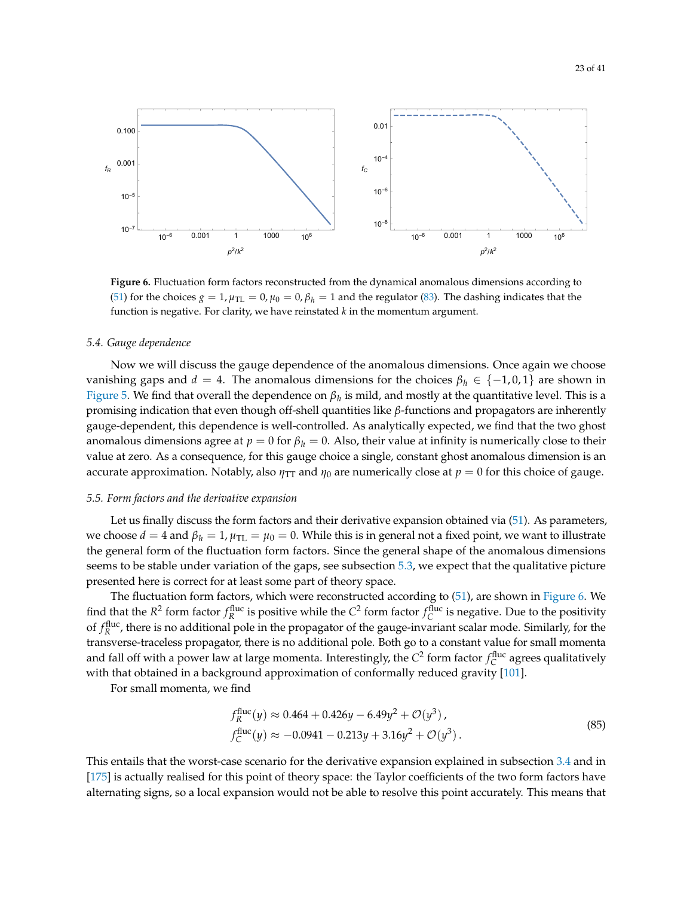<span id="page-22-3"></span>

**Figure 6.** Fluctuation form factors reconstructed from the dynamical anomalous dimensions according to [\(51\)](#page-12-1) for the choices  $g = 1$ ,  $\mu_{\text{TL}} = 0$ ,  $\mu_0 = 0$ ,  $\beta_h = 1$  and the regulator [\(83\)](#page-18-2). The dashing indicates that the function is negative. For clarity, we have reinstated *k* in the momentum argument.

#### <span id="page-22-0"></span>*5.4. Gauge dependence*

Now we will discuss the gauge dependence of the anomalous dimensions. Once again we choose vanishing gaps and  $d = 4$ . The anomalous dimensions for the choices  $\beta_h \in \{-1, 0, 1\}$  are shown in [Figure 5.](#page-21-1) We find that overall the dependence on *β<sup>h</sup>* is mild, and mostly at the quantitative level. This is a promising indication that even though off-shell quantities like *β*-functions and propagators are inherently gauge-dependent, this dependence is well-controlled. As analytically expected, we find that the two ghost anomalous dimensions agree at  $p = 0$  for  $\beta_h = 0$ . Also, their value at infinity is numerically close to their value at zero. As a consequence, for this gauge choice a single, constant ghost anomalous dimension is an accurate approximation. Notably, also  $\eta_{TT}$  and  $\eta_0$  are numerically close at  $p = 0$  for this choice of gauge.

#### <span id="page-22-1"></span>*5.5. Form factors and the derivative expansion*

Let us finally discuss the form factors and their derivative expansion obtained via [\(51\)](#page-12-1). As parameters, we choose  $d = 4$  and  $\beta_h = 1$ ,  $\mu_{\text{TL}} = \mu_0 = 0$ . While this is in general not a fixed point, we want to illustrate the general form of the fluctuation form factors. Since the general shape of the anomalous dimensions seems to be stable under variation of the gaps, see subsection [5.3,](#page-21-0) we expect that the qualitative picture presented here is correct for at least some part of theory space.

The fluctuation form factors, which were reconstructed according to [\(51\)](#page-12-1), are shown in [Figure 6.](#page-22-3) We find that the  $R^2$  form factor  $f_R^{\text{fluc}}$  is positive while the  $C^2$  form factor  $f_C^{\text{fluc}}$  is negative. Due to the positivity of  $f_R^{\text{fluc}}$ , there is no additional pole in the propagator of the gauge-invariant scalar mode. Similarly, for the transverse-traceless propagator, there is no additional pole. Both go to a constant value for small momenta and fall off with a power law at large momenta. Interestingly, the  $C^2$  form factor  $f_C^{\text{fluc}}$  agrees qualitatively with that obtained in a background approximation of conformally reduced gravity [\[101\]](#page-36-8).

For small momenta, we find

<span id="page-22-2"></span>
$$
f_R^{\text{fluc}}(y) \approx 0.464 + 0.426y - 6.49y^2 + \mathcal{O}(y^3),
$$
  
\n
$$
f_C^{\text{fluc}}(y) \approx -0.0941 - 0.213y + 3.16y^2 + \mathcal{O}(y^3).
$$
\n(85)

This entails that the worst-case scenario for the derivative expansion explained in subsection [3.4](#page-11-0) and in [\[175\]](#page-39-9) is actually realised for this point of theory space: the Taylor coefficients of the two form factors have alternating signs, so a local expansion would not be able to resolve this point accurately. This means that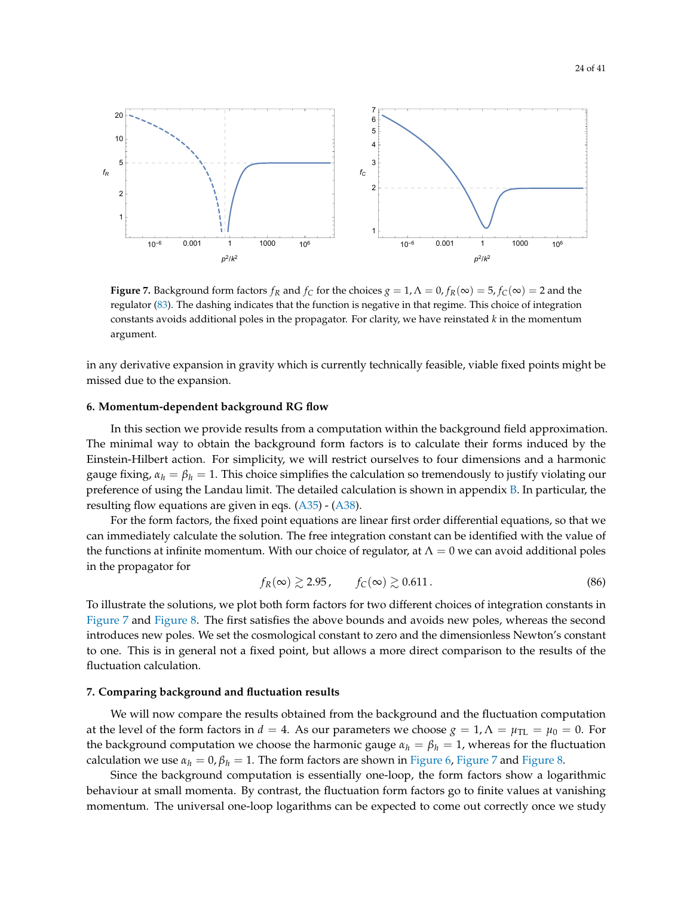<span id="page-23-2"></span>

**Figure 7.** Background form factors  $f_R$  and  $f_C$  for the choices  $g = 1$ ,  $\Lambda = 0$ ,  $f_R(\infty) = 5$ ,  $f_C(\infty) = 2$  and the regulator [\(83\)](#page-18-2). The dashing indicates that the function is negative in that regime. This choice of integration constants avoids additional poles in the propagator. For clarity, we have reinstated *k* in the momentum argument.

in any derivative expansion in gravity which is currently technically feasible, viable fixed points might be missed due to the expansion.

#### <span id="page-23-0"></span>**6. Momentum-dependent background RG flow**

In this section we provide results from a computation within the background field approximation. The minimal way to obtain the background form factors is to calculate their forms induced by the Einstein-Hilbert action. For simplicity, we will restrict ourselves to four dimensions and a harmonic gauge fixing,  $\alpha_h = \beta_h = 1$ . This choice simplifies the calculation so tremendously to justify violating our preference of using the Landau limit. The detailed calculation is shown in appendix  $B$ . In particular, the resulting flow equations are given in eqs. [\(A35\)](#page-30-0) - [\(A38\)](#page-30-1).

For the form factors, the fixed point equations are linear first order differential equations, so that we can immediately calculate the solution. The free integration constant can be identified with the value of the functions at infinite momentum. With our choice of regulator, at  $\Lambda = 0$  we can avoid additional poles in the propagator for

<span id="page-23-3"></span>
$$
f_R(\infty) \gtrsim 2.95, \qquad f_C(\infty) \gtrsim 0.611. \tag{86}
$$

To illustrate the solutions, we plot both form factors for two different choices of integration constants in [Figure 7](#page-23-2) and [Figure 8.](#page-24-0) The first satisfies the above bounds and avoids new poles, whereas the second introduces new poles. We set the cosmological constant to zero and the dimensionless Newton's constant to one. This is in general not a fixed point, but allows a more direct comparison to the results of the fluctuation calculation.

## <span id="page-23-1"></span>**7. Comparing background and fluctuation results**

We will now compare the results obtained from the background and the fluctuation computation at the level of the form factors in  $d = 4$ . As our parameters we choose  $g = 1, \Lambda = \mu_{\text{TL}} = \mu_0 = 0$ . For the background computation we choose the harmonic gauge  $\alpha_h = \beta_h = 1$ , whereas for the fluctuation calculation we use  $\alpha_h = 0$ ,  $\beta_h = 1$ . The form factors are shown in [Figure 6,](#page-22-3) [Figure 7](#page-23-2) and [Figure 8.](#page-24-0)

Since the background computation is essentially one-loop, the form factors show a logarithmic behaviour at small momenta. By contrast, the fluctuation form factors go to finite values at vanishing momentum. The universal one-loop logarithms can be expected to come out correctly once we study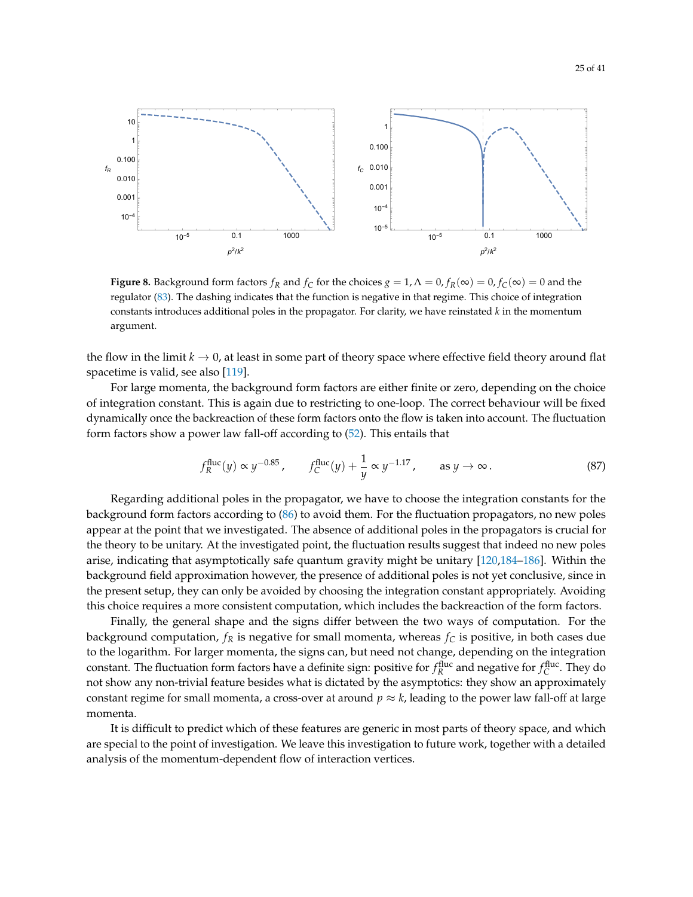<span id="page-24-0"></span>

**Figure 8.** Background form factors  $f_R$  and  $f_C$  for the choices  $g = 1$ ,  $\Lambda = 0$ ,  $f_R(\infty) = 0$ ,  $f_C(\infty) = 0$  and the regulator [\(83\)](#page-18-2). The dashing indicates that the function is negative in that regime. This choice of integration constants introduces additional poles in the propagator. For clarity, we have reinstated *k* in the momentum argument.

the flow in the limit  $k \to 0$ , at least in some part of theory space where effective field theory around flat spacetime is valid, see also [\[119\]](#page-37-3).

For large momenta, the background form factors are either finite or zero, depending on the choice of integration constant. This is again due to restricting to one-loop. The correct behaviour will be fixed dynamically once the backreaction of these form factors onto the flow is taken into account. The fluctuation form factors show a power law fall-off according to [\(52\)](#page-12-2). This entails that

$$
f_R^{\text{fluc}}(y) \propto y^{-0.85}
$$
,  $f_C^{\text{fluc}}(y) + \frac{1}{y} \propto y^{-1.17}$ , as  $y \to \infty$ . (87)

Regarding additional poles in the propagator, we have to choose the integration constants for the background form factors according to [\(86\)](#page-23-3) to avoid them. For the fluctuation propagators, no new poles appear at the point that we investigated. The absence of additional poles in the propagators is crucial for the theory to be unitary. At the investigated point, the fluctuation results suggest that indeed no new poles arise, indicating that asymptotically safe quantum gravity might be unitary [\[120,](#page-37-4)[184](#page-40-2)[–186\]](#page-40-3). Within the background field approximation however, the presence of additional poles is not yet conclusive, since in the present setup, they can only be avoided by choosing the integration constant appropriately. Avoiding this choice requires a more consistent computation, which includes the backreaction of the form factors.

Finally, the general shape and the signs differ between the two ways of computation. For the background computation,  $f_R$  is negative for small momenta, whereas  $f_C$  is positive, in both cases due to the logarithm. For larger momenta, the signs can, but need not change, depending on the integration constant. The fluctuation form factors have a definite sign: positive for  $f_R^{\rm fluc}$  and negative for  $f_C^{\rm fluc}$ . They do not show any non-trivial feature besides what is dictated by the asymptotics: they show an approximately constant regime for small momenta, a cross-over at around  $p \approx k$ , leading to the power law fall-off at large momenta.

It is difficult to predict which of these features are generic in most parts of theory space, and which are special to the point of investigation. We leave this investigation to future work, together with a detailed analysis of the momentum-dependent flow of interaction vertices.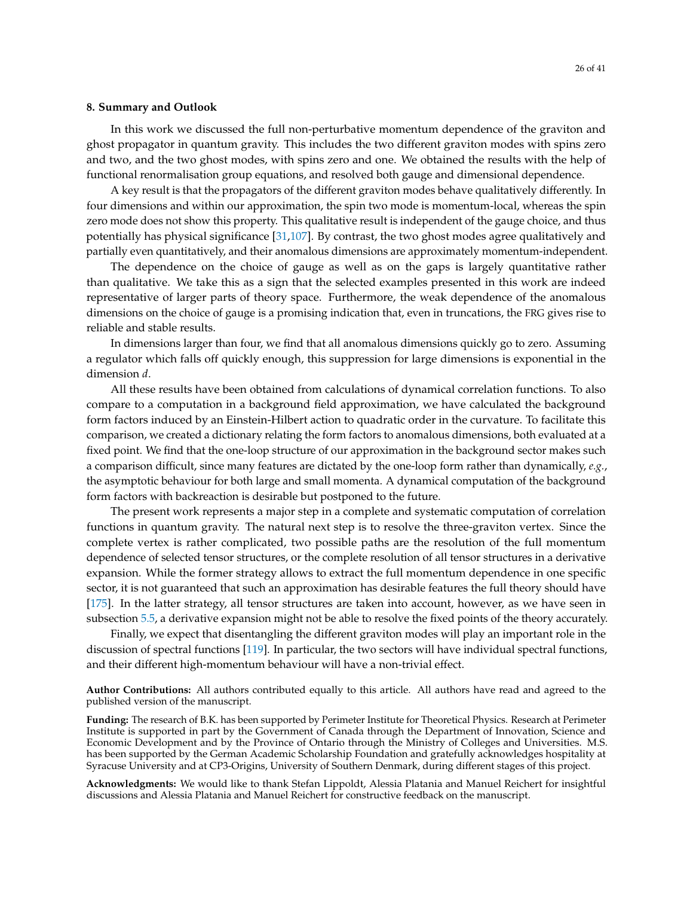#### <span id="page-25-0"></span>**8. Summary and Outlook**

In this work we discussed the full non-perturbative momentum dependence of the graviton and ghost propagator in quantum gravity. This includes the two different graviton modes with spins zero and two, and the two ghost modes, with spins zero and one. We obtained the results with the help of functional renormalisation group equations, and resolved both gauge and dimensional dependence.

A key result is that the propagators of the different graviton modes behave qualitatively differently. In four dimensions and within our approximation, the spin two mode is momentum-local, whereas the spin zero mode does not show this property. This qualitative result is independent of the gauge choice, and thus potentially has physical significance [\[31,](#page-33-0)[107\]](#page-36-5). By contrast, the two ghost modes agree qualitatively and partially even quantitatively, and their anomalous dimensions are approximately momentum-independent.

The dependence on the choice of gauge as well as on the gaps is largely quantitative rather than qualitative. We take this as a sign that the selected examples presented in this work are indeed representative of larger parts of theory space. Furthermore, the weak dependence of the anomalous dimensions on the choice of gauge is a promising indication that, even in truncations, the FRG gives rise to reliable and stable results.

In dimensions larger than four, we find that all anomalous dimensions quickly go to zero. Assuming a regulator which falls off quickly enough, this suppression for large dimensions is exponential in the dimension *d*.

All these results have been obtained from calculations of dynamical correlation functions. To also compare to a computation in a background field approximation, we have calculated the background form factors induced by an Einstein-Hilbert action to quadratic order in the curvature. To facilitate this comparison, we created a dictionary relating the form factors to anomalous dimensions, both evaluated at a fixed point. We find that the one-loop structure of our approximation in the background sector makes such a comparison difficult, since many features are dictated by the one-loop form rather than dynamically, *e.g.*, the asymptotic behaviour for both large and small momenta. A dynamical computation of the background form factors with backreaction is desirable but postponed to the future.

The present work represents a major step in a complete and systematic computation of correlation functions in quantum gravity. The natural next step is to resolve the three-graviton vertex. Since the complete vertex is rather complicated, two possible paths are the resolution of the full momentum dependence of selected tensor structures, or the complete resolution of all tensor structures in a derivative expansion. While the former strategy allows to extract the full momentum dependence in one specific sector, it is not guaranteed that such an approximation has desirable features the full theory should have [\[175\]](#page-39-9). In the latter strategy, all tensor structures are taken into account, however, as we have seen in subsection [5.5,](#page-22-1) a derivative expansion might not be able to resolve the fixed points of the theory accurately.

Finally, we expect that disentangling the different graviton modes will play an important role in the discussion of spectral functions [\[119\]](#page-37-3). In particular, the two sectors will have individual spectral functions, and their different high-momentum behaviour will have a non-trivial effect.

**Author Contributions:** All authors contributed equally to this article. All authors have read and agreed to the published version of the manuscript.

**Funding:** The research of B.K. has been supported by Perimeter Institute for Theoretical Physics. Research at Perimeter Institute is supported in part by the Government of Canada through the Department of Innovation, Science and Economic Development and by the Province of Ontario through the Ministry of Colleges and Universities. M.S. has been supported by the German Academic Scholarship Foundation and gratefully acknowledges hospitality at Syracuse University and at CP3-Origins, University of Southern Denmark, during different stages of this project.

**Acknowledgments:** We would like to thank Stefan Lippoldt, Alessia Platania and Manuel Reichert for insightful discussions and Alessia Platania and Manuel Reichert for constructive feedback on the manuscript.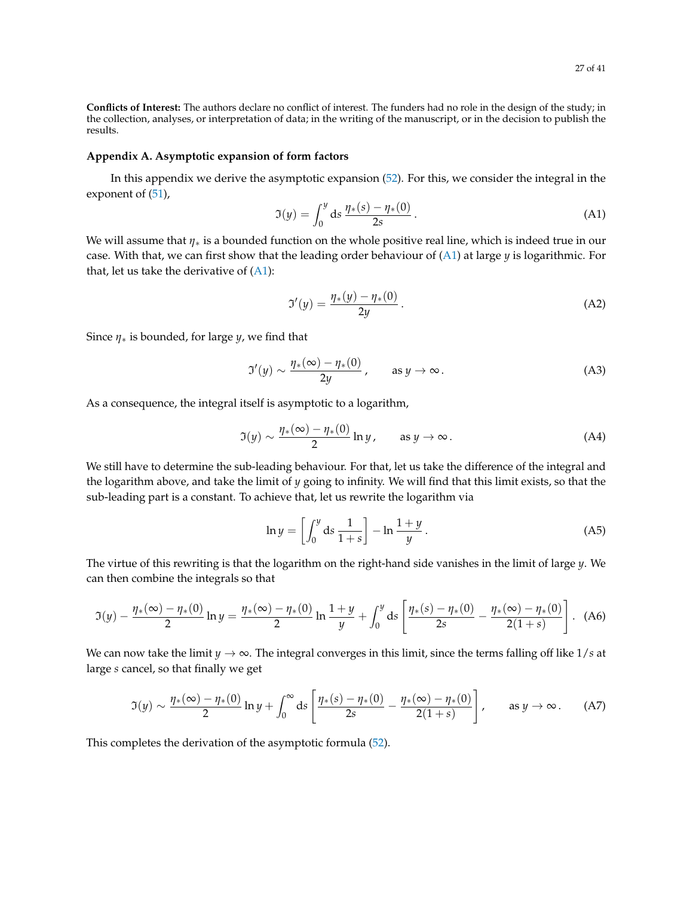**Conflicts of Interest:** The authors declare no conflict of interest. The funders had no role in the design of the study; in the collection, analyses, or interpretation of data; in the writing of the manuscript, or in the decision to publish the results.

#### <span id="page-26-0"></span>**Appendix A. Asymptotic expansion of form factors**

In this appendix we derive the asymptotic expansion [\(52\)](#page-12-2). For this, we consider the integral in the exponent of  $(51)$ ,

<span id="page-26-1"></span>
$$
\mathfrak{I}(y) = \int_0^y \mathrm{d}s \, \frac{\eta_*(s) - \eta_*(0)}{2s} \,. \tag{A1}
$$

We will assume that *η*∗ is a bounded function on the whole positive real line, which is indeed true in our case. With that, we can first show that the leading order behaviour of [\(A1\)](#page-26-1) at large *y* is logarithmic. For that, let us take the derivative of  $(A1)$ :

$$
\mathfrak{I}'(y) = \frac{\eta_*(y) - \eta_*(0)}{2y} \,. \tag{A2}
$$

Since  $\eta_*$  is bounded, for large *y*, we find that

$$
\mathfrak{I}'(y) \sim \frac{\eta_*(\infty) - \eta_*(0)}{2y}, \qquad \text{as } y \to \infty.
$$
 (A3)

As a consequence, the integral itself is asymptotic to a logarithm,

$$
\mathfrak{I}(y) \sim \frac{\eta_*(\infty) - \eta_*(0)}{2} \ln y, \qquad \text{as } y \to \infty.
$$
 (A4)

We still have to determine the sub-leading behaviour. For that, let us take the difference of the integral and the logarithm above, and take the limit of *y* going to infinity. We will find that this limit exists, so that the sub-leading part is a constant. To achieve that, let us rewrite the logarithm via

$$
\ln y = \left[ \int_0^y \mathrm{d}s \, \frac{1}{1+s} \right] - \ln \frac{1+y}{y} \,. \tag{A5}
$$

The virtue of this rewriting is that the logarithm on the right-hand side vanishes in the limit of large *y*. We can then combine the integrals so that

$$
\mathfrak{I}(y) - \frac{\eta_*(\infty) - \eta_*(0)}{2} \ln y = \frac{\eta_*(\infty) - \eta_*(0)}{2} \ln \frac{1+y}{y} + \int_0^y \mathrm{d}s \left[ \frac{\eta_*(s) - \eta_*(0)}{2s} - \frac{\eta_*(\infty) - \eta_*(0)}{2(1+s)} \right]. \tag{A6}
$$

We can now take the limit  $y \to \infty$ . The integral converges in this limit, since the terms falling off like  $1/s$  at large *s* cancel, so that finally we get

$$
\mathfrak{I}(y) \sim \frac{\eta_*(\infty) - \eta_*(0)}{2} \ln y + \int_0^\infty ds \left[ \frac{\eta_*(s) - \eta_*(0)}{2s} - \frac{\eta_*(\infty) - \eta_*(0)}{2(1+s)} \right], \quad \text{as } y \to \infty. \tag{A7}
$$

This completes the derivation of the asymptotic formula [\(52\)](#page-12-2).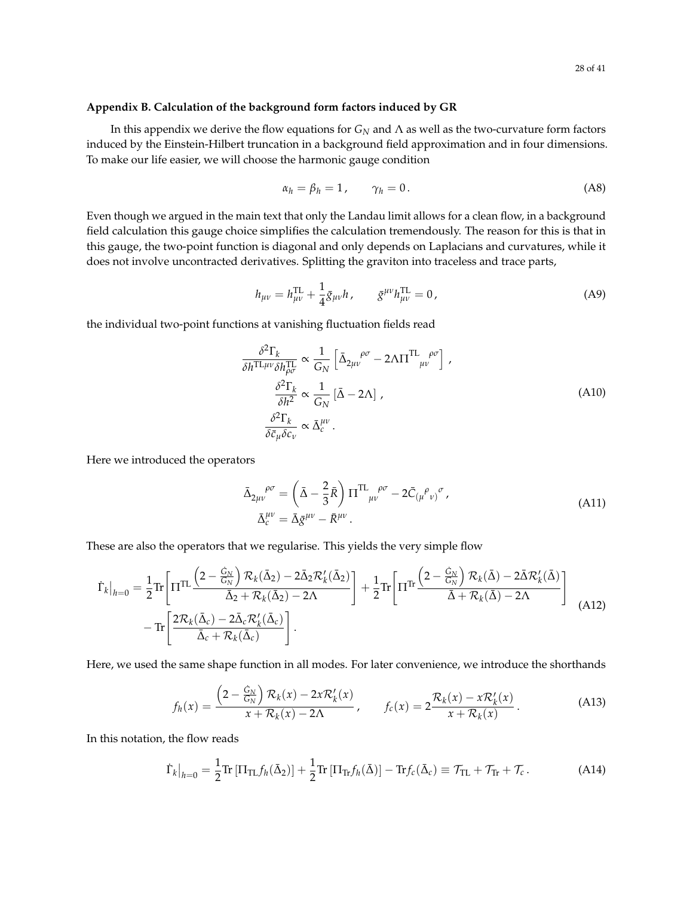#### <span id="page-27-0"></span>**Appendix B. Calculation of the background form factors induced by GR**

In this appendix we derive the flow equations for *G<sup>N</sup>* and Λ as well as the two-curvature form factors induced by the Einstein-Hilbert truncation in a background field approximation and in four dimensions. To make our life easier, we will choose the harmonic gauge condition

$$
\alpha_h = \beta_h = 1, \qquad \gamma_h = 0. \tag{A8}
$$

Even though we argued in the main text that only the Landau limit allows for a clean flow, in a background field calculation this gauge choice simplifies the calculation tremendously. The reason for this is that in this gauge, the two-point function is diagonal and only depends on Laplacians and curvatures, while it does not involve uncontracted derivatives. Splitting the graviton into traceless and trace parts,

$$
h_{\mu\nu} = h_{\mu\nu}^{\rm TL} + \frac{1}{4} \bar{g}_{\mu\nu} h \,, \qquad \bar{g}^{\mu\nu} h_{\mu\nu}^{\rm TL} = 0 \,, \tag{A9}
$$

the individual two-point functions at vanishing fluctuation fields read

$$
\frac{\delta^2 \Gamma_k}{\delta h^{\text{TL}\mu\nu} \delta h_{\rho\sigma}^{\text{TL}}} \propto \frac{1}{G_N} \left[ \bar{\Delta}_{2\mu\nu}^{\ \rho\sigma} - 2\Lambda \Pi^{\text{TL}}_{\mu\nu}^{\ \rho\sigma} \right],
$$
\n
$$
\frac{\delta^2 \Gamma_k}{\delta h^2} \propto \frac{1}{G_N} \left[ \bar{\Delta} - 2\Lambda \right],
$$
\n
$$
\frac{\delta^2 \Gamma_k}{\delta \bar{c}_{\mu} \delta c_{\nu}} \propto \bar{\Delta}_c^{\mu\nu}.
$$
\n(A10)

Here we introduced the operators

$$
\bar{\Delta}_{2\mu\nu}^{\ \ \rho\sigma} = \left(\bar{\Delta} - \frac{2}{3}\bar{R}\right) \Pi^{\mathrm{TL}}_{\ \mu\nu}^{\ \rho\sigma} - 2\bar{C}_{(\mu}^{\ \rho}_{\ \nu)}^{\ \sigma},
$$
\n(A11)\n
$$
\bar{\Delta}_{c}^{\mu\nu} = \bar{\Delta}\bar{g}^{\mu\nu} - \bar{R}^{\mu\nu}.
$$

These are also the operators that we regularise. This yields the very simple flow

<span id="page-27-1"></span>
$$
\dot{\Gamma}_{k}|_{h=0} = \frac{1}{2} \text{Tr} \left[ \Pi^{\text{TL}} \frac{\left(2 - \frac{\dot{G}_{N}}{G_{N}}\right) \mathcal{R}_{k}(\bar{\Delta}_{2}) - 2\bar{\Delta}_{2} \mathcal{R}_{k}'(\bar{\Delta}_{2})}{\bar{\Delta}_{2} + \mathcal{R}_{k}(\bar{\Delta}_{2}) - 2\Lambda} \right] + \frac{1}{2} \text{Tr} \left[ \Pi^{\text{Tr}} \frac{\left(2 - \frac{\dot{G}_{N}}{G_{N}}\right) \mathcal{R}_{k}(\bar{\Delta}) - 2\bar{\Delta} \mathcal{R}_{k}'(\bar{\Delta})}{\bar{\Delta} + \mathcal{R}_{k}(\bar{\Delta}) - 2\Lambda} \right] - \text{Tr} \left[ \frac{2\mathcal{R}_{k}(\bar{\Delta}_{c}) - 2\bar{\Delta}_{c} \mathcal{R}_{k}'(\bar{\Delta}_{c})}{\bar{\Delta}_{c} + \mathcal{R}_{k}(\bar{\Delta}_{c})} \right].
$$
\n(A12)

Here, we used the same shape function in all modes. For later convenience, we introduce the shorthands

$$
f_h(x) = \frac{\left(2 - \frac{\dot{G}_N}{G_N}\right) \mathcal{R}_k(x) - 2x \mathcal{R}'_k(x)}{x + \mathcal{R}_k(x) - 2\Lambda}, \qquad f_c(x) = 2 \frac{\mathcal{R}_k(x) - x \mathcal{R}'_k(x)}{x + \mathcal{R}_k(x)}.
$$
 (A13)

In this notation, the flow reads

<span id="page-27-2"></span>
$$
\dot{\Gamma}_k\big|_{h=0} = \frac{1}{2} \text{Tr} \left[ \Pi_{\text{TL}} f_h(\bar{\Delta}_2) \right] + \frac{1}{2} \text{Tr} \left[ \Pi_{\text{Tr}} f_h(\bar{\Delta}) \right] - \text{Tr} f_c(\bar{\Delta}_c) \equiv \mathcal{T}_{\text{TL}} + \mathcal{T}_{\text{Tr}} + \mathcal{T}_c. \tag{A14}
$$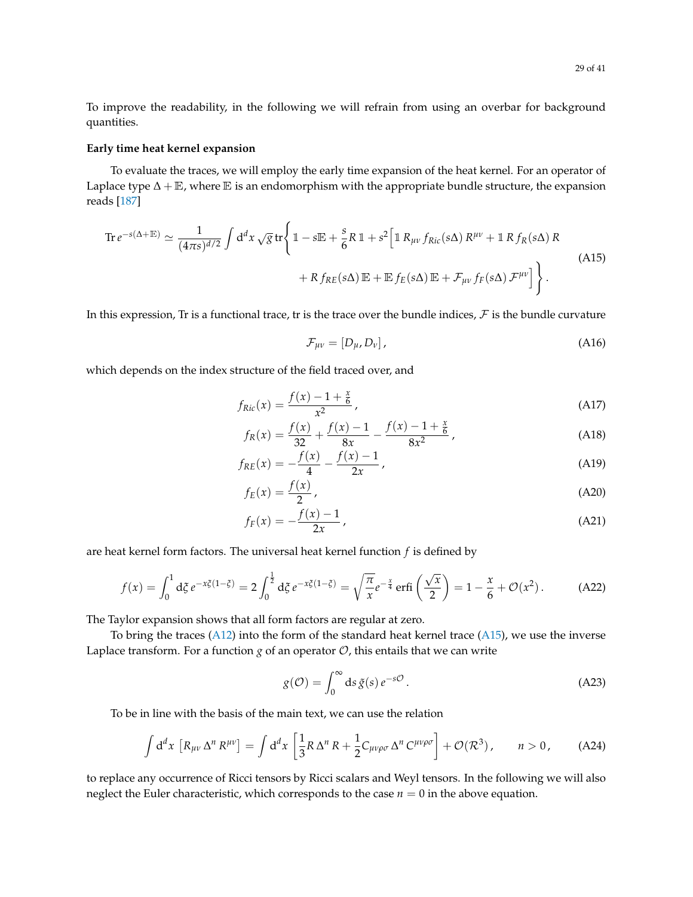To improve the readability, in the following we will refrain from using an overbar for background quantities.

## **Early time heat kernel expansion**

To evaluate the traces, we will employ the early time expansion of the heat kernel. For an operator of Laplace type  $\Delta + \mathbb{E}$ , where  $\mathbb{E}$  is an endomorphism with the appropriate bundle structure, the expansion reads [\[187\]](#page-40-4)

<span id="page-28-0"></span>
$$
\operatorname{Tr} e^{-s(\Delta + \mathbb{E})} \simeq \frac{1}{(4\pi s)^{d/2}} \int d^d x \sqrt{g} \operatorname{tr} \left\{ 1 - s \mathbb{E} + \frac{s}{6} R \mathbb{1} + s^2 \left[ 1 R_{\mu\nu} f_{Ric}(s\Delta) R^{\mu\nu} + 1 R f_R(s\Delta) R \right. \right.\left. + R f_{RE}(s\Delta) \mathbb{E} + \mathbb{E} f_E(s\Delta) \mathbb{E} + \mathcal{F}_{\mu\nu} f_F(s\Delta) \mathcal{F}^{\mu\nu} \right] \right\}.
$$
\n(A15)

In this expression, Tr is a functional trace, tr is the trace over the bundle indices,  $\mathcal F$  is the bundle curvature

$$
\mathcal{F}_{\mu\nu} = [D_{\mu}, D_{\nu}], \tag{A16}
$$

which depends on the index structure of the field traced over, and

$$
f_{Ric}(x) = \frac{f(x) - 1 + \frac{x}{6}}{x^2},
$$
\n(A17)

$$
f_R(x) = \frac{f(x)}{32} + \frac{f(x) - 1}{8x} - \frac{f(x) - 1 + \frac{x}{6}}{8x^2},
$$
 (A18)

$$
f_{RE}(x) = -\frac{f(x)}{4} - \frac{f(x) - 1}{2x},
$$
\n(A19)

$$
f_E(x) = \frac{f(x)}{2},\tag{A20}
$$

$$
f_F(x) = -\frac{f(x) - 1}{2x},
$$
 (A21)

are heat kernel form factors. The universal heat kernel function *f* is defined by

<span id="page-28-2"></span>
$$
f(x) = \int_0^1 d\xi \, e^{-x\xi(1-\xi)} = 2 \int_0^{\frac{1}{2}} d\xi \, e^{-x\xi(1-\xi)} = \sqrt{\frac{\pi}{x}} e^{-\frac{x}{4}} \operatorname{erfi}\left(\frac{\sqrt{x}}{2}\right) = 1 - \frac{x}{6} + \mathcal{O}(x^2). \tag{A22}
$$

The Taylor expansion shows that all form factors are regular at zero.

To bring the traces [\(A12\)](#page-27-1) into the form of the standard heat kernel trace [\(A15\)](#page-28-0), we use the inverse Laplace transform. For a function  $g$  of an operator  $\mathcal O$ , this entails that we can write

<span id="page-28-1"></span>
$$
g(\mathcal{O}) = \int_0^\infty ds \, \tilde{g}(s) \, e^{-s\mathcal{O}} \,. \tag{A23}
$$

To be in line with the basis of the main text, we can use the relation

$$
\int d^d x \, \left[ R_{\mu\nu} \Delta^n R^{\mu\nu} \right] = \int d^d x \, \left[ \frac{1}{3} R \, \Delta^n R + \frac{1}{2} C_{\mu\nu\rho\sigma} \, \Delta^n C^{\mu\nu\rho\sigma} \right] + \mathcal{O}(\mathcal{R}^3) \,, \qquad n > 0 \,, \tag{A24}
$$

to replace any occurrence of Ricci tensors by Ricci scalars and Weyl tensors. In the following we will also neglect the Euler characteristic, which corresponds to the case  $n = 0$  in the above equation.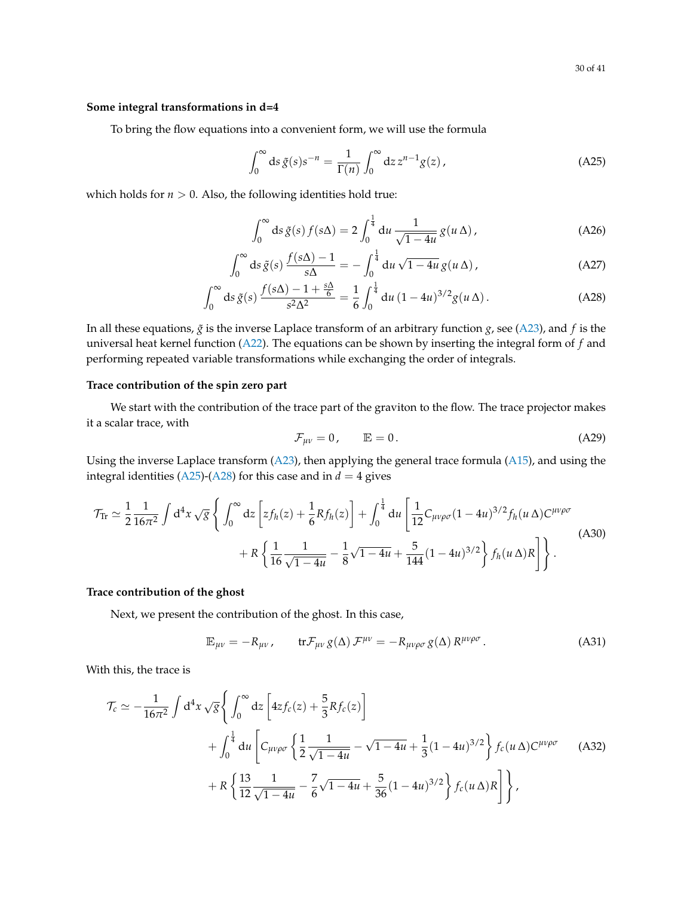## **Some integral transformations in d=4**

To bring the flow equations into a convenient form, we will use the formula

<span id="page-29-0"></span>
$$
\int_0^\infty ds \, \tilde{g}(s) s^{-n} = \frac{1}{\Gamma(n)} \int_0^\infty dz \, z^{n-1} g(z) \,, \tag{A25}
$$

which holds for  $n > 0$ . Also, the following identities hold true:

$$
\int_0^\infty ds \, \tilde{g}(s) \, f(s\Delta) = 2 \int_0^{\frac{1}{4}} \mathrm{d}u \, \frac{1}{\sqrt{1 - 4u}} \, g(u \, \Delta) \,, \tag{A26}
$$

$$
\int_0^\infty ds \, \tilde{g}(s) \, \frac{f(s\Delta) - 1}{s\Delta} = -\int_0^{\frac{1}{4}} du \, \sqrt{1 - 4u} \, g(u \Delta) \,,\tag{A27}
$$

$$
\int_0^\infty ds \, \tilde{g}(s) \, \frac{f(s\Delta) - 1 + \frac{s\Delta}{6}}{s^2 \Delta^2} = \frac{1}{6} \int_0^{\frac{1}{4}} du \, (1 - 4u)^{3/2} g(u \, \Delta) \,. \tag{A28}
$$

In all these equations,  $\tilde{g}$  is the inverse Laplace transform of an arbitrary function *g*, see [\(A23\)](#page-28-1), and *f* is the universal heat kernel function [\(A22\)](#page-28-2). The equations can be shown by inserting the integral form of *f* and performing repeated variable transformations while exchanging the order of integrals.

## **Trace contribution of the spin zero part**

We start with the contribution of the trace part of the graviton to the flow. The trace projector makes it a scalar trace, with

<span id="page-29-1"></span>
$$
\mathcal{F}_{\mu\nu} = 0, \qquad \mathbb{E} = 0. \tag{A29}
$$

Using the inverse Laplace transform [\(A23\)](#page-28-1), then applying the general trace formula [\(A15\)](#page-28-0), and using the integral identities [\(A25\)](#page-29-0)-[\(A28\)](#page-29-1) for this case and in  $d = 4$  gives

<span id="page-29-2"></span>
$$
\mathcal{T}_{\text{Tr}} \simeq \frac{1}{2} \frac{1}{16\pi^2} \int d^4 x \sqrt{g} \left\{ \int_0^\infty dz \left[ z f_h(z) + \frac{1}{6} R f_h(z) \right] + \int_0^{\frac{1}{4}} du \left[ \frac{1}{12} C_{\mu\nu\rho\sigma} (1 - 4u)^{3/2} f_h(u \Delta) C^{\mu\nu\rho\sigma} + R \left\{ \frac{1}{16} \frac{1}{\sqrt{1 - 4u}} - \frac{1}{8} \sqrt{1 - 4u} + \frac{5}{144} (1 - 4u)^{3/2} \right\} f_h(u \Delta) R \right] \right\}.
$$
\n(A30)

## **Trace contribution of the ghost**

Next, we present the contribution of the ghost. In this case,

$$
\mathbb{E}_{\mu\nu} = -R_{\mu\nu}, \qquad \text{tr}\mathcal{F}_{\mu\nu}g(\Delta)\mathcal{F}^{\mu\nu} = -R_{\mu\nu\rho\sigma}g(\Delta)\,R^{\mu\nu\rho\sigma}.\tag{A31}
$$

With this, the trace is

<span id="page-29-3"></span>
$$
\mathcal{T}_{c} \simeq -\frac{1}{16\pi^{2}} \int d^{4}x \sqrt{g} \left\{ \int_{0}^{\infty} dz \left[ 4z f_{c}(z) + \frac{5}{3} R f_{c}(z) \right] + \int_{0}^{\frac{1}{4}} du \left[ C_{\mu\nu\rho\sigma} \left\{ \frac{1}{2} \frac{1}{\sqrt{1 - 4u}} - \sqrt{1 - 4u} + \frac{1}{3} (1 - 4u)^{3/2} \right\} f_{c}(u \Delta) C^{\mu\nu\rho\sigma} \right. \tag{A32}
$$

$$
+ R \left\{ \frac{13}{12} \frac{1}{\sqrt{1 - 4u}} - \frac{7}{6} \sqrt{1 - 4u} + \frac{5}{36} (1 - 4u)^{3/2} \right\} f_{c}(u \Delta) R \right\},
$$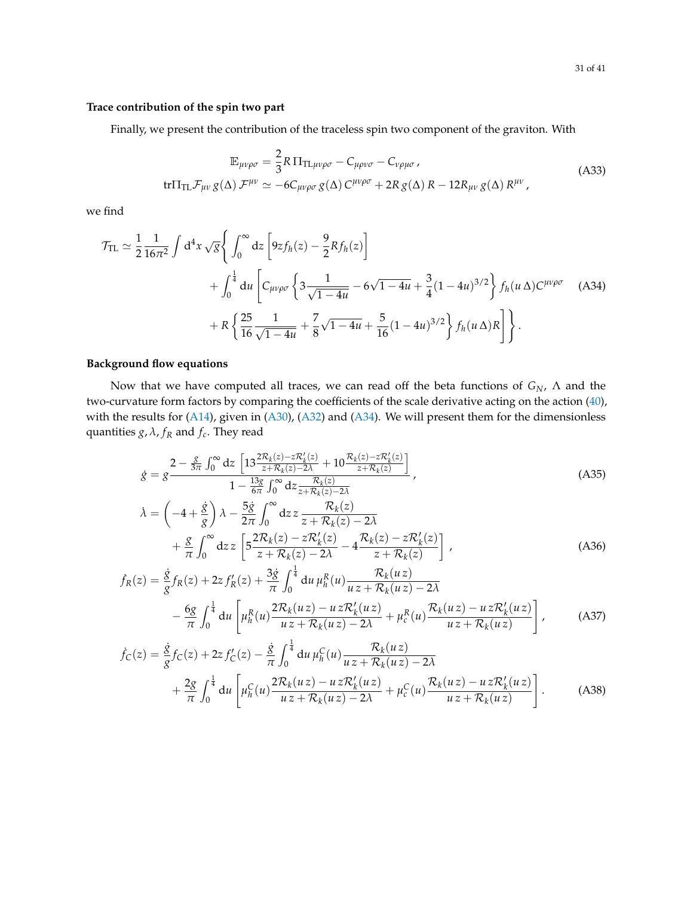## **Trace contribution of the spin two part**

Finally, we present the contribution of the traceless spin two component of the graviton. With

$$
\mathbb{E}_{\mu\nu\rho\sigma} = \frac{2}{3} R \Pi_{\text{TL}\mu\nu\rho\sigma} - C_{\mu\rho\nu\sigma} - C_{\nu\rho\mu\sigma},
$$
\n
$$
\text{tr}\Pi_{\text{TL}}\mathcal{F}_{\mu\nu}g(\Delta)\mathcal{F}^{\mu\nu} \simeq -6C_{\mu\nu\rho\sigma}g(\Delta)\,C^{\mu\nu\rho\sigma} + 2R\,g(\Delta)\,R - 12R_{\mu\nu}\,g(\Delta)\,R^{\mu\nu},
$$
\n(A33)

we find

<span id="page-30-2"></span>
$$
\mathcal{T}_{\text{TL}} \simeq \frac{1}{2} \frac{1}{16\pi^2} \int d^4 x \sqrt{g} \left\{ \int_0^\infty dz \left[ 9z f_h(z) - \frac{9}{2} R f_h(z) \right] \right.\n+ \int_0^{\frac{1}{4}} du \left[ C_{\mu\nu\rho\sigma} \left\{ 3 \frac{1}{\sqrt{1 - 4u}} - 6\sqrt{1 - 4u} + \frac{3}{4} (1 - 4u)^{3/2} \right\} f_h(u \Delta) C^{\mu\nu\rho\sigma} \right. (A34)\n+ R \left\{ \frac{25}{16} \frac{1}{\sqrt{1 - 4u}} + \frac{7}{8} \sqrt{1 - 4u} + \frac{5}{16} (1 - 4u)^{3/2} \right\} f_h(u \Delta) R \right\}.
$$

## **Background flow equations**

Now that we have computed all traces, we can read off the beta functions of *GN*, Λ and the two-curvature form factors by comparing the coefficients of the scale derivative acting on the action [\(40\)](#page-10-2), with the results for [\(A14\)](#page-27-2), given in [\(A30\)](#page-29-2), [\(A32\)](#page-29-3) and [\(A34\)](#page-30-2). We will present them for the dimensionless quantities *g*, *λ*, *f<sup>R</sup>* and *fc*. They read

<span id="page-30-0"></span>
$$
\dot{g} = g \frac{2 - \frac{g}{3\pi} \int_0^\infty dz \left[ 13 \frac{2\mathcal{R}_k(z) - z\mathcal{R}'_k(z)}{z + \mathcal{R}_k(z) - 2\lambda} + 10 \frac{\mathcal{R}_k(z) - z\mathcal{R}'_k(z)}{z + \mathcal{R}_k(z)} \right]}{1 - \frac{13g}{6\pi} \int_0^\infty dz \frac{\mathcal{R}_k(z)}{z + \mathcal{R}_k(z) - 2\lambda}},
$$
(A35)

$$
\dot{\lambda} = \left(-4 + \frac{\dot{g}}{g}\right)\lambda - \frac{5\dot{g}}{2\pi} \int_0^\infty dz \, z \frac{\mathcal{R}_k(z)}{z + \mathcal{R}_k(z) - 2\lambda} \n+ \frac{g}{\pi} \int_0^\infty dz \, z \left[ 5 \frac{2\mathcal{R}_k(z) - z\mathcal{R}'_k(z)}{z + \mathcal{R}_k(z) - 2\lambda} - 4 \frac{\mathcal{R}_k(z) - z\mathcal{R}'_k(z)}{z + \mathcal{R}_k(z)} \right],
$$
\n(A36)

$$
\dot{f}_{R}(z) = \frac{\dot{g}}{g} f_{R}(z) + 2z f'_{R}(z) + \frac{3\dot{g}}{\pi} \int_{0}^{\frac{1}{4}} du \,\mu_{h}^{R}(u) \frac{\mathcal{R}_{k}(uz)}{uz + \mathcal{R}_{k}(uz) - 2\lambda} \n- \frac{6g}{\pi} \int_{0}^{\frac{1}{4}} du \left[ \mu_{h}^{R}(u) \frac{2\mathcal{R}_{k}(uz) - uz\mathcal{R}_{k}'(uz)}{uz + \mathcal{R}_{k}(uz) - 2\lambda} + \mu_{c}^{R}(u) \frac{\mathcal{R}_{k}(uz) - uz\mathcal{R}_{k}'(uz)}{uz + \mathcal{R}_{k}(uz)} \right],
$$
\n(A37)

<span id="page-30-1"></span>
$$
\dot{f}_{C}(z) = \frac{\dot{g}}{g} f_{C}(z) + 2z f'_{C}(z) - \frac{\dot{g}}{\pi} \int_{0}^{\frac{1}{4}} du \,\mu_{h}^{C}(u) \frac{\mathcal{R}_{k}(uz)}{uz + \mathcal{R}_{k}(uz) - 2\lambda} \n+ \frac{2g}{\pi} \int_{0}^{\frac{1}{4}} du \left[ \mu_{h}^{C}(u) \frac{2\mathcal{R}_{k}(uz) - uz\mathcal{R}_{k}'(uz)}{uz + \mathcal{R}_{k}(uz) - 2\lambda} + \mu_{c}^{C}(u) \frac{\mathcal{R}_{k}(uz) - uz\mathcal{R}_{k}'(uz)}{uz + \mathcal{R}_{k}(uz)} \right].
$$
\n(A38)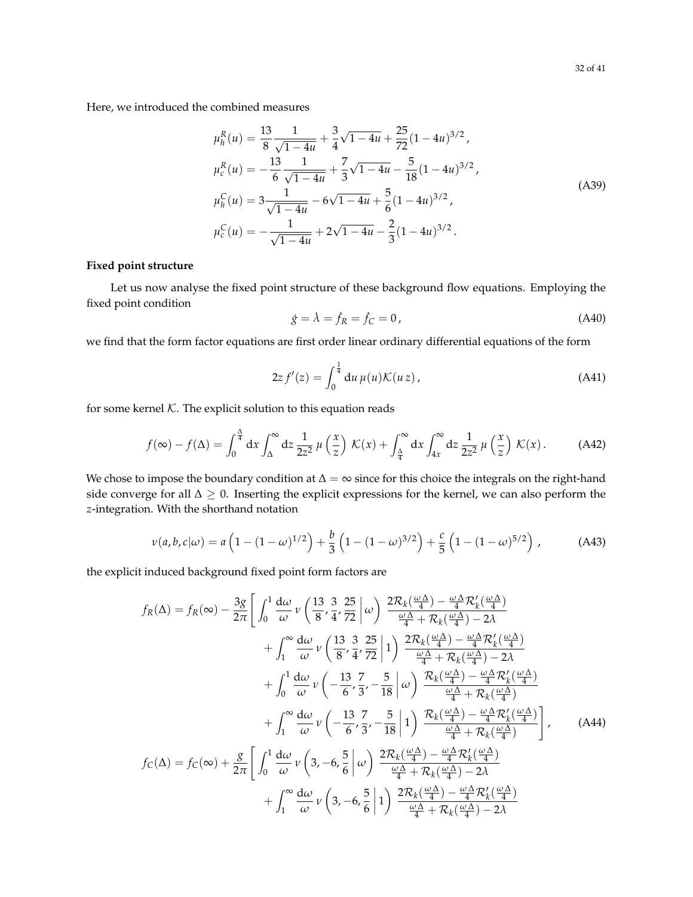Here, we introduced the combined measures

$$
\mu_h^R(u) = \frac{13}{8} \frac{1}{\sqrt{1 - 4u}} + \frac{3}{4} \sqrt{1 - 4u} + \frac{25}{72} (1 - 4u)^{3/2},
$$
  
\n
$$
\mu_c^R(u) = -\frac{13}{6} \frac{1}{\sqrt{1 - 4u}} + \frac{7}{3} \sqrt{1 - 4u} - \frac{5}{18} (1 - 4u)^{3/2},
$$
  
\n
$$
\mu_h^C(u) = 3 \frac{1}{\sqrt{1 - 4u}} - 6\sqrt{1 - 4u} + \frac{5}{6} (1 - 4u)^{3/2},
$$
  
\n
$$
\mu_c^C(u) = -\frac{1}{\sqrt{1 - 4u}} + 2\sqrt{1 - 4u} - \frac{2}{3} (1 - 4u)^{3/2}.
$$
\n(A39)

## **Fixed point structure**

Let us now analyse the fixed point structure of these background flow equations. Employing the fixed point condition

$$
\dot{g} = \dot{\lambda} = \dot{f}_R = \dot{f}_C = 0, \tag{A40}
$$

we find that the form factor equations are first order linear ordinary differential equations of the form

$$
2zf'(z) = \int_0^{\frac{1}{4}} du \,\mu(u)\mathcal{K}(uz), \tag{A41}
$$

for some kernel  $K$ . The explicit solution to this equation reads

$$
f(\infty) - f(\Delta) = \int_0^{\frac{\Delta}{4}} dx \int_{\Delta}^{\infty} dz \frac{1}{2z^2} \mu\left(\frac{x}{z}\right) \mathcal{K}(x) + \int_{\frac{\Delta}{4}}^{\infty} dx \int_{4x}^{\infty} dz \frac{1}{2z^2} \mu\left(\frac{x}{z}\right) \mathcal{K}(x).
$$
 (A42)

We chose to impose the boundary condition at  $\Delta = \infty$  since for this choice the integrals on the right-hand side converge for all  $\Delta \geq 0$ . Inserting the explicit expressions for the kernel, we can also perform the *z*-integration. With the shorthand notation

$$
\nu(a,b,c|\omega) = a\left(1 - (1 - \omega)^{1/2}\right) + \frac{b}{3}\left(1 - (1 - \omega)^{3/2}\right) + \frac{c}{5}\left(1 - (1 - \omega)^{5/2}\right),\tag{A43}
$$

the explicit induced background fixed point form factors are

$$
f_{R}(\Delta) = f_{R}(\infty) - \frac{3g}{2\pi} \left[ \int_{0}^{1} \frac{d\omega}{\omega} \nu \left( \frac{13}{8}, \frac{3}{4}, \frac{25}{72} \right] \omega \right] \frac{2\mathcal{R}_{k}(\frac{\omega\Delta}{4}) - \frac{\omega\Delta}{4}\mathcal{R}_{k}'(\frac{\omega\Delta}{4})}{\frac{\omega\Delta}{4} + \mathcal{R}_{k}(\frac{\omega\Delta}{4}) - 2\lambda} + \int_{1}^{\infty} \frac{d\omega}{\omega} \nu \left( \frac{13}{8}, \frac{3}{4}, \frac{25}{72} \right] 1 \right) \frac{2\mathcal{R}_{k}(\frac{\omega\Delta}{4}) - \frac{\omega\Delta}{4}\mathcal{R}_{k}'(\frac{\omega\Delta}{4})}{\frac{\omega\Delta}{4} + \mathcal{R}_{k}(\frac{\omega\Delta}{4}) - 2\lambda} + \int_{0}^{1} \frac{d\omega}{\omega} \nu \left( -\frac{13}{6}, \frac{7}{3}, -\frac{5}{18} \right] \omega \right) \frac{\mathcal{R}_{k}(\frac{\omega\Delta}{4}) - \frac{\omega\Delta}{4}\mathcal{R}_{k}'(\frac{\omega\Delta}{4})}{\frac{\omega\Delta}{4} + \mathcal{R}_{k}(\frac{\omega\Delta}{4})} + \int_{1}^{\infty} \frac{d\omega}{\omega} \nu \left( -\frac{13}{6}, \frac{7}{3}, -\frac{5}{18} \right] 1 \right) \frac{\mathcal{R}_{k}(\frac{\omega\Delta}{4}) - \frac{\omega\Delta}{4}\mathcal{R}_{k}'(\frac{\omega\Delta}{4})}{\frac{\omega\Delta}{4} + \mathcal{R}_{k}(\frac{\omega\Delta}{4})} + \int_{1}^{\infty} \frac{d\omega}{\omega} \nu \left( 3, -6, \frac{5}{6} \right] \omega \right) \frac{2\mathcal{R}_{k}(\frac{\omega\Delta}{4}) - \frac{\omega\Delta}{4}\mathcal{R}_{k}'(\frac{\omega\Delta}{4})}{\frac{\omega\Delta}{4} + \mathcal{R}_{k}(\frac{\omega\Delta}{4}) - 2\lambda} + \int_{1}^{\infty} \frac{d\omega}{\omega} \nu \left( 3, -6, \frac{5}{6} \right] 1 \right) \frac{2\mathcal{R}_{k}(\frac{\
$$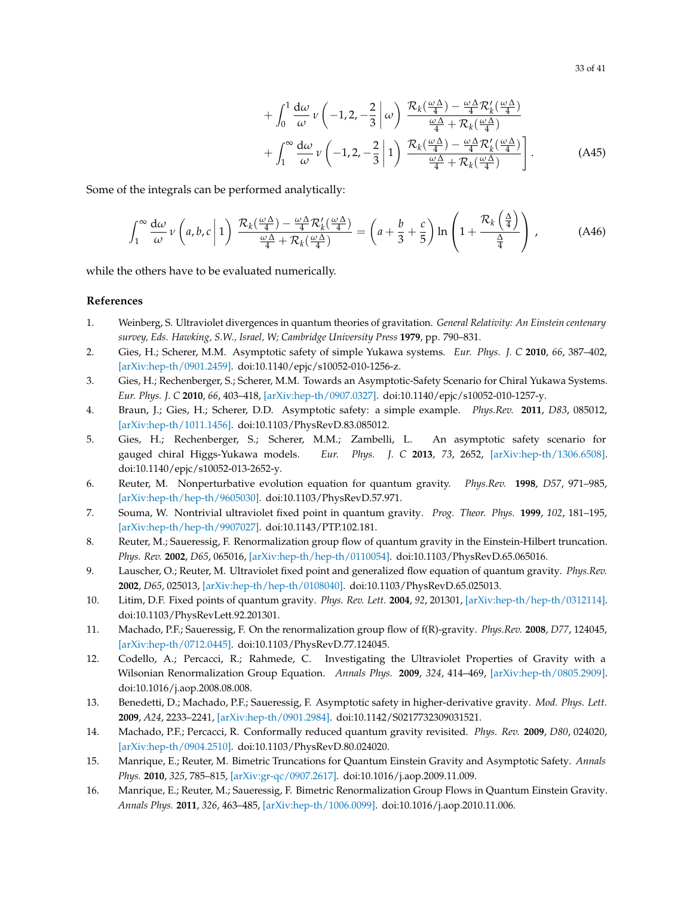33 of 41

$$
+\int_{0}^{1} \frac{d\omega}{\omega} \nu \left(-1,2,-\frac{2}{3}|\omega\right) \frac{\mathcal{R}_{k}(\frac{\omega\Delta}{4}) - \frac{\omega\Delta}{4} \mathcal{R}_{k}'(\frac{\omega\Delta}{4})}{\frac{\omega\Delta}{4} + \mathcal{R}_{k}(\frac{\omega\Delta}{4})} + \int_{1}^{\infty} \frac{d\omega}{\omega} \nu \left(-1,2,-\frac{2}{3}|\omega\right) \frac{\mathcal{R}_{k}(\frac{\omega\Delta}{4}) - \frac{\omega\Delta}{4} \mathcal{R}_{k}'(\frac{\omega\Delta}{4})}{\frac{\omega\Delta}{4} + \mathcal{R}_{k}(\frac{\omega\Delta}{4})}\right].
$$
 (A45)

Some of the integrals can be performed analytically:

<span id="page-32-0"></span>
$$
\int_{1}^{\infty} \frac{d\omega}{\omega} \nu \left( a, b, c \left| 1 \right) \frac{\mathcal{R}_{k}(\frac{\omega \Delta}{4}) - \frac{\omega \Delta}{4} \mathcal{R}_{k}'(\frac{\omega \Delta}{4})}{\frac{\omega \Delta}{4} + \mathcal{R}_{k}(\frac{\omega \Delta}{4})} = \left( a + \frac{b}{3} + \frac{c}{5} \right) \ln \left( 1 + \frac{\mathcal{R}_{k}(\frac{\Delta}{4})}{\frac{\Delta}{4}} \right) ,\tag{A46}
$$

while the others have to be evaluated numerically.

## **References**

- <span id="page-32-1"></span>1. Weinberg, S. Ultraviolet divergences in quantum theories of gravitation. *General Relativity: An Einstein centenary survey, Eds. Hawking, S.W., Israel, W; Cambridge University Press* **1979**, pp. 790–831.
- <span id="page-32-2"></span>2. Gies, H.; Scherer, M.M. Asymptotic safety of simple Yukawa systems. *Eur. Phys. J. C* **2010**, *66*, 387–402, [\[arXiv:hep-th/0901.2459\].](https://arxiv.org/abs/0901.2459) doi[:10.1140/epjc/s10052-010-1256-z.](https://doi.org/10.1140/epjc/s10052-010-1256-z)
- 3. Gies, H.; Rechenberger, S.; Scherer, M.M. Towards an Asymptotic-Safety Scenario for Chiral Yukawa Systems. *Eur. Phys. J. C* **2010**, *66*, 403–418, [\[arXiv:hep-th/0907.0327\].](https://arxiv.org/abs/0907.0327) doi[:10.1140/epjc/s10052-010-1257-y.](https://doi.org/10.1140/epjc/s10052-010-1257-y)
- 4. Braun, J.; Gies, H.; Scherer, D.D. Asymptotic safety: a simple example. *Phys.Rev.* **2011**, *D83*, 085012, [\[arXiv:hep-th/1011.1456\].](https://arxiv.org/abs/1011.1456) doi[:10.1103/PhysRevD.83.085012.](https://doi.org/10.1103/PhysRevD.83.085012)
- <span id="page-32-3"></span>5. Gies, H.; Rechenberger, S.; Scherer, M.M.; Zambelli, L. An asymptotic safety scenario for gauged chiral Higgs-Yukawa models. *Eur. Phys. J. C* **2013**, *73*, 2652, [\[arXiv:hep-th/1306.6508\].](https://arxiv.org/abs/1306.6508) doi[:10.1140/epjc/s10052-013-2652-y.](https://doi.org/10.1140/epjc/s10052-013-2652-y)
- <span id="page-32-4"></span>6. Reuter, M. Nonperturbative evolution equation for quantum gravity. *Phys.Rev.* **1998**, *D57*, 971–985, [\[arXiv:hep-th/hep-th/9605030\].](https://arxiv.org/abs/hep-th/9605030) doi[:10.1103/PhysRevD.57.971.](https://doi.org/10.1103/PhysRevD.57.971)
- 7. Souma, W. Nontrivial ultraviolet fixed point in quantum gravity. *Prog. Theor. Phys.* **1999**, *102*, 181–195, [\[arXiv:hep-th/hep-th/9907027\].](https://arxiv.org/abs/hep-th/9907027) doi[:10.1143/PTP.102.181.](https://doi.org/10.1143/PTP.102.181)
- 8. Reuter, M.; Saueressig, F. Renormalization group flow of quantum gravity in the Einstein-Hilbert truncation. *Phys. Rev.* **2002**, *D65*, 065016, [\[arXiv:hep-th/hep-th/0110054\].](https://arxiv.org/abs/hep-th/0110054) doi[:10.1103/PhysRevD.65.065016.](https://doi.org/10.1103/PhysRevD.65.065016)
- 9. Lauscher, O.; Reuter, M. Ultraviolet fixed point and generalized flow equation of quantum gravity. *Phys.Rev.* **2002**, *D65*, 025013, [\[arXiv:hep-th/hep-th/0108040\].](https://arxiv.org/abs/hep-th/0108040) doi[:10.1103/PhysRevD.65.025013.](https://doi.org/10.1103/PhysRevD.65.025013)
- 10. Litim, D.F. Fixed points of quantum gravity. *Phys. Rev. Lett.* **2004**, *92*, 201301, [\[arXiv:hep-th/hep-th/0312114\].](https://arxiv.org/abs/hep-th/0312114) doi[:10.1103/PhysRevLett.92.201301.](https://doi.org/10.1103/PhysRevLett.92.201301)
- 11. Machado, P.F.; Saueressig, F. On the renormalization group flow of f(R)-gravity. *Phys.Rev.* **2008**, *D77*, 124045, [\[arXiv:hep-th/0712.0445\].](https://arxiv.org/abs/0712.0445) doi[:10.1103/PhysRevD.77.124045.](https://doi.org/10.1103/PhysRevD.77.124045)
- 12. Codello, A.; Percacci, R.; Rahmede, C. Investigating the Ultraviolet Properties of Gravity with a Wilsonian Renormalization Group Equation. *Annals Phys.* **2009**, *324*, 414–469, [\[arXiv:hep-th/0805.2909\].](https://arxiv.org/abs/0805.2909) doi[:10.1016/j.aop.2008.08.008.](https://doi.org/10.1016/j.aop.2008.08.008)
- 13. Benedetti, D.; Machado, P.F.; Saueressig, F. Asymptotic safety in higher-derivative gravity. *Mod. Phys. Lett.* **2009**, *A24*, 2233–2241, [\[arXiv:hep-th/0901.2984\].](https://arxiv.org/abs/0901.2984) doi[:10.1142/S0217732309031521.](https://doi.org/10.1142/S0217732309031521)
- 14. Machado, P.F.; Percacci, R. Conformally reduced quantum gravity revisited. *Phys. Rev.* **2009**, *D80*, 024020, [\[arXiv:hep-th/0904.2510\].](https://arxiv.org/abs/0904.2510) doi[:10.1103/PhysRevD.80.024020.](https://doi.org/10.1103/PhysRevD.80.024020)
- <span id="page-32-5"></span>15. Manrique, E.; Reuter, M. Bimetric Truncations for Quantum Einstein Gravity and Asymptotic Safety. *Annals Phys.* **2010**, *325*, 785–815, [\[arXiv:gr-qc/0907.2617\].](https://arxiv.org/abs/0907.2617) doi[:10.1016/j.aop.2009.11.009.](https://doi.org/10.1016/j.aop.2009.11.009)
- <span id="page-32-6"></span>16. Manrique, E.; Reuter, M.; Saueressig, F. Bimetric Renormalization Group Flows in Quantum Einstein Gravity. *Annals Phys.* **2011**, *326*, 463–485, [\[arXiv:hep-th/1006.0099\].](https://arxiv.org/abs/1006.0099) doi[:10.1016/j.aop.2010.11.006.](https://doi.org/10.1016/j.aop.2010.11.006)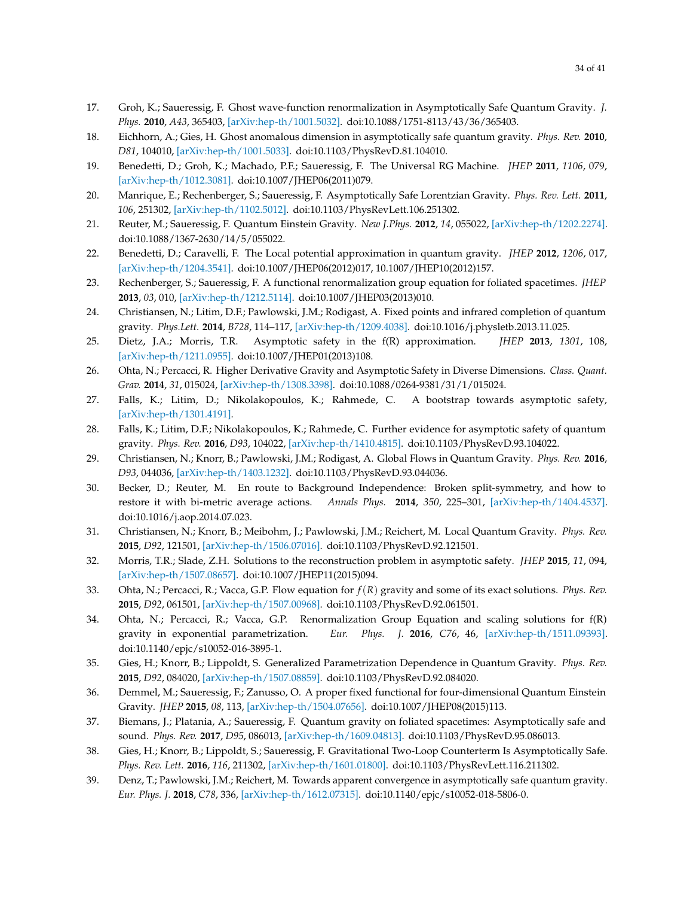- 17. Groh, K.; Saueressig, F. Ghost wave-function renormalization in Asymptotically Safe Quantum Gravity. *J. Phys.* **2010**, *A43*, 365403, [\[arXiv:hep-th/1001.5032\].](https://arxiv.org/abs/1001.5032) doi[:10.1088/1751-8113/43/36/365403.](https://doi.org/10.1088/1751-8113/43/36/365403)
- <span id="page-33-10"></span>18. Eichhorn, A.; Gies, H. Ghost anomalous dimension in asymptotically safe quantum gravity. *Phys. Rev.* **2010**, *D81*, 104010, [\[arXiv:hep-th/1001.5033\].](https://arxiv.org/abs/1001.5033) doi[:10.1103/PhysRevD.81.104010.](https://doi.org/10.1103/PhysRevD.81.104010)
- <span id="page-33-9"></span>19. Benedetti, D.; Groh, K.; Machado, P.F.; Saueressig, F. The Universal RG Machine. *JHEP* **2011**, *1106*, 079, [\[arXiv:hep-th/1012.3081\].](https://arxiv.org/abs/1012.3081) doi[:10.1007/JHEP06\(2011\)079.](https://doi.org/10.1007/JHEP06(2011)079)
- <span id="page-33-1"></span>20. Manrique, E.; Rechenberger, S.; Saueressig, F. Asymptotically Safe Lorentzian Gravity. *Phys. Rev. Lett.* **2011**, *106*, 251302, [\[arXiv:hep-th/1102.5012\].](https://arxiv.org/abs/1102.5012) doi[:10.1103/PhysRevLett.106.251302.](https://doi.org/10.1103/PhysRevLett.106.251302)
- 21. Reuter, M.; Saueressig, F. Quantum Einstein Gravity. *New J.Phys.* **2012**, *14*, 055022, [\[arXiv:hep-th/1202.2274\].](https://arxiv.org/abs/1202.2274) doi[:10.1088/1367-2630/14/5/055022.](https://doi.org/10.1088/1367-2630/14/5/055022)
- 22. Benedetti, D.; Caravelli, F. The Local potential approximation in quantum gravity. *JHEP* **2012**, *1206*, 017, [\[arXiv:hep-th/1204.3541\].](https://arxiv.org/abs/1204.3541) doi[:10.1007/JHEP06\(2012\)017, 10.1007/JHEP10\(2012\)157.](https://doi.org/10.1007/JHEP06(2012)017, 10.1007/JHEP10(2012)157)
- <span id="page-33-2"></span>23. Rechenberger, S.; Saueressig, F. A functional renormalization group equation for foliated spacetimes. *JHEP* **2013**, *03*, 010, [\[arXiv:hep-th/1212.5114\].](https://arxiv.org/abs/1212.5114) doi[:10.1007/JHEP03\(2013\)010.](https://doi.org/10.1007/JHEP03(2013)010)
- <span id="page-33-6"></span>24. Christiansen, N.; Litim, D.F.; Pawlowski, J.M.; Rodigast, A. Fixed points and infrared completion of quantum gravity. *Phys.Lett.* **2014**, *B728*, 114–117, [\[arXiv:hep-th/1209.4038\].](https://arxiv.org/abs/1209.4038) doi[:10.1016/j.physletb.2013.11.025.](https://doi.org/10.1016/j.physletb.2013.11.025)
- 25. Dietz, J.A.; Morris, T.R. Asymptotic safety in the f(R) approximation. *JHEP* **2013**, *1301*, 108, [\[arXiv:hep-th/1211.0955\].](https://arxiv.org/abs/1211.0955) doi[:10.1007/JHEP01\(2013\)108.](https://doi.org/10.1007/JHEP01(2013)108)
- 26. Ohta, N.; Percacci, R. Higher Derivative Gravity and Asymptotic Safety in Diverse Dimensions. *Class. Quant. Grav.* **2014**, *31*, 015024, [\[arXiv:hep-th/1308.3398\].](https://arxiv.org/abs/1308.3398) doi[:10.1088/0264-9381/31/1/015024.](https://doi.org/10.1088/0264-9381/31/1/015024)
- 27. Falls, K.; Litim, D.; Nikolakopoulos, K.; Rahmede, C. A bootstrap towards asymptotic safety, [\[arXiv:hep-th/1301.4191\].](https://arxiv.org/abs/1301.4191)
- 28. Falls, K.; Litim, D.F.; Nikolakopoulos, K.; Rahmede, C. Further evidence for asymptotic safety of quantum gravity. *Phys. Rev.* **2016**, *D93*, 104022, [\[arXiv:hep-th/1410.4815\].](https://arxiv.org/abs/1410.4815) doi[:10.1103/PhysRevD.93.104022.](https://doi.org/10.1103/PhysRevD.93.104022)
- <span id="page-33-7"></span>29. Christiansen, N.; Knorr, B.; Pawlowski, J.M.; Rodigast, A. Global Flows in Quantum Gravity. *Phys. Rev.* **2016**, *D93*, 044036, [\[arXiv:hep-th/1403.1232\].](https://arxiv.org/abs/1403.1232) doi[:10.1103/PhysRevD.93.044036.](https://doi.org/10.1103/PhysRevD.93.044036)
- 30. Becker, D.; Reuter, M. En route to Background Independence: Broken split-symmetry, and how to restore it with bi-metric average actions. *Annals Phys.* **2014**, *350*, 225–301, [\[arXiv:hep-th/1404.4537\].](https://arxiv.org/abs/1404.4537) doi[:10.1016/j.aop.2014.07.023.](https://doi.org/10.1016/j.aop.2014.07.023)
- <span id="page-33-0"></span>31. Christiansen, N.; Knorr, B.; Meibohm, J.; Pawlowski, J.M.; Reichert, M. Local Quantum Gravity. *Phys. Rev.* **2015**, *D92*, 121501, [\[arXiv:hep-th/1506.07016\].](https://arxiv.org/abs/1506.07016) doi[:10.1103/PhysRevD.92.121501.](https://doi.org/10.1103/PhysRevD.92.121501)
- 32. Morris, T.R.; Slade, Z.H. Solutions to the reconstruction problem in asymptotic safety. *JHEP* **2015**, *11*, 094, [\[arXiv:hep-th/1507.08657\].](https://arxiv.org/abs/1507.08657) doi[:10.1007/JHEP11\(2015\)094.](https://doi.org/10.1007/JHEP11(2015)094)
- <span id="page-33-4"></span>33. Ohta, N.; Percacci, R.; Vacca, G.P. Flow equation for *f*(*R*) gravity and some of its exact solutions. *Phys. Rev.* **2015**, *D92*, 061501, [\[arXiv:hep-th/1507.00968\].](https://arxiv.org/abs/1507.00968) doi[:10.1103/PhysRevD.92.061501.](https://doi.org/10.1103/PhysRevD.92.061501)
- 34. Ohta, N.; Percacci, R.; Vacca, G.P. Renormalization Group Equation and scaling solutions for f(R) gravity in exponential parametrization. *Eur. Phys. J.* **2016**, *C76*, 46, [\[arXiv:hep-th/1511.09393\].](https://arxiv.org/abs/1511.09393) doi[:10.1140/epjc/s10052-016-3895-1.](https://doi.org/10.1140/epjc/s10052-016-3895-1)
- <span id="page-33-5"></span>35. Gies, H.; Knorr, B.; Lippoldt, S. Generalized Parametrization Dependence in Quantum Gravity. *Phys. Rev.* **2015**, *D92*, 084020, [\[arXiv:hep-th/1507.08859\].](https://arxiv.org/abs/1507.08859) doi[:10.1103/PhysRevD.92.084020.](https://doi.org/10.1103/PhysRevD.92.084020)
- 36. Demmel, M.; Saueressig, F.; Zanusso, O. A proper fixed functional for four-dimensional Quantum Einstein Gravity. *JHEP* **2015**, *08*, 113, [\[arXiv:hep-th/1504.07656\].](https://arxiv.org/abs/1504.07656) doi[:10.1007/JHEP08\(2015\)113.](https://doi.org/10.1007/JHEP08(2015)113)
- <span id="page-33-3"></span>37. Biemans, J.; Platania, A.; Saueressig, F. Quantum gravity on foliated spacetimes: Asymptotically safe and sound. *Phys. Rev.* **2017**, *D95*, 086013, [\[arXiv:hep-th/1609.04813\].](https://arxiv.org/abs/1609.04813) doi[:10.1103/PhysRevD.95.086013.](https://doi.org/10.1103/PhysRevD.95.086013)
- 38. Gies, H.; Knorr, B.; Lippoldt, S.; Saueressig, F. Gravitational Two-Loop Counterterm Is Asymptotically Safe. *Phys. Rev. Lett.* **2016**, *116*, 211302, [\[arXiv:hep-th/1601.01800\].](https://arxiv.org/abs/1601.01800) doi[:10.1103/PhysRevLett.116.211302.](https://doi.org/10.1103/PhysRevLett.116.211302)
- <span id="page-33-8"></span>39. Denz, T.; Pawlowski, J.M.; Reichert, M. Towards apparent convergence in asymptotically safe quantum gravity. *Eur. Phys. J.* **2018**, *C78*, 336, [\[arXiv:hep-th/1612.07315\].](https://arxiv.org/abs/1612.07315) doi[:10.1140/epjc/s10052-018-5806-0.](https://doi.org/10.1140/epjc/s10052-018-5806-0)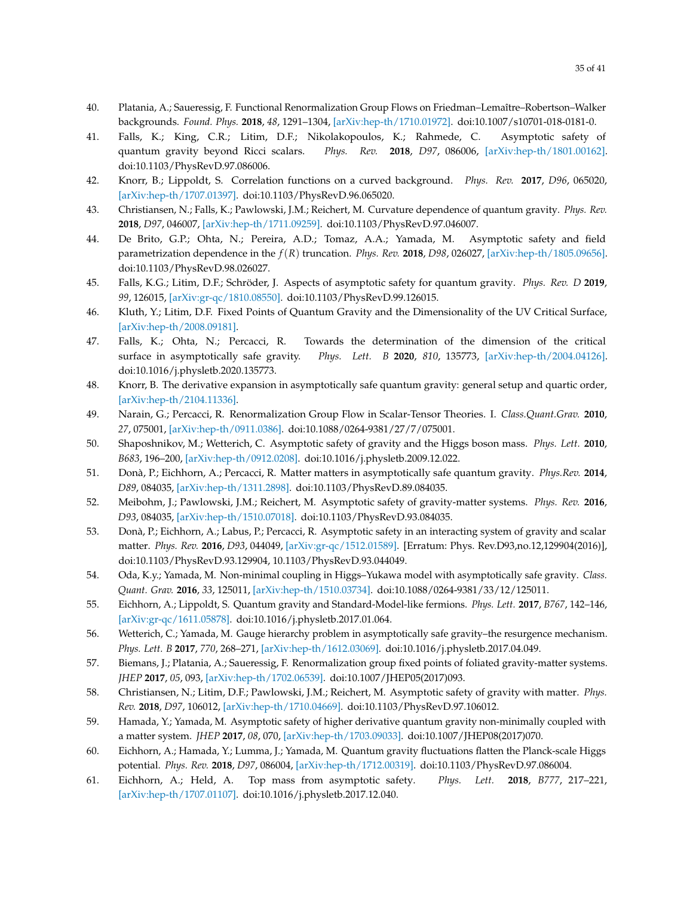- <span id="page-34-4"></span>40. Platania, A.; Saueressig, F. Functional Renormalization Group Flows on Friedman–Lemaître–Robertson–Walker backgrounds. *Found. Phys.* **2018**, *48*, 1291–1304, [\[arXiv:hep-th/1710.01972\].](https://arxiv.org/abs/1710.01972) doi[:10.1007/s10701-018-0181-0.](https://doi.org/10.1007/s10701-018-0181-0)
- 41. Falls, K.; King, C.R.; Litim, D.F.; Nikolakopoulos, K.; Rahmede, C. Asymptotic safety of quantum gravity beyond Ricci scalars. *Phys. Rev.* **2018**, *D97*, 086006, [\[arXiv:hep-th/1801.00162\].](https://arxiv.org/abs/1801.00162) doi[:10.1103/PhysRevD.97.086006.](https://doi.org/10.1103/PhysRevD.97.086006)
- <span id="page-34-9"></span>42. Knorr, B.; Lippoldt, S. Correlation functions on a curved background. *Phys. Rev.* **2017**, *D96*, 065020, [\[arXiv:hep-th/1707.01397\].](https://arxiv.org/abs/1707.01397) doi[:10.1103/PhysRevD.96.065020.](https://doi.org/10.1103/PhysRevD.96.065020)
- <span id="page-34-6"></span>43. Christiansen, N.; Falls, K.; Pawlowski, J.M.; Reichert, M. Curvature dependence of quantum gravity. *Phys. Rev.* **2018**, *D97*, 046007, [\[arXiv:hep-th/1711.09259\].](https://arxiv.org/abs/1711.09259) doi[:10.1103/PhysRevD.97.046007.](https://doi.org/10.1103/PhysRevD.97.046007)
- 44. De Brito, G.P.; Ohta, N.; Pereira, A.D.; Tomaz, A.A.; Yamada, M. Asymptotic safety and field parametrization dependence in the *f*(*R*) truncation. *Phys. Rev.* **2018**, *D98*, 026027, [\[arXiv:hep-th/1805.09656\].](https://arxiv.org/abs/1805.09656) doi[:10.1103/PhysRevD.98.026027.](https://doi.org/10.1103/PhysRevD.98.026027)
- 45. Falls, K.G.; Litim, D.F.; Schröder, J. Aspects of asymptotic safety for quantum gravity. *Phys. Rev. D* **2019**, *99*, 126015, [\[arXiv:gr-qc/1810.08550\].](https://arxiv.org/abs/1810.08550) doi[:10.1103/PhysRevD.99.126015.](https://doi.org/10.1103/PhysRevD.99.126015)
- 46. Kluth, Y.; Litim, D.F. Fixed Points of Quantum Gravity and the Dimensionality of the UV Critical Surface, [\[arXiv:hep-th/2008.09181\].](https://arxiv.org/abs/2008.09181)
- 47. Falls, K.; Ohta, N.; Percacci, R. Towards the determination of the dimension of the critical surface in asymptotically safe gravity. *Phys. Lett. B* **2020**, *810*, 135773, [\[arXiv:hep-th/2004.04126\].](https://arxiv.org/abs/2004.04126) doi[:10.1016/j.physletb.2020.135773.](https://doi.org/10.1016/j.physletb.2020.135773)
- <span id="page-34-0"></span>48. Knorr, B. The derivative expansion in asymptotically safe quantum gravity: general setup and quartic order, [\[arXiv:hep-th/2104.11336\].](https://arxiv.org/abs/2104.11336)
- <span id="page-34-1"></span>49. Narain, G.; Percacci, R. Renormalization Group Flow in Scalar-Tensor Theories. I. *Class.Quant.Grav.* **2010**, *27*, 075001, [\[arXiv:hep-th/0911.0386\].](https://arxiv.org/abs/0911.0386) doi[:10.1088/0264-9381/27/7/075001.](https://doi.org/10.1088/0264-9381/27/7/075001)
- <span id="page-34-2"></span>50. Shaposhnikov, M.; Wetterich, C. Asymptotic safety of gravity and the Higgs boson mass. *Phys. Lett.* **2010**, *B683*, 196–200, [\[arXiv:hep-th/0912.0208\].](https://arxiv.org/abs/0912.0208) doi[:10.1016/j.physletb.2009.12.022.](https://doi.org/10.1016/j.physletb.2009.12.022)
- 51. Donà, P.; Eichhorn, A.; Percacci, R. Matter matters in asymptotically safe quantum gravity. *Phys.Rev.* **2014**, *D89*, 084035, [\[arXiv:hep-th/1311.2898\].](https://arxiv.org/abs/1311.2898) doi[:10.1103/PhysRevD.89.084035.](https://doi.org/10.1103/PhysRevD.89.084035)
- <span id="page-34-7"></span>52. Meibohm, J.; Pawlowski, J.M.; Reichert, M. Asymptotic safety of gravity-matter systems. *Phys. Rev.* **2016**, *D93*, 084035, [\[arXiv:hep-th/1510.07018\].](https://arxiv.org/abs/1510.07018) doi[:10.1103/PhysRevD.93.084035.](https://doi.org/10.1103/PhysRevD.93.084035)
- <span id="page-34-5"></span>53. Donà, P.; Eichhorn, A.; Labus, P.; Percacci, R. Asymptotic safety in an interacting system of gravity and scalar matter. *Phys. Rev.* **2016**, *D93*, 044049, [\[arXiv:gr-qc/1512.01589\].](https://arxiv.org/abs/1512.01589) [Erratum: Phys. Rev.D93,no.12,129904(2016)], doi[:10.1103/PhysRevD.93.129904, 10.1103/PhysRevD.93.044049.](https://doi.org/10.1103/PhysRevD.93.129904, 10.1103/PhysRevD.93.044049)
- 54. Oda, K.y.; Yamada, M. Non-minimal coupling in Higgs–Yukawa model with asymptotically safe gravity. *Class. Quant. Grav.* **2016**, *33*, 125011, [\[arXiv:hep-th/1510.03734\].](https://arxiv.org/abs/1510.03734) doi[:10.1088/0264-9381/33/12/125011.](https://doi.org/10.1088/0264-9381/33/12/125011)
- 55. Eichhorn, A.; Lippoldt, S. Quantum gravity and Standard-Model-like fermions. *Phys. Lett.* **2017**, *B767*, 142–146, [\[arXiv:gr-qc/1611.05878\].](https://arxiv.org/abs/1611.05878) doi[:10.1016/j.physletb.2017.01.064.](https://doi.org/10.1016/j.physletb.2017.01.064)
- 56. Wetterich, C.; Yamada, M. Gauge hierarchy problem in asymptotically safe gravity–the resurgence mechanism. *Phys. Lett. B* **2017**, *770*, 268–271, [\[arXiv:hep-th/1612.03069\].](https://arxiv.org/abs/1612.03069) doi[:10.1016/j.physletb.2017.04.049.](https://doi.org/10.1016/j.physletb.2017.04.049)
- 57. Biemans, J.; Platania, A.; Saueressig, F. Renormalization group fixed points of foliated gravity-matter systems. *JHEP* **2017**, *05*, 093, [\[arXiv:hep-th/1702.06539\].](https://arxiv.org/abs/1702.06539) doi[:10.1007/JHEP05\(2017\)093.](https://doi.org/10.1007/JHEP05(2017)093)
- <span id="page-34-8"></span>58. Christiansen, N.; Litim, D.F.; Pawlowski, J.M.; Reichert, M. Asymptotic safety of gravity with matter. *Phys. Rev.* **2018**, *D97*, 106012, [\[arXiv:hep-th/1710.04669\].](https://arxiv.org/abs/1710.04669) doi[:10.1103/PhysRevD.97.106012.](https://doi.org/10.1103/PhysRevD.97.106012)
- 59. Hamada, Y.; Yamada, M. Asymptotic safety of higher derivative quantum gravity non-minimally coupled with a matter system. *JHEP* **2017**, *08*, 070, [\[arXiv:hep-th/1703.09033\].](https://arxiv.org/abs/1703.09033) doi[:10.1007/JHEP08\(2017\)070.](https://doi.org/10.1007/JHEP08(2017)070)
- 60. Eichhorn, A.; Hamada, Y.; Lumma, J.; Yamada, M. Quantum gravity fluctuations flatten the Planck-scale Higgs potential. *Phys. Rev.* **2018**, *D97*, 086004, [\[arXiv:hep-th/1712.00319\].](https://arxiv.org/abs/1712.00319) doi[:10.1103/PhysRevD.97.086004.](https://doi.org/10.1103/PhysRevD.97.086004)
- <span id="page-34-3"></span>61. Eichhorn, A.; Held, A. Top mass from asymptotic safety. *Phys. Lett.* **2018**, *B777*, 217–221, [\[arXiv:hep-th/1707.01107\].](https://arxiv.org/abs/1707.01107) doi[:10.1016/j.physletb.2017.12.040.](https://doi.org/10.1016/j.physletb.2017.12.040)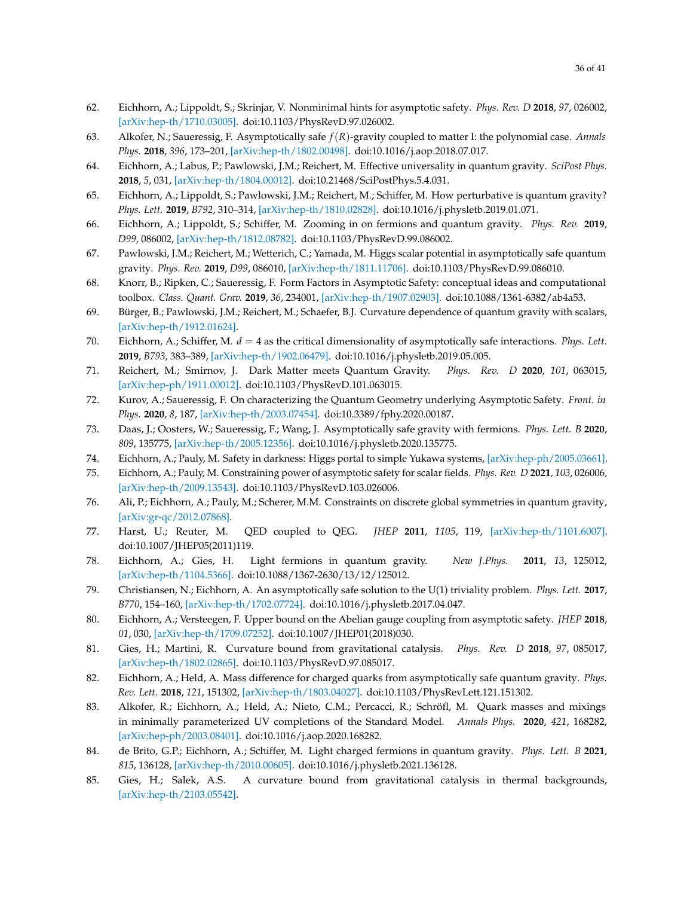- 62. Eichhorn, A.; Lippoldt, S.; Skrinjar, V. Nonminimal hints for asymptotic safety. *Phys. Rev. D* **2018**, *97*, 026002, [\[arXiv:hep-th/1710.03005\].](https://arxiv.org/abs/1710.03005) doi[:10.1103/PhysRevD.97.026002.](https://doi.org/10.1103/PhysRevD.97.026002)
- <span id="page-35-5"></span>63. Alkofer, N.; Saueressig, F. Asymptotically safe *f*(*R*)-gravity coupled to matter I: the polynomial case. *Annals Phys.* **2018**, *396*, 173–201, [\[arXiv:hep-th/1802.00498\].](https://arxiv.org/abs/1802.00498) doi[:10.1016/j.aop.2018.07.017.](https://doi.org/10.1016/j.aop.2018.07.017)
- <span id="page-35-7"></span>64. Eichhorn, A.; Labus, P.; Pawlowski, J.M.; Reichert, M. Effective universality in quantum gravity. *SciPost Phys.* **2018**, *5*, 031, [\[arXiv:hep-th/1804.00012\].](https://arxiv.org/abs/1804.00012) doi[:10.21468/SciPostPhys.5.4.031.](https://doi.org/10.21468/SciPostPhys.5.4.031)
- 65. Eichhorn, A.; Lippoldt, S.; Pawlowski, J.M.; Reichert, M.; Schiffer, M. How perturbative is quantum gravity? *Phys. Lett.* **2019**, *B792*, 310–314, [\[arXiv:hep-th/1810.02828\].](https://arxiv.org/abs/1810.02828) doi[:10.1016/j.physletb.2019.01.071.](https://doi.org/10.1016/j.physletb.2019.01.071)
- <span id="page-35-8"></span>66. Eichhorn, A.; Lippoldt, S.; Schiffer, M. Zooming in on fermions and quantum gravity. *Phys. Rev.* **2019**, *D99*, 086002, [\[arXiv:hep-th/1812.08782\].](https://arxiv.org/abs/1812.08782) doi[:10.1103/PhysRevD.99.086002.](https://doi.org/10.1103/PhysRevD.99.086002)
- 67. Pawlowski, J.M.; Reichert, M.; Wetterich, C.; Yamada, M. Higgs scalar potential in asymptotically safe quantum gravity. *Phys. Rev.* **2019**, *D99*, 086010, [\[arXiv:hep-th/1811.11706\].](https://arxiv.org/abs/1811.11706) doi[:10.1103/PhysRevD.99.086010.](https://doi.org/10.1103/PhysRevD.99.086010)
- <span id="page-35-9"></span>68. Knorr, B.; Ripken, C.; Saueressig, F. Form Factors in Asymptotic Safety: conceptual ideas and computational toolbox. *Class. Quant. Grav.* **2019**, *36*, 234001, [\[arXiv:hep-th/1907.02903\].](https://arxiv.org/abs/1907.02903) doi[:10.1088/1361-6382/ab4a53.](https://doi.org/10.1088/1361-6382/ab4a53)
- <span id="page-35-6"></span>69. Bürger, B.; Pawlowski, J.M.; Reichert, M.; Schaefer, B.J. Curvature dependence of quantum gravity with scalars, [\[arXiv:hep-th/1912.01624\].](https://arxiv.org/abs/1912.01624)
- <span id="page-35-1"></span>70. Eichhorn, A.; Schiffer, M. *d* = 4 as the critical dimensionality of asymptotically safe interactions. *Phys. Lett.* **2019**, *B793*, 383–389, [\[arXiv:hep-th/1902.06479\].](https://arxiv.org/abs/1902.06479) doi[:10.1016/j.physletb.2019.05.005.](https://doi.org/10.1016/j.physletb.2019.05.005)
- <span id="page-35-2"></span>71. Reichert, M.; Smirnov, J. Dark Matter meets Quantum Gravity. *Phys. Rev. D* **2020**, *101*, 063015, [\[arXiv:hep-ph/1911.00012\].](https://arxiv.org/abs/1911.00012) doi[:10.1103/PhysRevD.101.063015.](https://doi.org/10.1103/PhysRevD.101.063015)
- 72. Kurov, A.; Saueressig, F. On characterizing the Quantum Geometry underlying Asymptotic Safety. *Front. in Phys.* **2020**, *8*, 187, [\[arXiv:hep-th/2003.07454\].](https://arxiv.org/abs/2003.07454) doi[:10.3389/fphy.2020.00187.](https://doi.org/10.3389/fphy.2020.00187)
- 73. Daas, J.; Oosters, W.; Saueressig, F.; Wang, J. Asymptotically safe gravity with fermions. *Phys. Lett. B* **2020**, *809*, 135775, [\[arXiv:hep-th/2005.12356\].](https://arxiv.org/abs/2005.12356) doi[:10.1016/j.physletb.2020.135775.](https://doi.org/10.1016/j.physletb.2020.135775)
- 74. Eichhorn, A.; Pauly, M. Safety in darkness: Higgs portal to simple Yukawa systems, [\[arXiv:hep-ph/2005.03661\].](https://arxiv.org/abs/2005.03661)
- 75. Eichhorn, A.; Pauly, M. Constraining power of asymptotic safety for scalar fields. *Phys. Rev. D* **2021**, *103*, 026006, [\[arXiv:hep-th/2009.13543\].](https://arxiv.org/abs/2009.13543) doi[:10.1103/PhysRevD.103.026006.](https://doi.org/10.1103/PhysRevD.103.026006)
- <span id="page-35-0"></span>76. Ali, P.; Eichhorn, A.; Pauly, M.; Scherer, M.M. Constraints on discrete global symmetries in quantum gravity, [\[arXiv:gr-qc/2012.07868\].](https://arxiv.org/abs/2012.07868)
- <span id="page-35-3"></span>77. Harst, U.; Reuter, M. QED coupled to QEG. *JHEP* **2011**, *1105*, 119, [\[arXiv:hep-th/1101.6007\].](https://arxiv.org/abs/1101.6007) doi[:10.1007/JHEP05\(2011\)119.](https://doi.org/10.1007/JHEP05(2011)119)
- 78. Eichhorn, A.; Gies, H. Light fermions in quantum gravity. *New J.Phys.* **2011**, *13*, 125012, [\[arXiv:hep-th/1104.5366\].](https://arxiv.org/abs/1104.5366) doi[:10.1088/1367-2630/13/12/125012.](https://doi.org/10.1088/1367-2630/13/12/125012)
- 79. Christiansen, N.; Eichhorn, A. An asymptotically safe solution to the U(1) triviality problem. *Phys. Lett.* **2017**, *B770*, 154–160, [\[arXiv:hep-th/1702.07724\].](https://arxiv.org/abs/1702.07724) doi[:10.1016/j.physletb.2017.04.047.](https://doi.org/10.1016/j.physletb.2017.04.047)
- 80. Eichhorn, A.; Versteegen, F. Upper bound on the Abelian gauge coupling from asymptotic safety. *JHEP* **2018**, *01*, 030, [\[arXiv:hep-th/1709.07252\].](https://arxiv.org/abs/1709.07252) doi[:10.1007/JHEP01\(2018\)030.](https://doi.org/10.1007/JHEP01(2018)030)
- 81. Gies, H.; Martini, R. Curvature bound from gravitational catalysis. *Phys. Rev. D* **2018**, *97*, 085017, [\[arXiv:hep-th/1802.02865\].](https://arxiv.org/abs/1802.02865) doi[:10.1103/PhysRevD.97.085017.](https://doi.org/10.1103/PhysRevD.97.085017)
- 82. Eichhorn, A.; Held, A. Mass difference for charged quarks from asymptotically safe quantum gravity. *Phys. Rev. Lett.* **2018**, *121*, 151302, [\[arXiv:hep-th/1803.04027\].](https://arxiv.org/abs/1803.04027) doi[:10.1103/PhysRevLett.121.151302.](https://doi.org/10.1103/PhysRevLett.121.151302)
- 83. Alkofer, R.; Eichhorn, A.; Held, A.; Nieto, C.M.; Percacci, R.; Schröfl, M. Quark masses and mixings in minimally parameterized UV completions of the Standard Model. *Annals Phys.* **2020**, *421*, 168282, [\[arXiv:hep-ph/2003.08401\].](https://arxiv.org/abs/2003.08401) doi[:10.1016/j.aop.2020.168282.](https://doi.org/10.1016/j.aop.2020.168282)
- 84. de Brito, G.P.; Eichhorn, A.; Schiffer, M. Light charged fermions in quantum gravity. *Phys. Lett. B* **2021**, *815*, 136128, [\[arXiv:hep-th/2010.00605\].](https://arxiv.org/abs/2010.00605) doi[:10.1016/j.physletb.2021.136128.](https://doi.org/10.1016/j.physletb.2021.136128)
- <span id="page-35-4"></span>85. Gies, H.; Salek, A.S. A curvature bound from gravitational catalysis in thermal backgrounds, [\[arXiv:hep-th/2103.05542\].](https://arxiv.org/abs/2103.05542)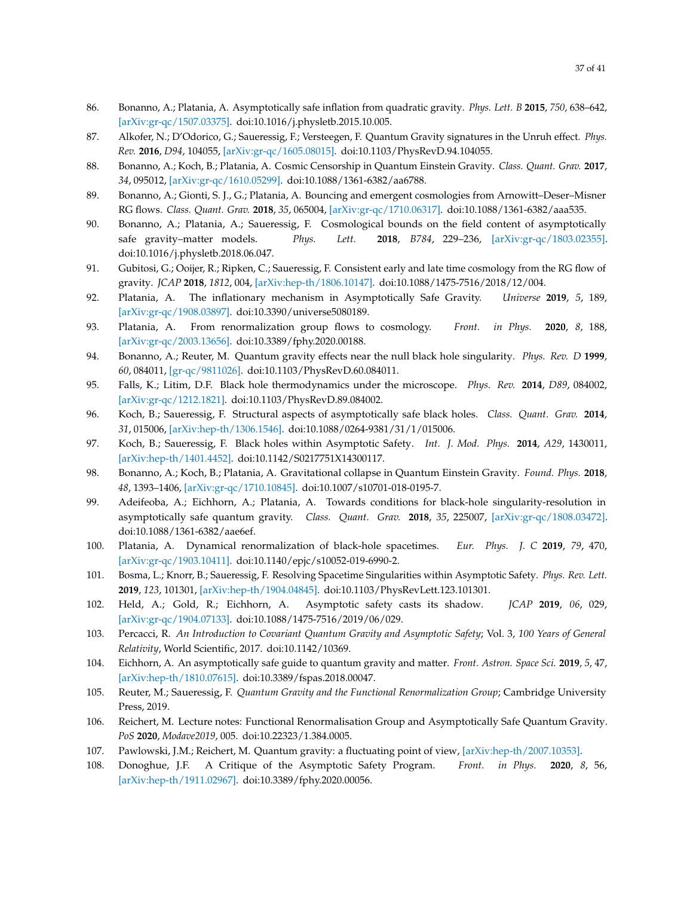- <span id="page-36-0"></span>86. Bonanno, A.; Platania, A. Asymptotically safe inflation from quadratic gravity. *Phys. Lett. B* **2015**, *750*, 638–642, [\[arXiv:gr-qc/1507.03375\].](https://arxiv.org/abs/1507.03375) doi[:10.1016/j.physletb.2015.10.005.](https://doi.org/10.1016/j.physletb.2015.10.005)
- 87. Alkofer, N.; D'Odorico, G.; Saueressig, F.; Versteegen, F. Quantum Gravity signatures in the Unruh effect. *Phys. Rev.* **2016**, *D94*, 104055, [\[arXiv:gr-qc/1605.08015\].](https://arxiv.org/abs/1605.08015) doi[:10.1103/PhysRevD.94.104055.](https://doi.org/10.1103/PhysRevD.94.104055)
- 88. Bonanno, A.; Koch, B.; Platania, A. Cosmic Censorship in Quantum Einstein Gravity. *Class. Quant. Grav.* **2017**, *34*, 095012, [\[arXiv:gr-qc/1610.05299\].](https://arxiv.org/abs/1610.05299) doi[:10.1088/1361-6382/aa6788.](https://doi.org/10.1088/1361-6382/aa6788)
- 89. Bonanno, A.; Gionti, S. J., G.; Platania, A. Bouncing and emergent cosmologies from Arnowitt–Deser–Misner RG flows. *Class. Quant. Grav.* **2018**, *35*, 065004, [\[arXiv:gr-qc/1710.06317\].](https://arxiv.org/abs/1710.06317) doi[:10.1088/1361-6382/aaa535.](https://doi.org/10.1088/1361-6382/aaa535)
- 90. Bonanno, A.; Platania, A.; Saueressig, F. Cosmological bounds on the field content of asymptotically safe gravity–matter models. *Phys. Lett.* **2018**, *B784*, 229–236, [\[arXiv:gr-qc/1803.02355\].](https://arxiv.org/abs/1803.02355) doi[:10.1016/j.physletb.2018.06.047.](https://doi.org/10.1016/j.physletb.2018.06.047)
- 91. Gubitosi, G.; Ooijer, R.; Ripken, C.; Saueressig, F. Consistent early and late time cosmology from the RG flow of gravity. *JCAP* **2018**, *1812*, 004, [\[arXiv:hep-th/1806.10147\].](https://arxiv.org/abs/1806.10147) doi[:10.1088/1475-7516/2018/12/004.](https://doi.org/10.1088/1475-7516/2018/12/004)
- 92. Platania, A. The inflationary mechanism in Asymptotically Safe Gravity. *Universe* **2019**, *5*, 189, [\[arXiv:gr-qc/1908.03897\].](https://arxiv.org/abs/1908.03897) doi[:10.3390/universe5080189.](https://doi.org/10.3390/universe5080189)
- <span id="page-36-1"></span>93. Platania, A. From renormalization group flows to cosmology. *Front. in Phys.* **2020**, *8*, 188, [\[arXiv:gr-qc/2003.13656\].](https://arxiv.org/abs/2003.13656) doi[:10.3389/fphy.2020.00188.](https://doi.org/10.3389/fphy.2020.00188)
- <span id="page-36-2"></span>94. Bonanno, A.; Reuter, M. Quantum gravity effects near the null black hole singularity. *Phys. Rev. D* **1999**, *60*, 084011, [\[gr-qc/9811026\].](https://arxiv.org/abs/gr-qc/9811026) doi[:10.1103/PhysRevD.60.084011.](https://doi.org/10.1103/PhysRevD.60.084011)
- 95. Falls, K.; Litim, D.F. Black hole thermodynamics under the microscope. *Phys. Rev.* **2014**, *D89*, 084002, [\[arXiv:gr-qc/1212.1821\].](https://arxiv.org/abs/1212.1821) doi[:10.1103/PhysRevD.89.084002.](https://doi.org/10.1103/PhysRevD.89.084002)
- 96. Koch, B.; Saueressig, F. Structural aspects of asymptotically safe black holes. *Class. Quant. Grav.* **2014**, *31*, 015006, [\[arXiv:hep-th/1306.1546\].](https://arxiv.org/abs/1306.1546) doi[:10.1088/0264-9381/31/1/015006.](https://doi.org/10.1088/0264-9381/31/1/015006)
- 97. Koch, B.; Saueressig, F. Black holes within Asymptotic Safety. *Int. J. Mod. Phys.* **2014**, *A29*, 1430011, [\[arXiv:hep-th/1401.4452\].](https://arxiv.org/abs/1401.4452) doi[:10.1142/S0217751X14300117.](https://doi.org/10.1142/S0217751X14300117)
- 98. Bonanno, A.; Koch, B.; Platania, A. Gravitational collapse in Quantum Einstein Gravity. *Found. Phys.* **2018**, *48*, 1393–1406, [\[arXiv:gr-qc/1710.10845\].](https://arxiv.org/abs/1710.10845) doi[:10.1007/s10701-018-0195-7.](https://doi.org/10.1007/s10701-018-0195-7)
- 99. Adeifeoba, A.; Eichhorn, A.; Platania, A. Towards conditions for black-hole singularity-resolution in asymptotically safe quantum gravity. *Class. Quant. Grav.* **2018**, *35*, 225007, [\[arXiv:gr-qc/1808.03472\].](https://arxiv.org/abs/1808.03472) doi[:10.1088/1361-6382/aae6ef.](https://doi.org/10.1088/1361-6382/aae6ef)
- 100. Platania, A. Dynamical renormalization of black-hole spacetimes. *Eur. Phys. J. C* **2019**, *79*, 470, [\[arXiv:gr-qc/1903.10411\].](https://arxiv.org/abs/1903.10411) doi[:10.1140/epjc/s10052-019-6990-2.](https://doi.org/10.1140/epjc/s10052-019-6990-2)
- <span id="page-36-8"></span>101. Bosma, L.; Knorr, B.; Saueressig, F. Resolving Spacetime Singularities within Asymptotic Safety. *Phys. Rev. Lett.* **2019**, *123*, 101301, [\[arXiv:hep-th/1904.04845\].](https://arxiv.org/abs/1904.04845) doi[:10.1103/PhysRevLett.123.101301.](https://doi.org/10.1103/PhysRevLett.123.101301)
- <span id="page-36-3"></span>102. Held, A.; Gold, R.; Eichhorn, A. Asymptotic safety casts its shadow. *JCAP* **2019**, *06*, 029, [\[arXiv:gr-qc/1904.07133\].](https://arxiv.org/abs/1904.07133) doi[:10.1088/1475-7516/2019/06/029.](https://doi.org/10.1088/1475-7516/2019/06/029)
- <span id="page-36-4"></span>103. Percacci, R. *An Introduction to Covariant Quantum Gravity and Asymptotic Safety*; Vol. 3, *100 Years of General Relativity*, World Scientific, 2017. doi[:10.1142/10369.](https://doi.org/10.1142/10369)
- 104. Eichhorn, A. An asymptotically safe guide to quantum gravity and matter. *Front. Astron. Space Sci.* **2019**, *5*, 47, [\[arXiv:hep-th/1810.07615\].](https://arxiv.org/abs/1810.07615) doi[:10.3389/fspas.2018.00047.](https://doi.org/10.3389/fspas.2018.00047)
- 105. Reuter, M.; Saueressig, F. *Quantum Gravity and the Functional Renormalization Group*; Cambridge University Press, 2019.
- <span id="page-36-7"></span>106. Reichert, M. Lecture notes: Functional Renormalisation Group and Asymptotically Safe Quantum Gravity. *PoS* **2020**, *Modave2019*, 005. doi[:10.22323/1.384.0005.](https://doi.org/10.22323/1.384.0005)
- <span id="page-36-5"></span>107. Pawlowski, J.M.; Reichert, M. Quantum gravity: a fluctuating point of view, [\[arXiv:hep-th/2007.10353\].](https://arxiv.org/abs/2007.10353)
- <span id="page-36-6"></span>108. Donoghue, J.F. A Critique of the Asymptotic Safety Program. *Front. in Phys.* **2020**, *8*, 56, [\[arXiv:hep-th/1911.02967\].](https://arxiv.org/abs/1911.02967) doi[:10.3389/fphy.2020.00056.](https://doi.org/10.3389/fphy.2020.00056)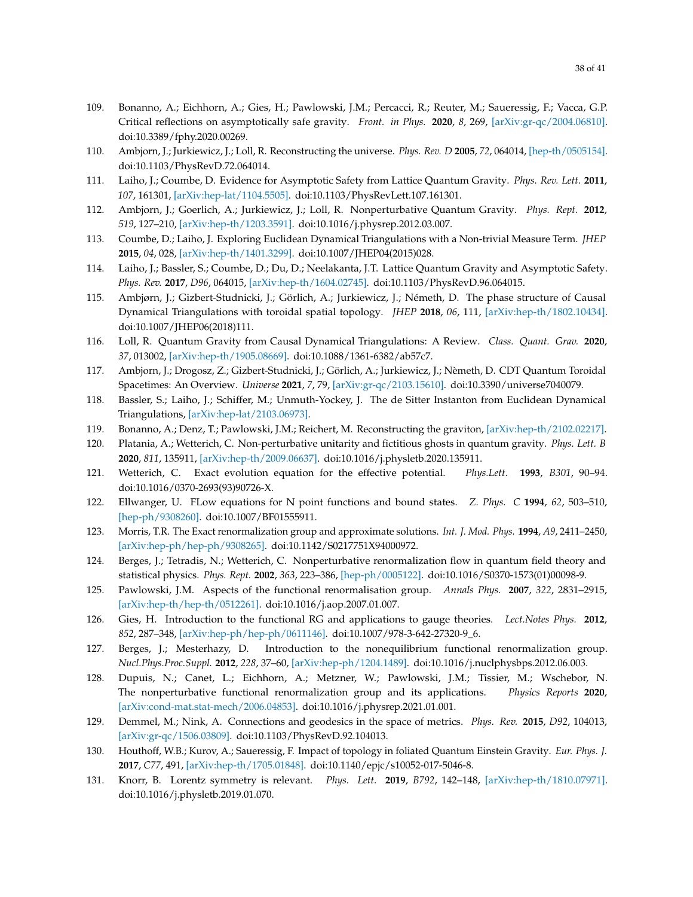- <span id="page-37-0"></span>109. Bonanno, A.; Eichhorn, A.; Gies, H.; Pawlowski, J.M.; Percacci, R.; Reuter, M.; Saueressig, F.; Vacca, G.P. Critical reflections on asymptotically safe gravity. *Front. in Phys.* **2020**, *8*, 269, [\[arXiv:gr-qc/2004.06810\].](https://arxiv.org/abs/2004.06810) doi[:10.3389/fphy.2020.00269.](https://doi.org/10.3389/fphy.2020.00269)
- <span id="page-37-1"></span>110. Ambjorn, J.; Jurkiewicz, J.; Loll, R. Reconstructing the universe. *Phys. Rev. D* **2005**, *72*, 064014, [\[hep-th/0505154\].](https://arxiv.org/abs/hep-th/0505154) doi[:10.1103/PhysRevD.72.064014.](https://doi.org/10.1103/PhysRevD.72.064014)
- 111. Laiho, J.; Coumbe, D. Evidence for Asymptotic Safety from Lattice Quantum Gravity. *Phys. Rev. Lett.* **2011**, *107*, 161301, [\[arXiv:hep-lat/1104.5505\].](https://arxiv.org/abs/1104.5505) doi[:10.1103/PhysRevLett.107.161301.](https://doi.org/10.1103/PhysRevLett.107.161301)
- 112. Ambjorn, J.; Goerlich, A.; Jurkiewicz, J.; Loll, R. Nonperturbative Quantum Gravity. *Phys. Rept.* **2012**, *519*, 127–210, [\[arXiv:hep-th/1203.3591\].](https://arxiv.org/abs/1203.3591) doi[:10.1016/j.physrep.2012.03.007.](https://doi.org/10.1016/j.physrep.2012.03.007)
- 113. Coumbe, D.; Laiho, J. Exploring Euclidean Dynamical Triangulations with a Non-trivial Measure Term. *JHEP* **2015**, *04*, 028, [\[arXiv:hep-th/1401.3299\].](https://arxiv.org/abs/1401.3299) doi[:10.1007/JHEP04\(2015\)028.](https://doi.org/10.1007/JHEP04(2015)028)
- 114. Laiho, J.; Bassler, S.; Coumbe, D.; Du, D.; Neelakanta, J.T. Lattice Quantum Gravity and Asymptotic Safety. *Phys. Rev.* **2017**, *D96*, 064015, [\[arXiv:hep-th/1604.02745\].](https://arxiv.org/abs/1604.02745) doi[:10.1103/PhysRevD.96.064015.](https://doi.org/10.1103/PhysRevD.96.064015)
- 115. Ambjørn, J.; Gizbert-Studnicki, J.; Görlich, A.; Jurkiewicz, J.; Németh, D. The phase structure of Causal Dynamical Triangulations with toroidal spatial topology. *JHEP* **2018**, *06*, 111, [\[arXiv:hep-th/1802.10434\].](https://arxiv.org/abs/1802.10434) doi[:10.1007/JHEP06\(2018\)111.](https://doi.org/10.1007/JHEP06(2018)111)
- 116. Loll, R. Quantum Gravity from Causal Dynamical Triangulations: A Review. *Class. Quant. Grav.* **2020**, *37*, 013002, [\[arXiv:hep-th/1905.08669\].](https://arxiv.org/abs/1905.08669) doi[:10.1088/1361-6382/ab57c7.](https://doi.org/10.1088/1361-6382/ab57c7)
- 117. Ambjorn, J.; Drogosz, Z.; Gizbert-Studnicki, J.; Görlich, A.; Jurkiewicz, J.; Nèmeth, D. CDT Quantum Toroidal Spacetimes: An Overview. *Universe* **2021**, *7*, 79, [\[arXiv:gr-qc/2103.15610\].](https://arxiv.org/abs/2103.15610) doi[:10.3390/universe7040079.](https://doi.org/10.3390/universe7040079)
- <span id="page-37-2"></span>118. Bassler, S.; Laiho, J.; Schiffer, M.; Unmuth-Yockey, J. The de Sitter Instanton from Euclidean Dynamical Triangulations, [\[arXiv:hep-lat/2103.06973\].](https://arxiv.org/abs/2103.06973)
- <span id="page-37-3"></span>119. Bonanno, A.; Denz, T.; Pawlowski, J.M.; Reichert, M. Reconstructing the graviton, [\[arXiv:hep-th/2102.02217\].](https://arxiv.org/abs/2102.02217)
- <span id="page-37-4"></span>120. Platania, A.; Wetterich, C. Non-perturbative unitarity and fictitious ghosts in quantum gravity. *Phys. Lett. B* **2020**, *811*, 135911, [\[arXiv:hep-th/2009.06637\].](https://arxiv.org/abs/2009.06637) doi[:10.1016/j.physletb.2020.135911.](https://doi.org/10.1016/j.physletb.2020.135911)
- <span id="page-37-5"></span>121. Wetterich, C. Exact evolution equation for the effective potential. *Phys.Lett.* **1993**, *B301*, 90–94. doi[:10.1016/0370-2693\(93\)90726-X.](https://doi.org/10.1016/0370-2693(93)90726-X)
- 122. Ellwanger, U. FLow equations for N point functions and bound states. *Z. Phys. C* **1994**, *62*, 503–510, [\[hep-ph/9308260\].](https://arxiv.org/abs/hep-ph/9308260) doi[:10.1007/BF01555911.](https://doi.org/10.1007/BF01555911)
- <span id="page-37-6"></span>123. Morris, T.R. The Exact renormalization group and approximate solutions. *Int. J. Mod. Phys.* **1994**, *A9*, 2411–2450, [\[arXiv:hep-ph/hep-ph/9308265\].](https://arxiv.org/abs/hep-ph/9308265) doi[:10.1142/S0217751X94000972.](https://doi.org/10.1142/S0217751X94000972)
- <span id="page-37-7"></span>124. Berges, J.; Tetradis, N.; Wetterich, C. Nonperturbative renormalization flow in quantum field theory and statistical physics. *Phys. Rept.* **2002**, *363*, 223–386, [\[hep-ph/0005122\].](https://arxiv.org/abs/hep-ph/0005122) doi[:10.1016/S0370-1573\(01\)00098-9.](https://doi.org/10.1016/S0370-1573(01)00098-9)
- <span id="page-37-10"></span>125. Pawlowski, J.M. Aspects of the functional renormalisation group. *Annals Phys.* **2007**, *322*, 2831–2915, [\[arXiv:hep-th/hep-th/0512261\].](https://arxiv.org/abs/hep-th/0512261) doi[:10.1016/j.aop.2007.01.007.](https://doi.org/10.1016/j.aop.2007.01.007)
- 126. Gies, H. Introduction to the functional RG and applications to gauge theories. *Lect.Notes Phys.* **2012**, *852*, 287–348, [\[arXiv:hep-ph/hep-ph/0611146\].](https://arxiv.org/abs/hep-ph/0611146) doi[:10.1007/978-3-642-27320-9\\_6.](https://doi.org/10.1007/978-3-642-27320-9_6)
- 127. Berges, J.; Mesterhazy, D. Introduction to the nonequilibrium functional renormalization group. *Nucl.Phys.Proc.Suppl.* **2012**, *228*, 37–60, [\[arXiv:hep-ph/1204.1489\].](https://arxiv.org/abs/1204.1489) doi[:10.1016/j.nuclphysbps.2012.06.003.](https://doi.org/10.1016/j.nuclphysbps.2012.06.003)
- <span id="page-37-8"></span>128. Dupuis, N.; Canet, L.; Eichhorn, A.; Metzner, W.; Pawlowski, J.M.; Tissier, M.; Wschebor, N. The nonperturbative functional renormalization group and its applications. *Physics Reports* **2020**, [\[arXiv:cond-mat.stat-mech/2006.04853\].](https://arxiv.org/abs/2006.04853) doi[:10.1016/j.physrep.2021.01.001.](https://doi.org/10.1016/j.physrep.2021.01.001)
- <span id="page-37-9"></span>129. Demmel, M.; Nink, A. Connections and geodesics in the space of metrics. *Phys. Rev.* **2015**, *D92*, 104013, [\[arXiv:gr-qc/1506.03809\].](https://arxiv.org/abs/1506.03809) doi[:10.1103/PhysRevD.92.104013.](https://doi.org/10.1103/PhysRevD.92.104013)
- 130. Houthoff, W.B.; Kurov, A.; Saueressig, F. Impact of topology in foliated Quantum Einstein Gravity. *Eur. Phys. J.* **2017**, *C77*, 491, [\[arXiv:hep-th/1705.01848\].](https://arxiv.org/abs/1705.01848) doi[:10.1140/epjc/s10052-017-5046-8.](https://doi.org/10.1140/epjc/s10052-017-5046-8)
- 131. Knorr, B. Lorentz symmetry is relevant. *Phys. Lett.* **2019**, *B792*, 142–148, [\[arXiv:hep-th/1810.07971\].](https://arxiv.org/abs/1810.07971) doi[:10.1016/j.physletb.2019.01.070.](https://doi.org/10.1016/j.physletb.2019.01.070)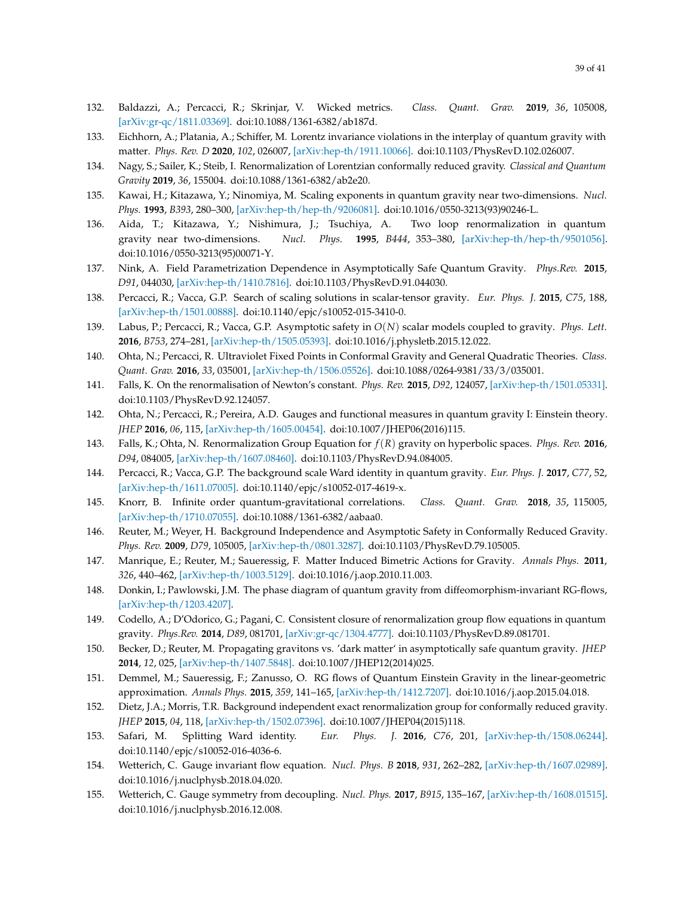- 132. Baldazzi, A.; Percacci, R.; Skrinjar, V. Wicked metrics. *Class. Quant. Grav.* **2019**, *36*, 105008, [\[arXiv:gr-qc/1811.03369\].](https://arxiv.org/abs/1811.03369) doi[:10.1088/1361-6382/ab187d.](https://doi.org/10.1088/1361-6382/ab187d)
- 133. Eichhorn, A.; Platania, A.; Schiffer, M. Lorentz invariance violations in the interplay of quantum gravity with matter. *Phys. Rev. D* **2020**, *102*, 026007, [\[arXiv:hep-th/1911.10066\].](https://arxiv.org/abs/1911.10066) doi[:10.1103/PhysRevD.102.026007.](https://doi.org/10.1103/PhysRevD.102.026007)
- <span id="page-38-0"></span>134. Nagy, S.; Sailer, K.; Steib, I. Renormalization of Lorentzian conformally reduced gravity. *Classical and Quantum Gravity* **2019**, *36*, 155004. doi[:10.1088/1361-6382/ab2e20.](https://doi.org/10.1088/1361-6382/ab2e20)
- <span id="page-38-1"></span>135. Kawai, H.; Kitazawa, Y.; Ninomiya, M. Scaling exponents in quantum gravity near two-dimensions. *Nucl. Phys.* **1993**, *B393*, 280–300, [\[arXiv:hep-th/hep-th/9206081\].](https://arxiv.org/abs/hep-th/9206081) doi[:10.1016/0550-3213\(93\)90246-L.](https://doi.org/10.1016/0550-3213(93)90246-L)
- 136. Aida, T.; Kitazawa, Y.; Nishimura, J.; Tsuchiya, A. Two loop renormalization in quantum gravity near two-dimensions. *Nucl. Phys.* **1995**, *B444*, 353–380, [\[arXiv:hep-th/hep-th/9501056\].](https://arxiv.org/abs/hep-th/9501056) doi[:10.1016/0550-3213\(95\)00071-Y.](https://doi.org/10.1016/0550-3213(95)00071-Y)
- 137. Nink, A. Field Parametrization Dependence in Asymptotically Safe Quantum Gravity. *Phys.Rev.* **2015**, *D91*, 044030, [\[arXiv:hep-th/1410.7816\].](https://arxiv.org/abs/1410.7816) doi[:10.1103/PhysRevD.91.044030.](https://doi.org/10.1103/PhysRevD.91.044030)
- <span id="page-38-6"></span>138. Percacci, R.; Vacca, G.P. Search of scaling solutions in scalar-tensor gravity. *Eur. Phys. J.* **2015**, *C75*, 188, [\[arXiv:hep-th/1501.00888\].](https://arxiv.org/abs/1501.00888) doi[:10.1140/epjc/s10052-015-3410-0.](https://doi.org/10.1140/epjc/s10052-015-3410-0)
- <span id="page-38-7"></span>139. Labus, P.; Percacci, R.; Vacca, G.P. Asymptotic safety in *O*(*N*) scalar models coupled to gravity. *Phys. Lett.* **2016**, *B753*, 274–281, [\[arXiv:hep-th/1505.05393\].](https://arxiv.org/abs/1505.05393) doi[:10.1016/j.physletb.2015.12.022.](https://doi.org/10.1016/j.physletb.2015.12.022)
- 140. Ohta, N.; Percacci, R. Ultraviolet Fixed Points in Conformal Gravity and General Quadratic Theories. *Class. Quant. Grav.* **2016**, *33*, 035001, [\[arXiv:hep-th/1506.05526\].](https://arxiv.org/abs/1506.05526) doi[:10.1088/0264-9381/33/3/035001.](https://doi.org/10.1088/0264-9381/33/3/035001)
- 141. Falls, K. On the renormalisation of Newton's constant. *Phys. Rev.* **2015**, *D92*, 124057, [\[arXiv:hep-th/1501.05331\].](https://arxiv.org/abs/1501.05331) doi[:10.1103/PhysRevD.92.124057.](https://doi.org/10.1103/PhysRevD.92.124057)
- 142. Ohta, N.; Percacci, R.; Pereira, A.D. Gauges and functional measures in quantum gravity I: Einstein theory. *JHEP* **2016**, *06*, 115, [\[arXiv:hep-th/1605.00454\].](https://arxiv.org/abs/1605.00454) doi[:10.1007/JHEP06\(2016\)115.](https://doi.org/10.1007/JHEP06(2016)115)
- 143. Falls, K.; Ohta, N. Renormalization Group Equation for *f*(*R*) gravity on hyperbolic spaces. *Phys. Rev.* **2016**, *D94*, 084005, [\[arXiv:hep-th/1607.08460\].](https://arxiv.org/abs/1607.08460) doi[:10.1103/PhysRevD.94.084005.](https://doi.org/10.1103/PhysRevD.94.084005)
- <span id="page-38-3"></span>144. Percacci, R.; Vacca, G.P. The background scale Ward identity in quantum gravity. *Eur. Phys. J.* **2017**, *C77*, 52, [\[arXiv:hep-th/1611.07005\].](https://arxiv.org/abs/1611.07005) doi[:10.1140/epjc/s10052-017-4619-x.](https://doi.org/10.1140/epjc/s10052-017-4619-x)
- <span id="page-38-2"></span>145. Knorr, B. Infinite order quantum-gravitational correlations. *Class. Quant. Grav.* **2018**, *35*, 115005, [\[arXiv:hep-th/1710.07055\].](https://arxiv.org/abs/1710.07055) doi[:10.1088/1361-6382/aabaa0.](https://doi.org/10.1088/1361-6382/aabaa0)
- <span id="page-38-4"></span>146. Reuter, M.; Weyer, H. Background Independence and Asymptotic Safety in Conformally Reduced Gravity. *Phys. Rev.* **2009**, *D79*, 105005, [\[arXiv:hep-th/0801.3287\].](https://arxiv.org/abs/0801.3287) doi[:10.1103/PhysRevD.79.105005.](https://doi.org/10.1103/PhysRevD.79.105005)
- 147. Manrique, E.; Reuter, M.; Saueressig, F. Matter Induced Bimetric Actions for Gravity. *Annals Phys.* **2011**, *326*, 440–462, [\[arXiv:hep-th/1003.5129\].](https://arxiv.org/abs/1003.5129) doi[:10.1016/j.aop.2010.11.003.](https://doi.org/10.1016/j.aop.2010.11.003)
- 148. Donkin, I.; Pawlowski, J.M. The phase diagram of quantum gravity from diffeomorphism-invariant RG-flows, [\[arXiv:hep-th/1203.4207\].](https://arxiv.org/abs/1203.4207)
- 149. Codello, A.; D'Odorico, G.; Pagani, C. Consistent closure of renormalization group flow equations in quantum gravity. *Phys.Rev.* **2014**, *D89*, 081701, [\[arXiv:gr-qc/1304.4777\].](https://arxiv.org/abs/1304.4777) doi[:10.1103/PhysRevD.89.081701.](https://doi.org/10.1103/PhysRevD.89.081701)
- 150. Becker, D.; Reuter, M. Propagating gravitons vs. 'dark matter' in asymptotically safe quantum gravity. *JHEP* **2014**, *12*, 025, [\[arXiv:hep-th/1407.5848\].](https://arxiv.org/abs/1407.5848) doi[:10.1007/JHEP12\(2014\)025.](https://doi.org/10.1007/JHEP12(2014)025)
- 151. Demmel, M.; Saueressig, F.; Zanusso, O. RG flows of Quantum Einstein Gravity in the linear-geometric approximation. *Annals Phys.* **2015**, *359*, 141–165, [\[arXiv:hep-th/1412.7207\].](https://arxiv.org/abs/1412.7207) doi[:10.1016/j.aop.2015.04.018.](https://doi.org/10.1016/j.aop.2015.04.018)
- 152. Dietz, J.A.; Morris, T.R. Background independent exact renormalization group for conformally reduced gravity. *JHEP* **2015**, *04*, 118, [\[arXiv:hep-th/1502.07396\].](https://arxiv.org/abs/1502.07396) doi[:10.1007/JHEP04\(2015\)118.](https://doi.org/10.1007/JHEP04(2015)118)
- 153. Safari, M. Splitting Ward identity. *Eur. Phys. J.* **2016**, *C76*, 201, [\[arXiv:hep-th/1508.06244\].](https://arxiv.org/abs/1508.06244) doi[:10.1140/epjc/s10052-016-4036-6.](https://doi.org/10.1140/epjc/s10052-016-4036-6)
- <span id="page-38-5"></span>154. Wetterich, C. Gauge invariant flow equation. *Nucl. Phys. B* **2018**, *931*, 262–282, [\[arXiv:hep-th/1607.02989\].](https://arxiv.org/abs/1607.02989) doi[:10.1016/j.nuclphysb.2018.04.020.](https://doi.org/10.1016/j.nuclphysb.2018.04.020)
- 155. Wetterich, C. Gauge symmetry from decoupling. *Nucl. Phys.* **2017**, *B915*, 135–167, [\[arXiv:hep-th/1608.01515\].](https://arxiv.org/abs/1608.01515) doi[:10.1016/j.nuclphysb.2016.12.008.](https://doi.org/10.1016/j.nuclphysb.2016.12.008)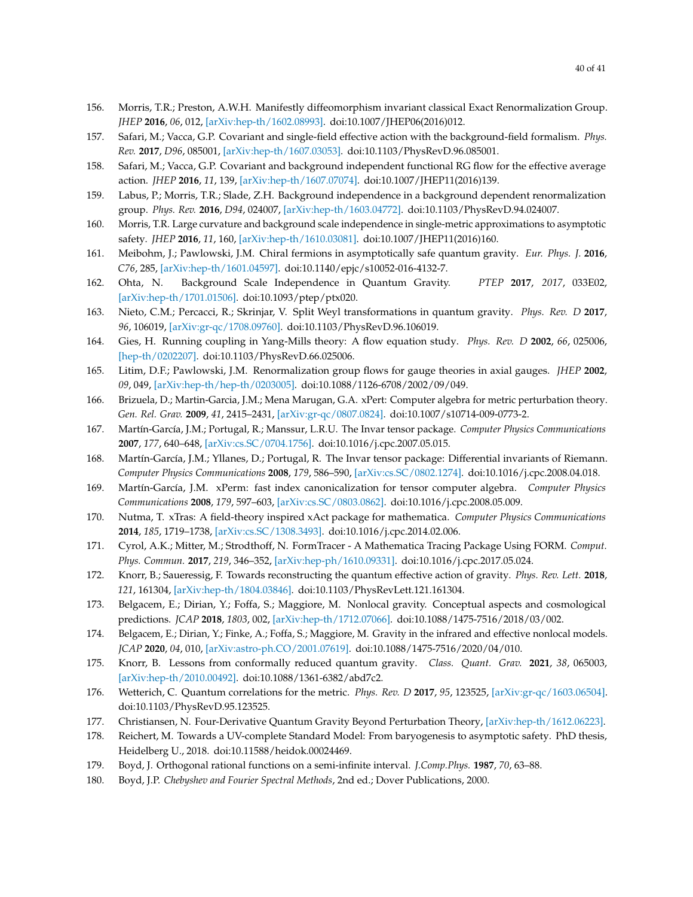- 156. Morris, T.R.; Preston, A.W.H. Manifestly diffeomorphism invariant classical Exact Renormalization Group. *JHEP* **2016**, *06*, 012, [\[arXiv:hep-th/1602.08993\].](https://arxiv.org/abs/1602.08993) doi[:10.1007/JHEP06\(2016\)012.](https://doi.org/10.1007/JHEP06(2016)012)
- 157. Safari, M.; Vacca, G.P. Covariant and single-field effective action with the background-field formalism. *Phys. Rev.* **2017**, *D96*, 085001, [\[arXiv:hep-th/1607.03053\].](https://arxiv.org/abs/1607.03053) doi[:10.1103/PhysRevD.96.085001.](https://doi.org/10.1103/PhysRevD.96.085001)
- 158. Safari, M.; Vacca, G.P. Covariant and background independent functional RG flow for the effective average action. *JHEP* **2016**, *11*, 139, [\[arXiv:hep-th/1607.07074\].](https://arxiv.org/abs/1607.07074) doi[:10.1007/JHEP11\(2016\)139.](https://doi.org/10.1007/JHEP11(2016)139)
- 159. Labus, P.; Morris, T.R.; Slade, Z.H. Background independence in a background dependent renormalization group. *Phys. Rev.* **2016**, *D94*, 024007, [\[arXiv:hep-th/1603.04772\].](https://arxiv.org/abs/1603.04772) doi[:10.1103/PhysRevD.94.024007.](https://doi.org/10.1103/PhysRevD.94.024007)
- 160. Morris, T.R. Large curvature and background scale independence in single-metric approximations to asymptotic safety. *JHEP* **2016**, *11*, 160, [\[arXiv:hep-th/1610.03081\].](https://arxiv.org/abs/1610.03081) doi[:10.1007/JHEP11\(2016\)160.](https://doi.org/10.1007/JHEP11(2016)160)
- 161. Meibohm, J.; Pawlowski, J.M. Chiral fermions in asymptotically safe quantum gravity. *Eur. Phys. J.* **2016**, *C76*, 285, [\[arXiv:hep-th/1601.04597\].](https://arxiv.org/abs/1601.04597) doi[:10.1140/epjc/s10052-016-4132-7.](https://doi.org/10.1140/epjc/s10052-016-4132-7)
- 162. Ohta, N. Background Scale Independence in Quantum Gravity. *PTEP* **2017**, *2017*, 033E02, [\[arXiv:hep-th/1701.01506\].](https://arxiv.org/abs/1701.01506) doi[:10.1093/ptep/ptx020.](https://doi.org/10.1093/ptep/ptx020)
- <span id="page-39-0"></span>163. Nieto, C.M.; Percacci, R.; Skrinjar, V. Split Weyl transformations in quantum gravity. *Phys. Rev. D* **2017**, *96*, 106019, [\[arXiv:gr-qc/1708.09760\].](https://arxiv.org/abs/1708.09760) doi[:10.1103/PhysRevD.96.106019.](https://doi.org/10.1103/PhysRevD.96.106019)
- <span id="page-39-1"></span>164. Gies, H. Running coupling in Yang-Mills theory: A flow equation study. *Phys. Rev. D* **2002**, *66*, 025006, [\[hep-th/0202207\].](https://arxiv.org/abs/hep-th/0202207) doi[:10.1103/PhysRevD.66.025006.](https://doi.org/10.1103/PhysRevD.66.025006)
- <span id="page-39-2"></span>165. Litim, D.F.; Pawlowski, J.M. Renormalization group flows for gauge theories in axial gauges. *JHEP* **2002**, *09*, 049, [\[arXiv:hep-th/hep-th/0203005\].](https://arxiv.org/abs/hep-th/0203005) doi[:10.1088/1126-6708/2002/09/049.](https://doi.org/10.1088/1126-6708/2002/09/049)
- <span id="page-39-3"></span>166. Brizuela, D.; Martin-Garcia, J.M.; Mena Marugan, G.A. xPert: Computer algebra for metric perturbation theory. *Gen. Rel. Grav.* **2009**, *41*, 2415–2431, [\[arXiv:gr-qc/0807.0824\].](https://arxiv.org/abs/0807.0824) doi[:10.1007/s10714-009-0773-2.](https://doi.org/10.1007/s10714-009-0773-2)
- 167. Martín-García, J.M.; Portugal, R.; Manssur, L.R.U. The Invar tensor package. *Computer Physics Communications* **2007**, *177*, 640–648, [\[arXiv:cs.SC/0704.1756\].](https://arxiv.org/abs/0704.1756) doi[:10.1016/j.cpc.2007.05.015.](https://doi.org/10.1016/j.cpc.2007.05.015)
- 168. Martín-García, J.M.; Yllanes, D.; Portugal, R. The Invar tensor package: Differential invariants of Riemann. *Computer Physics Communications* **2008**, *179*, 586–590, [\[arXiv:cs.SC/0802.1274\].](https://arxiv.org/abs/0802.1274) doi[:10.1016/j.cpc.2008.04.018.](https://doi.org/10.1016/j.cpc.2008.04.018)
- 169. Martín-García, J.M. xPerm: fast index canonicalization for tensor computer algebra. *Computer Physics Communications* **2008**, *179*, 597–603, [\[arXiv:cs.SC/0803.0862\].](https://arxiv.org/abs/0803.0862) doi[:10.1016/j.cpc.2008.05.009.](https://doi.org/10.1016/j.cpc.2008.05.009)
- <span id="page-39-4"></span>170. Nutma, T. xTras: A field-theory inspired xAct package for mathematica. *Computer Physics Communications* **2014**, *185*, 1719–1738, [\[arXiv:cs.SC/1308.3493\].](https://arxiv.org/abs/1308.3493) doi[:10.1016/j.cpc.2014.02.006.](https://doi.org/10.1016/j.cpc.2014.02.006)
- <span id="page-39-5"></span>171. Cyrol, A.K.; Mitter, M.; Strodthoff, N. FormTracer - A Mathematica Tracing Package Using FORM. *Comput. Phys. Commun.* **2017**, *219*, 346–352, [\[arXiv:hep-ph/1610.09331\].](https://arxiv.org/abs/1610.09331) doi[:10.1016/j.cpc.2017.05.024.](https://doi.org/10.1016/j.cpc.2017.05.024)
- <span id="page-39-6"></span>172. Knorr, B.; Saueressig, F. Towards reconstructing the quantum effective action of gravity. *Phys. Rev. Lett.* **2018**, *121*, 161304, [\[arXiv:hep-th/1804.03846\].](https://arxiv.org/abs/1804.03846) doi[:10.1103/PhysRevLett.121.161304.](https://doi.org/10.1103/PhysRevLett.121.161304)
- <span id="page-39-7"></span>173. Belgacem, E.; Dirian, Y.; Foffa, S.; Maggiore, M. Nonlocal gravity. Conceptual aspects and cosmological predictions. *JCAP* **2018**, *1803*, 002, [\[arXiv:hep-th/1712.07066\].](https://arxiv.org/abs/1712.07066) doi[:10.1088/1475-7516/2018/03/002.](https://doi.org/10.1088/1475-7516/2018/03/002)
- <span id="page-39-8"></span>174. Belgacem, E.; Dirian, Y.; Finke, A.; Foffa, S.; Maggiore, M. Gravity in the infrared and effective nonlocal models. *JCAP* **2020**, *04*, 010, [\[arXiv:astro-ph.CO/2001.07619\].](https://arxiv.org/abs/2001.07619) doi[:10.1088/1475-7516/2020/04/010.](https://doi.org/10.1088/1475-7516/2020/04/010)
- <span id="page-39-9"></span>175. Knorr, B. Lessons from conformally reduced quantum gravity. *Class. Quant. Grav.* **2021**, *38*, 065003, [\[arXiv:hep-th/2010.00492\].](https://arxiv.org/abs/2010.00492) doi[:10.1088/1361-6382/abd7c2.](https://doi.org/10.1088/1361-6382/abd7c2)
- <span id="page-39-10"></span>176. Wetterich, C. Quantum correlations for the metric. *Phys. Rev. D* **2017**, *95*, 123525, [\[arXiv:gr-qc/1603.06504\].](https://arxiv.org/abs/1603.06504) doi[:10.1103/PhysRevD.95.123525.](https://doi.org/10.1103/PhysRevD.95.123525)
- <span id="page-39-12"></span><span id="page-39-11"></span>177. Christiansen, N. Four-Derivative Quantum Gravity Beyond Perturbation Theory, [\[arXiv:hep-th/1612.06223\].](https://arxiv.org/abs/1612.06223)
- 178. Reichert, M. Towards a UV-complete Standard Model: From baryogenesis to asymptotic safety. PhD thesis, Heidelberg U., 2018. doi[:10.11588/heidok.00024469.](https://doi.org/10.11588/heidok.00024469)
- <span id="page-39-13"></span>179. Boyd, J. Orthogonal rational functions on a semi-infinite interval. *J.Comp.Phys.* **1987**, *70*, 63–88.
- <span id="page-39-14"></span>180. Boyd, J.P. *Chebyshev and Fourier Spectral Methods*, 2nd ed.; Dover Publications, 2000.